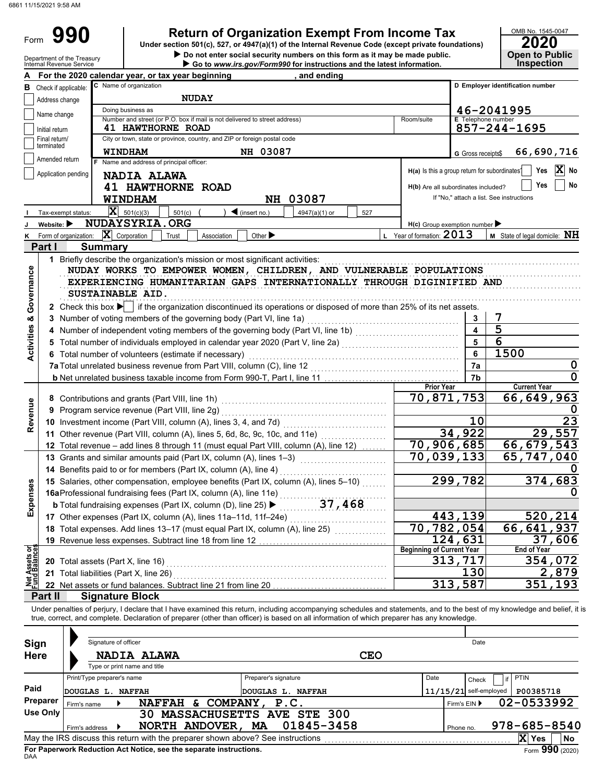Form 990

# **990 a 2020 2010 2020 2020 2020 2020 2020 2020 2020 2020 2020 2020 2020 2020 2020 2020 2020 2020 2020 2020 2020 2020 2020 2020 2020 2020 2020 2020 2020 2020 2**

|                                | Department of the Treasury<br>Internal Revenue Service |                                                                            | Do not enter social security numbers on this form as it may be made public.                                                                                                 |                              | Go to www.irs.gov/Form990 for instructions and the latest information. |            |                                               |                                     | <b>Open to Public</b><br><b>Inspection</b> |
|--------------------------------|--------------------------------------------------------|----------------------------------------------------------------------------|-----------------------------------------------------------------------------------------------------------------------------------------------------------------------------|------------------------------|------------------------------------------------------------------------|------------|-----------------------------------------------|-------------------------------------|--------------------------------------------|
|                                |                                                        |                                                                            | For the 2020 calendar year, or tax year beginning                                                                                                                           |                              | , and ending                                                           |            |                                               |                                     |                                            |
| в                              | Check if applicable:                                   | C Name of organization                                                     | D Employer identification number                                                                                                                                            |                              |                                                                        |            |                                               |                                     |                                            |
|                                | Address change                                         |                                                                            | <b>NUDAY</b>                                                                                                                                                                |                              |                                                                        |            |                                               |                                     |                                            |
|                                |                                                        | Doing business as                                                          | 46-2041995                                                                                                                                                                  |                              |                                                                        |            |                                               |                                     |                                            |
|                                | Name change                                            | Number and street (or P.O. box if mail is not delivered to street address) | <b>E</b> Telephone number                                                                                                                                                   |                              |                                                                        |            |                                               |                                     |                                            |
|                                | Initial return                                         | <b>41 HAWTHORNE ROAD</b>                                                   | 857-244-1695                                                                                                                                                                |                              |                                                                        |            |                                               |                                     |                                            |
|                                | Final return/<br>terminated                            |                                                                            | City or town, state or province, country, and ZIP or foreign postal code                                                                                                    |                              |                                                                        |            |                                               |                                     |                                            |
|                                |                                                        |                                                                            | <b>WINDHAM</b>                                                                                                                                                              | NH 03087                     |                                                                        |            |                                               | G Gross receipts\$                  | 66,690,716                                 |
|                                | Amended return                                         |                                                                            | F Name and address of principal officer:                                                                                                                                    |                              |                                                                        |            |                                               |                                     |                                            |
|                                | Application pending                                    |                                                                            | <b>NADIA ALAWA</b>                                                                                                                                                          |                              |                                                                        |            | H(a) Is this a group return for subordinates? |                                     | $ \mathbf{X} $<br>Yes<br>No                |
|                                |                                                        |                                                                            | <b>41 HAWTHORNE ROAD</b>                                                                                                                                                    |                              |                                                                        |            |                                               | H(b) Are all subordinates included? | Yes<br>No                                  |
|                                |                                                        |                                                                            | WINDHAM                                                                                                                                                                     |                              | NH 03087                                                               |            |                                               |                                     | If "No," attach a list. See instructions   |
|                                | Tax-exempt status:                                     |                                                                            | $ \mathbf{X} $ 501(c)(3)<br>501(c)                                                                                                                                          | $\triangleleft$ (insert no.) | 4947(a)(1) or                                                          | 527        |                                               |                                     |                                            |
|                                | Website:                                               |                                                                            | NUDAYSYRIA.ORG                                                                                                                                                              |                              |                                                                        |            | $H(c)$ Group exemption number                 |                                     |                                            |
| K                              | Form of organization:                                  |                                                                            | $ \mathbf{X} $ Corporation<br>Trust<br>Association                                                                                                                          | Other $\blacktriangleright$  |                                                                        |            | L Year of formation: $2013$                   |                                     | M State of legal domicile: NH              |
|                                | Part I                                                 | <b>Summary</b>                                                             |                                                                                                                                                                             |                              |                                                                        |            |                                               |                                     |                                            |
|                                |                                                        |                                                                            |                                                                                                                                                                             |                              |                                                                        |            |                                               |                                     |                                            |
|                                |                                                        |                                                                            | 1 Briefly describe the organization's mission or most significant activities:                                                                                               |                              |                                                                        |            |                                               |                                     |                                            |
|                                |                                                        |                                                                            | NUDAY WORKS TO EMPOWER WOMEN, CHILDREN, AND VULNERABLE POPULATIONS                                                                                                          |                              |                                                                        |            |                                               |                                     |                                            |
| Activities & Governance        |                                                        |                                                                            | EXPERIENCING HUMANITARIAN GAPS INTERNATIONALLY THROUGH DIGINIFIED AND                                                                                                       |                              |                                                                        |            |                                               |                                     |                                            |
|                                |                                                        |                                                                            | SUSTAINABLE AID.                                                                                                                                                            |                              |                                                                        |            |                                               |                                     |                                            |
|                                |                                                        |                                                                            | 2 Check this box $\blacktriangleright$ if the organization discontinued its operations or disposed of more than 25% of its net assets.                                      |                              |                                                                        |            |                                               |                                     |                                            |
|                                |                                                        |                                                                            | 3 Number of voting members of the governing body (Part VI, line 1a)                                                                                                         |                              |                                                                        |            |                                               | 3                                   | 7                                          |
|                                |                                                        |                                                                            | 4 Number of independent voting members of the governing body (Part VI, line 1b) [11] [11] Number of independent voting members of the governing body (Part VI, line 1b)     |                              |                                                                        |            |                                               | $\overline{\mathbf{A}}$             | $\overline{5}$                             |
|                                | 5                                                      |                                                                            | Total number of individuals employed in calendar year 2020 (Part V, line 2a) [[[[[[[[[[[[[[[[[[[[[[[[[[[[[[[[                                                               |                              |                                                                        |            |                                               | 5                                   | 6                                          |
|                                |                                                        |                                                                            | 6 Total number of volunteers (estimate if necessary)                                                                                                                        |                              |                                                                        |            |                                               | 6                                   | 1500                                       |
|                                |                                                        |                                                                            |                                                                                                                                                                             |                              |                                                                        |            |                                               | 7a                                  | $\mathbf 0$                                |
|                                |                                                        |                                                                            |                                                                                                                                                                             |                              |                                                                        |            |                                               | 7b                                  | $\mathbf 0$                                |
|                                |                                                        |                                                                            |                                                                                                                                                                             |                              |                                                                        |            | <b>Prior Year</b>                             |                                     | <b>Current Year</b>                        |
|                                |                                                        |                                                                            |                                                                                                                                                                             |                              |                                                                        |            | 70,871,753                                    |                                     | 66,649,963                                 |
| Revenue                        |                                                        |                                                                            | 9 Program service revenue (Part VIII, line 2g)                                                                                                                              |                              |                                                                        |            |                                               |                                     |                                            |
|                                |                                                        |                                                                            |                                                                                                                                                                             |                              |                                                                        |            |                                               | 10                                  | 23                                         |
|                                |                                                        |                                                                            | 11 Other revenue (Part VIII, column (A), lines 5, 6d, 8c, 9c, 10c, and 11e)                                                                                                 |                              |                                                                        |            |                                               | 34,922                              | 29,557                                     |
|                                |                                                        |                                                                            | 12 Total revenue - add lines 8 through 11 (must equal Part VIII, column (A), line 12)                                                                                       |                              |                                                                        |            | $\overline{70}$ , 906, 685                    |                                     | 66,679,543                                 |
|                                |                                                        |                                                                            | 13 Grants and similar amounts paid (Part IX, column (A), lines 1-3)                                                                                                         |                              |                                                                        |            | 70,039,133                                    |                                     | 65,747,040                                 |
|                                |                                                        |                                                                            |                                                                                                                                                                             |                              |                                                                        |            |                                               |                                     |                                            |
|                                |                                                        |                                                                            | 14 Benefits paid to or for members (Part IX, column (A), line 4)                                                                                                            |                              |                                                                        |            |                                               |                                     |                                            |
| ٥                              |                                                        |                                                                            | 15 Salaries, other compensation, employee benefits (Part IX, column (A), lines 5-10)                                                                                        |                              |                                                                        |            |                                               | 299,782                             | 374,683                                    |
|                                |                                                        |                                                                            | 16aProfessional fundraising fees (Part IX, column (A), line 11e)                                                                                                            |                              | .                                                                      |            |                                               |                                     | O                                          |
| Expense                        |                                                        |                                                                            | <b>b</b> Total fundraising expenses (Part IX, column (D), line 25) $\blacktriangleright$                                                                                    |                              | 37,468                                                                 |            |                                               |                                     |                                            |
|                                |                                                        |                                                                            | 17 Other expenses (Part IX, column (A), lines 11a-11d, 11f-24e)                                                                                                             |                              |                                                                        |            |                                               | 443,139                             | 520,214                                    |
|                                |                                                        |                                                                            | 18 Total expenses. Add lines 13-17 (must equal Part IX, column (A), line 25)                                                                                                |                              |                                                                        |            | $\overline{70}$ , 782, 054                    |                                     | 66, 641, 937                               |
|                                |                                                        |                                                                            | 19 Revenue less expenses. Subtract line 18 from line 12                                                                                                                     |                              |                                                                        |            |                                               | 124,631                             | 37,606                                     |
| Net Assets or<br>Fund Balances |                                                        |                                                                            |                                                                                                                                                                             |                              |                                                                        |            | <b>Beginning of Current Year</b>              |                                     | <b>End of Year</b>                         |
|                                | 20 Total assets (Part X, line 16)                      |                                                                            |                                                                                                                                                                             |                              |                                                                        |            |                                               | 313,717                             | 354,072                                    |
|                                |                                                        |                                                                            | 21 Total liabilities (Part X, line 26)                                                                                                                                      |                              |                                                                        |            |                                               | 130                                 | 2,879                                      |
|                                |                                                        |                                                                            | 22 Net assets or fund balances. Subtract line 21 from line 20                                                                                                               |                              |                                                                        |            |                                               | 313,587                             | 351,193                                    |
|                                | Part II                                                |                                                                            | <b>Signature Block</b>                                                                                                                                                      |                              |                                                                        |            |                                               |                                     |                                            |
|                                |                                                        |                                                                            | Under penalties of perjury, I declare that I have examined this return, including accompanying schedules and statements, and to the best of my knowledge and belief, it     |                              |                                                                        |            |                                               |                                     |                                            |
|                                |                                                        |                                                                            | true, correct, and complete. Declaration of preparer (other than officer) is based on all information of which preparer has any knowledge.                                  |                              |                                                                        |            |                                               |                                     |                                            |
|                                |                                                        |                                                                            |                                                                                                                                                                             |                              |                                                                        |            |                                               |                                     |                                            |
| Sign                           |                                                        | Signature of officer                                                       |                                                                                                                                                                             |                              |                                                                        |            |                                               | Date                                |                                            |
| Here                           |                                                        |                                                                            | NADIA ALAWA                                                                                                                                                                 |                              |                                                                        | <b>CEO</b> |                                               |                                     |                                            |
|                                |                                                        |                                                                            | Type or print name and title                                                                                                                                                |                              |                                                                        |            |                                               |                                     |                                            |
|                                |                                                        | Print/Type preparer's name                                                 |                                                                                                                                                                             | Preparer's signature         |                                                                        |            | Date                                          | Check                               | PTIN                                       |
| Paid                           |                                                        | <b>DOUGLAS L. NAFFAH</b>                                                   |                                                                                                                                                                             | <b>DOUGLAS L. NAFFAH</b>     |                                                                        |            |                                               | $11/15/21$ self-employed            | P00385718                                  |
|                                | Preparer                                               |                                                                            | NAFFAH & COMPANY, P.C.                                                                                                                                                      |                              |                                                                        |            |                                               |                                     | 02-0533992                                 |
|                                | Firm's name<br><b>Use Only</b>                         |                                                                            | 30 MASSACHUSETTS AVE STE 300                                                                                                                                                |                              |                                                                        |            |                                               | Firm's EIN ▶                        |                                            |
|                                |                                                        |                                                                            |                                                                                                                                                                             |                              |                                                                        |            |                                               |                                     |                                            |
|                                | Firm's address                                         |                                                                            | NORTH ANDOVER, MA                                                                                                                                                           |                              | 01845-3458                                                             |            |                                               | Phone no.                           | 978-685-8540                               |
|                                |                                                        |                                                                            | May the IRS discuss this return with the preparer shown above? See instructions with the intermal content to the content of the properties and the IRS discuss this return. |                              |                                                                        |            |                                               |                                     | X Yes<br>No                                |

| Sign                                                                                                                                                                                   | Signature of officer                                                                  | <b>CEO</b>           | Date                                  |  |  |  |  |  |  |  |
|----------------------------------------------------------------------------------------------------------------------------------------------------------------------------------------|---------------------------------------------------------------------------------------|----------------------|---------------------------------------|--|--|--|--|--|--|--|
| <b>Here</b>                                                                                                                                                                            | NADIA ALAWA<br>Type or print name and title                                           |                      |                                       |  |  |  |  |  |  |  |
|                                                                                                                                                                                        | Print/Type preparer's name                                                            | Preparer's signature | <b>PTIN</b><br>Date<br>if<br>Check    |  |  |  |  |  |  |  |
| Paid                                                                                                                                                                                   | DOUGLAS L.<br><b>NAFFAH</b>                                                           | DOUGLAS L. NAFFAH    | $11/15/21$ self-employed<br>P00385718 |  |  |  |  |  |  |  |
| Preparer                                                                                                                                                                               | <b>NAFFAH</b><br>Firm's name                                                          | & COMPANY,<br>P.C.   | 02-0533992<br>Firm's $EIN$            |  |  |  |  |  |  |  |
| Use Only                                                                                                                                                                               | <b>MASSACHUSETTS AVE</b><br>30.                                                       | $978 - 685 - 8540$   |                                       |  |  |  |  |  |  |  |
| 01845-3458<br>NORTH ANDOVER,<br><b>MA</b><br>Firm's address<br>Phone no.<br>X<br>May the IRS discuss this return with the preparer shown above? See instructions<br><b>Yes</b><br>l No |                                                                                       |                      |                                       |  |  |  |  |  |  |  |
| DAA                                                                                                                                                                                    | Form 990 (2020)<br>For Paperwork Reduction Act Notice, see the separate instructions. |                      |                                       |  |  |  |  |  |  |  |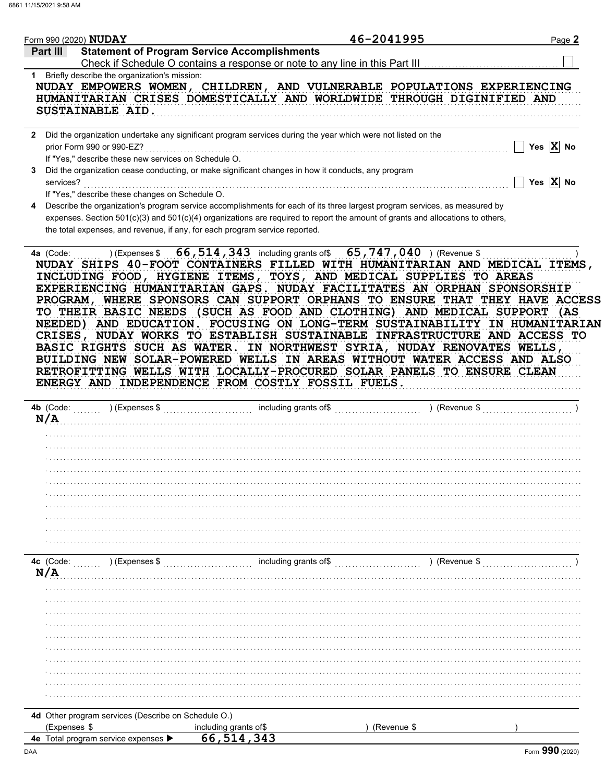|          |              | Form 990 (2020) $\mathbf{NUDAY}$ |                                                      | 46-2041995                                                                                                                                                                                                                                                                                                                                                                                                                                                                                                                                                                                                                                                                                         | Page 2                |
|----------|--------------|----------------------------------|------------------------------------------------------|----------------------------------------------------------------------------------------------------------------------------------------------------------------------------------------------------------------------------------------------------------------------------------------------------------------------------------------------------------------------------------------------------------------------------------------------------------------------------------------------------------------------------------------------------------------------------------------------------------------------------------------------------------------------------------------------------|-----------------------|
| Part III |              |                                  |                                                      | <b>Statement of Program Service Accomplishments</b>                                                                                                                                                                                                                                                                                                                                                                                                                                                                                                                                                                                                                                                |                       |
|          |              |                                  |                                                      | Check if Schedule O contains a response or note to any line in this Part III                                                                                                                                                                                                                                                                                                                                                                                                                                                                                                                                                                                                                       |                       |
|          |              |                                  | 1 Briefly describe the organization's mission:       |                                                                                                                                                                                                                                                                                                                                                                                                                                                                                                                                                                                                                                                                                                    |                       |
|          |              |                                  |                                                      | NUDAY EMPOWERS WOMEN, CHILDREN, AND VULNERABLE POPULATIONS EXPERIENCING                                                                                                                                                                                                                                                                                                                                                                                                                                                                                                                                                                                                                            |                       |
|          |              |                                  |                                                      | HUMANITARIAN CRISES DOMESTICALLY AND WORLDWIDE THROUGH DIGINIFIED AND                                                                                                                                                                                                                                                                                                                                                                                                                                                                                                                                                                                                                              |                       |
|          |              | SUSTAINABLE AID.                 |                                                      |                                                                                                                                                                                                                                                                                                                                                                                                                                                                                                                                                                                                                                                                                                    |                       |
|          |              |                                  |                                                      | 2 Did the organization undertake any significant program services during the year which were not listed on the                                                                                                                                                                                                                                                                                                                                                                                                                                                                                                                                                                                     |                       |
|          |              | prior Form 990 or 990-EZ?        |                                                      |                                                                                                                                                                                                                                                                                                                                                                                                                                                                                                                                                                                                                                                                                                    | Yes $ X $ No          |
|          |              |                                  | If "Yes," describe these new services on Schedule O. |                                                                                                                                                                                                                                                                                                                                                                                                                                                                                                                                                                                                                                                                                                    |                       |
| 3        |              |                                  |                                                      | Did the organization cease conducting, or make significant changes in how it conducts, any program                                                                                                                                                                                                                                                                                                                                                                                                                                                                                                                                                                                                 |                       |
|          | services?    |                                  |                                                      |                                                                                                                                                                                                                                                                                                                                                                                                                                                                                                                                                                                                                                                                                                    | Yes $\overline{X}$ No |
|          |              |                                  | If "Yes," describe these changes on Schedule O.      |                                                                                                                                                                                                                                                                                                                                                                                                                                                                                                                                                                                                                                                                                                    |                       |
| 4        |              |                                  |                                                      | Describe the organization's program service accomplishments for each of its three largest program services, as measured by                                                                                                                                                                                                                                                                                                                                                                                                                                                                                                                                                                         |                       |
|          |              |                                  |                                                      | expenses. Section 501(c)(3) and 501(c)(4) organizations are required to report the amount of grants and allocations to others,                                                                                                                                                                                                                                                                                                                                                                                                                                                                                                                                                                     |                       |
|          |              |                                  |                                                      | the total expenses, and revenue, if any, for each program service reported.                                                                                                                                                                                                                                                                                                                                                                                                                                                                                                                                                                                                                        |                       |
|          | 4a (Code:    |                                  |                                                      | ) (Expenses $$66,514,343$ including grants of $$65,747,040$ ) (Revenue \$                                                                                                                                                                                                                                                                                                                                                                                                                                                                                                                                                                                                                          |                       |
|          |              |                                  |                                                      | INCLUDING FOOD, HYGIENE ITEMS, TOYS, AND MEDICAL SUPPLIES TO AREAS<br>EXPERIENCING HUMANITARIAN GAPS. NUDAY FACILITATES AN ORPHAN SPONSORSHIP<br>PROGRAM, WHERE SPONSORS CAN SUPPORT ORPHANS TO ENSURE THAT THEY HAVE ACCESS<br>TO THEIR BASIC NEEDS (SUCH AS FOOD AND CLOTHING) AND MEDICAL SUPPORT (AS<br>NEEDED) AND EDUCATION. FOCUSING ON LONG-TERM SUSTAINABILITY IN HUMANITARIAN<br>CRISES, NUDAY WORKS TO ESTABLISH SUSTAINABLE INFRASTRUCTURE AND ACCESS TO<br>BASIC RIGHTS SUCH AS WATER. IN NORTHWEST SYRIA, NUDAY RENOVATES WELLS,<br>BUILDING NEW SOLAR-POWERED WELLS IN AREAS WITHOUT WATER ACCESS AND ALSO<br>RETROFITTING WELLS WITH LOCALLY-PROCURED SOLAR PANELS TO ENSURE CLEAN |                       |
|          |              |                                  |                                                      | ENERGY AND INDEPENDENCE FROM COSTLY FOSSIL FUELS.                                                                                                                                                                                                                                                                                                                                                                                                                                                                                                                                                                                                                                                  |                       |
|          | 4b (Code:    |                                  | ) (Expenses \$                                       | $\ldots \ldots \ldots \ldots \ldots$ including grants of\$<br>$\ldots$ (Revenue \$                                                                                                                                                                                                                                                                                                                                                                                                                                                                                                                                                                                                                 |                       |
| N/A      |              |                                  |                                                      |                                                                                                                                                                                                                                                                                                                                                                                                                                                                                                                                                                                                                                                                                                    |                       |
|          |              |                                  |                                                      |                                                                                                                                                                                                                                                                                                                                                                                                                                                                                                                                                                                                                                                                                                    |                       |
|          |              |                                  |                                                      |                                                                                                                                                                                                                                                                                                                                                                                                                                                                                                                                                                                                                                                                                                    |                       |
|          |              |                                  |                                                      |                                                                                                                                                                                                                                                                                                                                                                                                                                                                                                                                                                                                                                                                                                    |                       |
|          |              |                                  |                                                      |                                                                                                                                                                                                                                                                                                                                                                                                                                                                                                                                                                                                                                                                                                    |                       |
|          |              |                                  |                                                      |                                                                                                                                                                                                                                                                                                                                                                                                                                                                                                                                                                                                                                                                                                    |                       |
|          |              |                                  |                                                      |                                                                                                                                                                                                                                                                                                                                                                                                                                                                                                                                                                                                                                                                                                    |                       |
|          |              |                                  |                                                      |                                                                                                                                                                                                                                                                                                                                                                                                                                                                                                                                                                                                                                                                                                    |                       |
|          |              |                                  |                                                      |                                                                                                                                                                                                                                                                                                                                                                                                                                                                                                                                                                                                                                                                                                    |                       |
|          |              |                                  |                                                      |                                                                                                                                                                                                                                                                                                                                                                                                                                                                                                                                                                                                                                                                                                    |                       |
|          |              |                                  |                                                      |                                                                                                                                                                                                                                                                                                                                                                                                                                                                                                                                                                                                                                                                                                    |                       |
|          | 4c (Code:    |                                  | ) (Expenses \$                                       | including grants of\$<br>) (Revenue \$                                                                                                                                                                                                                                                                                                                                                                                                                                                                                                                                                                                                                                                             |                       |
| N/A      |              |                                  |                                                      |                                                                                                                                                                                                                                                                                                                                                                                                                                                                                                                                                                                                                                                                                                    |                       |
|          |              |                                  |                                                      |                                                                                                                                                                                                                                                                                                                                                                                                                                                                                                                                                                                                                                                                                                    |                       |
|          |              |                                  |                                                      |                                                                                                                                                                                                                                                                                                                                                                                                                                                                                                                                                                                                                                                                                                    |                       |
|          |              |                                  |                                                      |                                                                                                                                                                                                                                                                                                                                                                                                                                                                                                                                                                                                                                                                                                    |                       |
|          |              |                                  |                                                      |                                                                                                                                                                                                                                                                                                                                                                                                                                                                                                                                                                                                                                                                                                    |                       |
|          |              |                                  |                                                      |                                                                                                                                                                                                                                                                                                                                                                                                                                                                                                                                                                                                                                                                                                    |                       |
|          |              |                                  |                                                      |                                                                                                                                                                                                                                                                                                                                                                                                                                                                                                                                                                                                                                                                                                    |                       |
|          |              |                                  |                                                      |                                                                                                                                                                                                                                                                                                                                                                                                                                                                                                                                                                                                                                                                                                    |                       |
|          |              |                                  |                                                      |                                                                                                                                                                                                                                                                                                                                                                                                                                                                                                                                                                                                                                                                                                    |                       |
|          |              |                                  |                                                      |                                                                                                                                                                                                                                                                                                                                                                                                                                                                                                                                                                                                                                                                                                    |                       |
|          |              |                                  |                                                      |                                                                                                                                                                                                                                                                                                                                                                                                                                                                                                                                                                                                                                                                                                    |                       |
|          |              |                                  |                                                      |                                                                                                                                                                                                                                                                                                                                                                                                                                                                                                                                                                                                                                                                                                    |                       |
|          |              |                                  |                                                      |                                                                                                                                                                                                                                                                                                                                                                                                                                                                                                                                                                                                                                                                                                    |                       |
|          | (Expenses \$ |                                  | 4d Other program services (Describe on Schedule O.)  | (Revenue \$<br>including grants of\$                                                                                                                                                                                                                                                                                                                                                                                                                                                                                                                                                                                                                                                               |                       |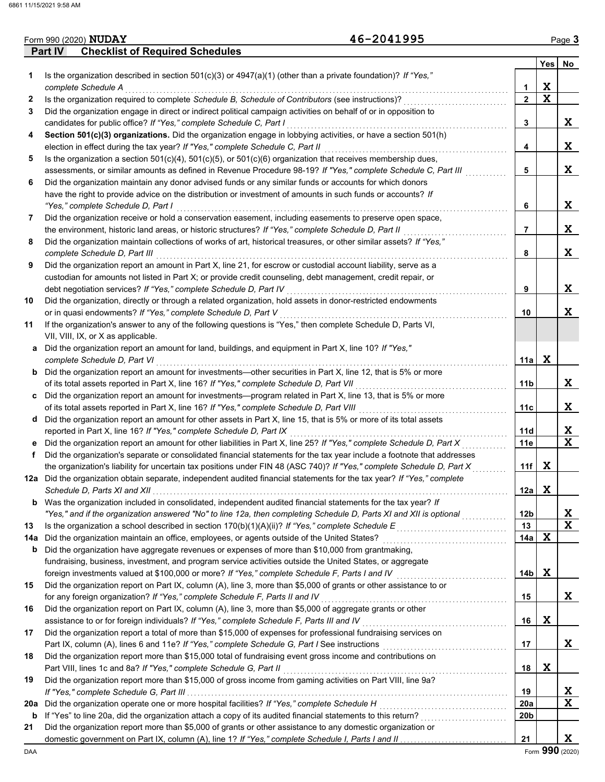|              | Part IV<br><b>Checklist of Required Schedules</b>                                                                       |                | Yes l       | No                   |
|--------------|-------------------------------------------------------------------------------------------------------------------------|----------------|-------------|----------------------|
| 1.           | Is the organization described in section $501(c)(3)$ or $4947(a)(1)$ (other than a private foundation)? If "Yes,"       |                |             |                      |
|              | complete Schedule A                                                                                                     | 1              | X           |                      |
| $\mathbf{2}$ | Is the organization required to complete Schedule B, Schedule of Contributors (see instructions)?                       | $\mathbf{2}$   | $\mathbf x$ |                      |
| 3            | Did the organization engage in direct or indirect political campaign activities on behalf of or in opposition to        |                |             |                      |
|              | candidates for public office? If "Yes," complete Schedule C, Part I                                                     | 3              |             | X                    |
| 4            | Section 501(c)(3) organizations. Did the organization engage in lobbying activities, or have a section 501(h)           |                |             |                      |
|              | election in effect during the tax year? If "Yes," complete Schedule C, Part II                                          | 4              |             | X                    |
| 5            | Is the organization a section $501(c)(4)$ , $501(c)(5)$ , or $501(c)(6)$ organization that receives membership dues,    |                |             |                      |
|              | assessments, or similar amounts as defined in Revenue Procedure 98-19? If "Yes," complete Schedule C, Part III          | 5              |             | X                    |
| 6            | Did the organization maintain any donor advised funds or any similar funds or accounts for which donors                 |                |             |                      |
|              | have the right to provide advice on the distribution or investment of amounts in such funds or accounts? If             |                |             | X                    |
|              | "Yes," complete Schedule D, Part I                                                                                      | 6              |             |                      |
| 7            | Did the organization receive or hold a conservation easement, including easements to preserve open space,               |                |             | X                    |
|              | the environment, historic land areas, or historic structures? If "Yes," complete Schedule D, Part II                    | $\overline{7}$ |             |                      |
| 8            | Did the organization maintain collections of works of art, historical treasures, or other similar assets? If "Yes,"     |                |             |                      |
|              | complete Schedule D, Part III                                                                                           | 8              |             | X                    |
| 9            | Did the organization report an amount in Part X, line 21, for escrow or custodial account liability, serve as a         |                |             |                      |
|              | custodian for amounts not listed in Part X; or provide credit counseling, debt management, credit repair, or            |                |             |                      |
|              | debt negotiation services? If "Yes," complete Schedule D, Part IV                                                       | 9              |             | X                    |
| 10           | Did the organization, directly or through a related organization, hold assets in donor-restricted endowments            |                |             |                      |
|              | or in quasi endowments? If "Yes," complete Schedule D, Part V                                                           | 10             |             | X                    |
| 11           | If the organization's answer to any of the following questions is "Yes," then complete Schedule D, Parts VI,            |                |             |                      |
|              | VII, VIII, IX, or X as applicable.                                                                                      |                |             |                      |
| a            | Did the organization report an amount for land, buildings, and equipment in Part X, line 10? If "Yes,"                  |                |             |                      |
|              | complete Schedule D, Part VI                                                                                            | 11a            | X           |                      |
| b            | Did the organization report an amount for investments—other securities in Part X, line 12, that is 5% or more           |                |             |                      |
|              | of its total assets reported in Part X, line 16? If "Yes," complete Schedule D, Part VII                                | 11b            |             | X                    |
| c            | Did the organization report an amount for investments—program related in Part X, line 13, that is 5% or more            |                |             |                      |
|              | of its total assets reported in Part X, line 16? If "Yes," complete Schedule D, Part VIII                               | 11c            |             | X                    |
| d            | Did the organization report an amount for other assets in Part X, line 15, that is 5% or more of its total assets       |                |             |                      |
|              | reported in Part X, line 16? If "Yes," complete Schedule D, Part IX                                                     | 11d            |             | X                    |
| е            | Did the organization report an amount for other liabilities in Part X, line 25? If "Yes," complete Schedule D, Part X   | 11e            |             | $\mathbf x$          |
| f            | Did the organization's separate or consolidated financial statements for the tax year include a footnote that addresses |                |             |                      |
|              | the organization's liability for uncertain tax positions under FIN 48 (ASC 740)? If "Yes," complete Schedule D, Part X  | 11f            | X           |                      |
|              | 12a Did the organization obtain separate, independent audited financial statements for the tax year? If "Yes," complete |                |             |                      |
|              |                                                                                                                         | 12a            | X           |                      |
| b            | Was the organization included in consolidated, independent audited financial statements for the tax year? If            |                |             |                      |
|              | "Yes," and if the organization answered "No" to line 12a, then completing Schedule D, Parts XI and XII is optional      | 12b            |             | X                    |
| 13           | Is the organization a school described in section $170(b)(1)(A)(ii)?$ If "Yes," complete Schedule E                     | 13             |             | $\mathbf x$          |
| 14a          | Did the organization maintain an office, employees, or agents outside of the United States?                             | 14a            | X           |                      |
| b            | Did the organization have aggregate revenues or expenses of more than \$10,000 from grantmaking,                        |                |             |                      |
|              | fundraising, business, investment, and program service activities outside the United States, or aggregate               |                |             |                      |
|              | foreign investments valued at \$100,000 or more? If "Yes," complete Schedule F, Parts I and IV                          | 14b            | X           |                      |
| 15           | Did the organization report on Part IX, column (A), line 3, more than \$5,000 of grants or other assistance to or       |                |             |                      |
|              | for any foreign organization? If "Yes," complete Schedule F, Parts II and IV                                            | 15             |             | X                    |
| 16           | Did the organization report on Part IX, column (A), line 3, more than \$5,000 of aggregate grants or other              |                |             |                      |
|              | assistance to or for foreign individuals? If "Yes," complete Schedule F, Parts III and IV                               | 16             | X           |                      |
| 17           | Did the organization report a total of more than \$15,000 of expenses for professional fundraising services on          |                |             |                      |
|              |                                                                                                                         | 17             |             | X                    |
| 18           | Did the organization report more than \$15,000 total of fundraising event gross income and contributions on             |                |             |                      |
|              | Part VIII, lines 1c and 8a? If "Yes," complete Schedule G, Part II                                                      | 18             | X           |                      |
| 19           | Did the organization report more than \$15,000 of gross income from gaming activities on Part VIII, line 9a?            |                |             |                      |
|              |                                                                                                                         | 19             |             | X                    |
| 20a          | Did the organization operate one or more hospital facilities? If "Yes," complete Schedule H                             | 20a            |             | X                    |
| b            | If "Yes" to line 20a, did the organization attach a copy of its audited financial statements to this return?            | 20b            |             |                      |
| 21           | Did the organization report more than \$5,000 of grants or other assistance to any domestic organization or             |                |             |                      |
|              |                                                                                                                         | 21             |             | X<br>Form 990 (2020) |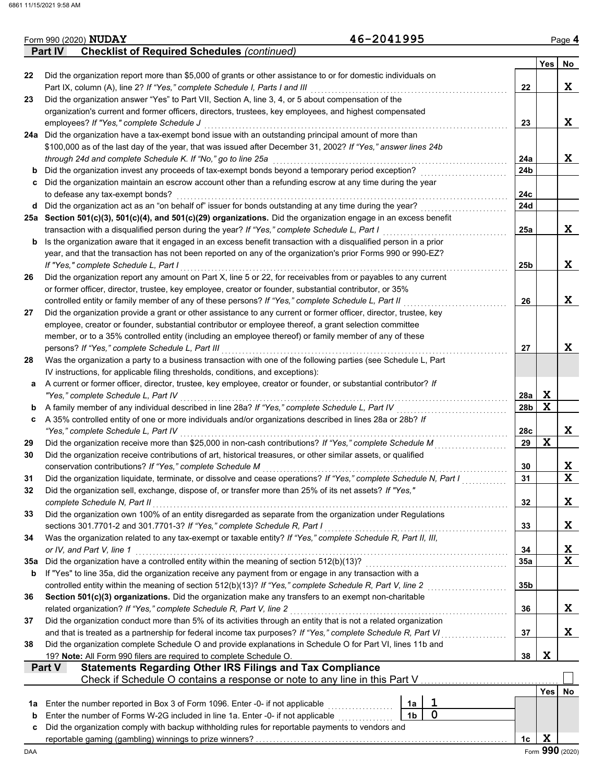|     | <b>Part IV</b><br><b>Checklist of Required Schedules (continued)</b>                                               |     |                 |             |  |  |  |
|-----|--------------------------------------------------------------------------------------------------------------------|-----|-----------------|-------------|--|--|--|
|     |                                                                                                                    |     | Yes             | No          |  |  |  |
| 22  | Did the organization report more than \$5,000 of grants or other assistance to or for domestic individuals on      |     |                 |             |  |  |  |
|     | Part IX, column (A), line 2? If "Yes," complete Schedule I, Parts I and III                                        | 22  |                 | X           |  |  |  |
| 23  | Did the organization answer "Yes" to Part VII, Section A, line 3, 4, or 5 about compensation of the                |     |                 |             |  |  |  |
|     | organization's current and former officers, directors, trustees, key employees, and highest compensated            |     |                 |             |  |  |  |
|     | employees? If "Yes," complete Schedule J                                                                           | 23  |                 | X           |  |  |  |
|     | 24a Did the organization have a tax-exempt bond issue with an outstanding principal amount of more than            |     |                 |             |  |  |  |
|     | \$100,000 as of the last day of the year, that was issued after December 31, 2002? If "Yes," answer lines 24b      |     |                 |             |  |  |  |
|     | through 24d and complete Schedule K. If "No," go to line 25a                                                       | 24a |                 | X           |  |  |  |
| b   | Did the organization invest any proceeds of tax-exempt bonds beyond a temporary period exception?                  | 24b |                 |             |  |  |  |
| c   | Did the organization maintain an escrow account other than a refunding escrow at any time during the year          |     |                 |             |  |  |  |
|     | to defease any tax-exempt bonds?                                                                                   | 24c |                 |             |  |  |  |
| d   | Did the organization act as an "on behalf of" issuer for bonds outstanding at any time during the year?            | 24d |                 |             |  |  |  |
|     | 25a Section 501(c)(3), 501(c)(4), and 501(c)(29) organizations. Did the organization engage in an excess benefit   |     |                 |             |  |  |  |
|     | transaction with a disqualified person during the year? If "Yes," complete Schedule L, Part I                      | 25a |                 | X           |  |  |  |
| b   | Is the organization aware that it engaged in an excess benefit transaction with a disqualified person in a prior   |     |                 |             |  |  |  |
|     | year, and that the transaction has not been reported on any of the organization's prior Forms 990 or 990-EZ?       |     |                 |             |  |  |  |
|     | If "Yes," complete Schedule L, Part I                                                                              | 25b |                 | X           |  |  |  |
| 26  | Did the organization report any amount on Part X, line 5 or 22, for receivables from or payables to any current    |     |                 |             |  |  |  |
|     | or former officer, director, trustee, key employee, creator or founder, substantial contributor, or 35%            |     |                 |             |  |  |  |
|     | controlled entity or family member of any of these persons? If "Yes," complete Schedule L, Part II                 | 26  |                 | X           |  |  |  |
| 27  | Did the organization provide a grant or other assistance to any current or former officer, director, trustee, key  |     |                 |             |  |  |  |
|     | employee, creator or founder, substantial contributor or employee thereof, a grant selection committee             |     |                 |             |  |  |  |
|     | member, or to a 35% controlled entity (including an employee thereof) or family member of any of these             |     |                 |             |  |  |  |
|     | persons? If "Yes," complete Schedule L, Part III                                                                   | 27  |                 | X           |  |  |  |
| 28  | Was the organization a party to a business transaction with one of the following parties (see Schedule L, Part     |     |                 |             |  |  |  |
|     | IV instructions, for applicable filing thresholds, conditions, and exceptions):                                    |     |                 |             |  |  |  |
| a   | A current or former officer, director, trustee, key employee, creator or founder, or substantial contributor? If   |     |                 |             |  |  |  |
|     | "Yes," complete Schedule L, Part IV                                                                                | 28a | X               |             |  |  |  |
| b   | A family member of any individual described in line 28a? If "Yes," complete Schedule L, Part IV                    | 28b | $\mathbf x$     |             |  |  |  |
| c   | A 35% controlled entity of one or more individuals and/or organizations described in lines 28a or 28b? If          |     |                 |             |  |  |  |
|     | "Yes," complete Schedule L, Part IV                                                                                | 28c |                 | X           |  |  |  |
| 29  | Did the organization receive more than \$25,000 in non-cash contributions? If "Yes," complete Schedule M           | 29  | $\mathbf x$     |             |  |  |  |
| 30  | Did the organization receive contributions of art, historical treasures, or other similar assets, or qualified     |     |                 |             |  |  |  |
|     | conservation contributions? If "Yes," complete Schedule M                                                          | 30  |                 | X           |  |  |  |
| 31  | Did the organization liquidate, terminate, or dissolve and cease operations? If "Yes," complete Schedule N, Part I | 31  |                 | $\mathbf x$ |  |  |  |
|     | Did the organization sell, exchange, dispose of, or transfer more than 25% of its net assets? If "Yes,"            |     |                 |             |  |  |  |
|     | complete Schedule N, Part II                                                                                       | 32  |                 | X           |  |  |  |
| 33  | Did the organization own 100% of an entity disregarded as separate from the organization under Regulations         |     |                 |             |  |  |  |
|     | sections 301.7701-2 and 301.7701-3? If "Yes," complete Schedule R, Part I                                          | 33  |                 | X           |  |  |  |
| 34  | Was the organization related to any tax-exempt or taxable entity? If "Yes," complete Schedule R, Part II, III,     |     |                 |             |  |  |  |
|     | or IV, and Part V, line 1                                                                                          | 34  |                 | X           |  |  |  |
| 35a | Did the organization have a controlled entity within the meaning of section 512(b)(13)?                            | 35a |                 | $\mathbf X$ |  |  |  |
| b   | If "Yes" to line 35a, did the organization receive any payment from or engage in any transaction with a            |     |                 |             |  |  |  |
|     | controlled entity within the meaning of section 512(b)(13)? If "Yes," complete Schedule R, Part V, line 2          | 35b |                 |             |  |  |  |
| 36  | Section 501(c)(3) organizations. Did the organization make any transfers to an exempt non-charitable               |     |                 |             |  |  |  |
|     | related organization? If "Yes," complete Schedule R, Part V, line 2                                                | 36  |                 | X           |  |  |  |
| 37  | Did the organization conduct more than 5% of its activities through an entity that is not a related organization   |     |                 |             |  |  |  |
|     | and that is treated as a partnership for federal income tax purposes? If "Yes," complete Schedule R, Part VI       | 37  |                 | X           |  |  |  |
| 38  | Did the organization complete Schedule O and provide explanations in Schedule O for Part VI, lines 11b and         |     |                 |             |  |  |  |
|     | 19? Note: All Form 990 filers are required to complete Schedule O.                                                 | 38  | X               |             |  |  |  |
|     | <b>Statements Regarding Other IRS Filings and Tax Compliance</b><br>Part V                                         |     |                 |             |  |  |  |
|     | Check if Schedule O contains a response or note to any line in this Part V.                                        |     |                 |             |  |  |  |
|     |                                                                                                                    |     | <b>Yes</b>      | No          |  |  |  |
| 1a  | ı<br>Enter the number reported in Box 3 of Form 1096. Enter -0- if not applicable<br>1a                            |     |                 |             |  |  |  |
|     | $\mathbf 0$<br>1 <sub>b</sub><br>Enter the number of Forms W-2G included in line 1a. Enter -0- if not applicable   |     |                 |             |  |  |  |
| b   | Did the organization comply with backup withholding rules for reportable payments to vendors and                   |     |                 |             |  |  |  |
| c   |                                                                                                                    | 1c  | X               |             |  |  |  |
|     |                                                                                                                    |     | Form 990 (2020) |             |  |  |  |
| DAA |                                                                                                                    |     |                 |             |  |  |  |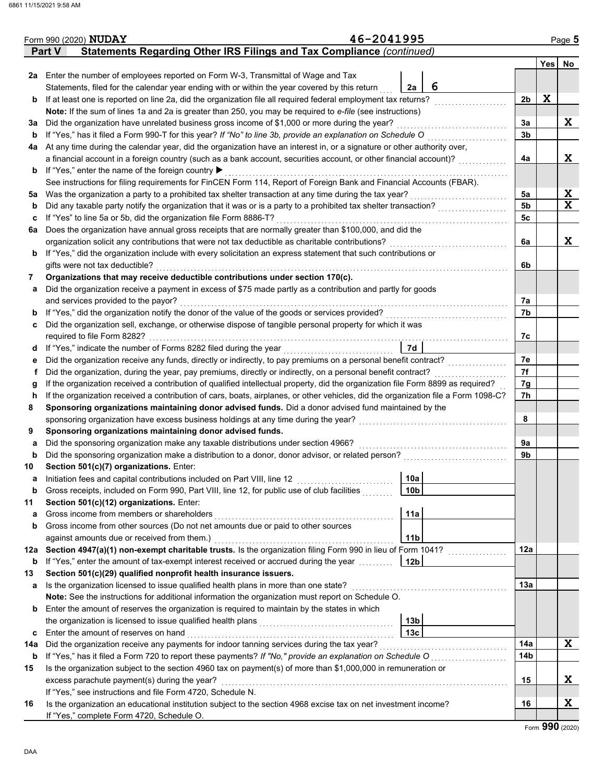|     | Form 990 (2020) NUDAY                                                                                                              | 46-2041995 |                 |   |                |     | Page 5      |
|-----|------------------------------------------------------------------------------------------------------------------------------------|------------|-----------------|---|----------------|-----|-------------|
|     | Statements Regarding Other IRS Filings and Tax Compliance (continued)<br><b>Part V</b>                                             |            |                 |   |                |     |             |
|     |                                                                                                                                    |            |                 |   |                | Yes | No          |
|     | 2a Enter the number of employees reported on Form W-3, Transmittal of Wage and Tax                                                 |            |                 |   |                |     |             |
|     | Statements, filed for the calendar year ending with or within the year covered by this return                                      |            | 2a              | 6 |                |     |             |
|     | <b>b</b> If at least one is reported on line 2a, did the organization file all required federal employment tax returns?            |            |                 |   | 2 <sub>b</sub> | X   |             |
|     | Note: If the sum of lines 1a and 2a is greater than 250, you may be required to e-file (see instructions)                          |            |                 |   |                |     |             |
| За  | Did the organization have unrelated business gross income of \$1,000 or more during the year?                                      |            |                 |   | 3a             |     | X           |
| b   | If "Yes," has it filed a Form 990-T for this year? If "No" to line 3b, provide an explanation on Schedule O                        |            |                 |   | 3 <sub>b</sub> |     |             |
| 4a  | At any time during the calendar year, did the organization have an interest in, or a signature or other authority over,            |            |                 |   |                |     |             |
|     | a financial account in a foreign country (such as a bank account, securities account, or other financial account)?                 |            |                 |   | 4a             |     | X           |
|     | <b>b</b> If "Yes," enter the name of the foreign country ▶                                                                         |            |                 |   |                |     |             |
|     | See instructions for filing requirements for FinCEN Form 114, Report of Foreign Bank and Financial Accounts (FBAR).                |            |                 |   |                |     |             |
| 5a  | Was the organization a party to a prohibited tax shelter transaction at any time during the tax year?                              |            |                 |   | 5a             |     | X           |
| b   | Did any taxable party notify the organization that it was or is a party to a prohibited tax shelter transaction?                   |            |                 |   | 5 <sub>b</sub> |     | $\mathbf x$ |
| c   | If "Yes" to line 5a or 5b, did the organization file Form 8886-T?                                                                  |            |                 |   | 5c             |     |             |
| 6а  | Does the organization have annual gross receipts that are normally greater than \$100,000, and did the                             |            |                 |   |                |     |             |
|     | organization solicit any contributions that were not tax deductible as charitable contributions?                                   |            |                 |   | 6a             |     | X           |
| b   | If "Yes," did the organization include with every solicitation an express statement that such contributions or                     |            |                 |   |                |     |             |
|     | gifts were not tax deductible?                                                                                                     |            |                 |   | 6b             |     |             |
| 7   | Organizations that may receive deductible contributions under section 170(c).                                                      |            |                 |   |                |     |             |
| а   | Did the organization receive a payment in excess of \$75 made partly as a contribution and partly for goods                        |            |                 |   |                |     |             |
|     | and services provided to the payor?                                                                                                |            |                 |   | 7а             |     |             |
| b   | If "Yes," did the organization notify the donor of the value of the goods or services provided?                                    |            |                 |   | 7b             |     |             |
| c   | Did the organization sell, exchange, or otherwise dispose of tangible personal property for which it was                           |            |                 |   |                |     |             |
|     | required to file Form 8282?                                                                                                        |            |                 |   | 7с             |     |             |
| d   | If "Yes," indicate the number of Forms 8282 filed during the year<br>[[[CODER THE VERTIFY]]                                        |            | 7d              |   |                |     |             |
| е   | Did the organization receive any funds, directly or indirectly, to pay premiums on a personal benefit contract?                    |            |                 |   | 7e             |     |             |
| f   | Did the organization, during the year, pay premiums, directly or indirectly, on a personal benefit contract?                       |            |                 |   | 7f             |     |             |
| g   | If the organization received a contribution of qualified intellectual property, did the organization file Form 8899 as required?   |            |                 |   | 7g             |     |             |
| h   | If the organization received a contribution of cars, boats, airplanes, or other vehicles, did the organization file a Form 1098-C? |            |                 |   | 7h             |     |             |
| 8   | Sponsoring organizations maintaining donor advised funds. Did a donor advised fund maintained by the                               |            |                 |   |                |     |             |
|     | sponsoring organization have excess business holdings at any time during the year?                                                 |            |                 |   | 8              |     |             |
| 9   | Sponsoring organizations maintaining donor advised funds.                                                                          |            |                 |   |                |     |             |
| а   | Did the sponsoring organization make any taxable distributions under section 4966?                                                 |            |                 |   | 9a             |     |             |
| b   | Did the sponsoring organization make a distribution to a donor, donor advisor, or related person?                                  |            |                 |   | 9b             |     |             |
| 10  | Section 501(c)(7) organizations. Enter:                                                                                            |            |                 |   |                |     |             |
| а   | Initiation fees and capital contributions included on Part VIII, line 12                                                           |            | 10a             |   |                |     |             |
| b   | Gross receipts, included on Form 990, Part VIII, line 12, for public use of club facilities                                        |            | 10b             |   |                |     |             |
| 11  | Section 501(c)(12) organizations. Enter:                                                                                           |            |                 |   |                |     |             |
| a   | Gross income from members or shareholders                                                                                          |            | 11a             |   |                |     |             |
| b   | Gross income from other sources (Do not net amounts due or paid to other sources                                                   |            |                 |   |                |     |             |
|     | against amounts due or received from them.)                                                                                        |            | 11 <sub>b</sub> |   |                |     |             |
| 12a | Section 4947(a)(1) non-exempt charitable trusts. Is the organization filing Form 990 in lieu of Form 1041?                         |            |                 |   | 12a            |     |             |
| b   | If "Yes," enter the amount of tax-exempt interest received or accrued during the year                                              |            | 12 <sub>b</sub> |   |                |     |             |
| 13  | Section 501(c)(29) qualified nonprofit health insurance issuers.                                                                   |            |                 |   |                |     |             |
| а   | Is the organization licensed to issue qualified health plans in more than one state?                                               |            |                 |   | 13a            |     |             |
|     | Note: See the instructions for additional information the organization must report on Schedule O.                                  |            |                 |   |                |     |             |
| b   | Enter the amount of reserves the organization is required to maintain by the states in which                                       |            |                 |   |                |     |             |
|     |                                                                                                                                    |            | 13 <sub>b</sub> |   |                |     |             |
| c   | Enter the amount of reserves on hand                                                                                               |            | 13 <sub>c</sub> |   |                |     |             |
| 14a |                                                                                                                                    |            |                 |   | 14a            |     | X           |
| b   |                                                                                                                                    |            |                 |   | 14b            |     |             |
| 15  | Is the organization subject to the section 4960 tax on payment(s) of more than \$1,000,000 in remuneration or                      |            |                 |   |                |     |             |
|     | excess parachute payment(s) during the year?                                                                                       |            |                 |   | 15             |     | X           |
|     | If "Yes," see instructions and file Form 4720, Schedule N.                                                                         |            |                 |   |                |     |             |
| 16  | Is the organization an educational institution subject to the section 4968 excise tax on net investment income?                    |            |                 |   | 16             |     | X           |
|     | If "Yes," complete Form 4720, Schedule O.                                                                                          |            |                 |   |                |     |             |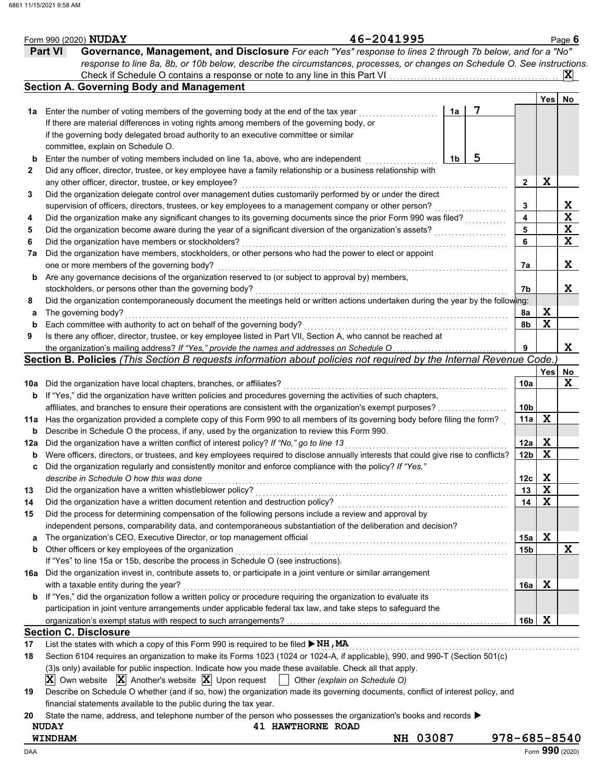|     | Form 990 (2020) NUDAY                                                                                                                                                                                                            | 46-2041995                    |    |                    |                 |             | Page 6                  |
|-----|----------------------------------------------------------------------------------------------------------------------------------------------------------------------------------------------------------------------------------|-------------------------------|----|--------------------|-----------------|-------------|-------------------------|
|     | Governance, Management, and Disclosure For each "Yes" response to lines 2 through 7b below, and for a "No"<br><b>Part VI</b>                                                                                                     |                               |    |                    |                 |             |                         |
|     | response to line 8a, 8b, or 10b below, describe the circumstances, processes, or changes on Schedule O. See instructions.                                                                                                        |                               |    |                    |                 |             |                         |
|     |                                                                                                                                                                                                                                  |                               |    |                    |                 |             | $ \mathbf{X} $          |
|     | <b>Section A. Governing Body and Management</b>                                                                                                                                                                                  |                               |    |                    |                 |             |                         |
|     |                                                                                                                                                                                                                                  |                               |    |                    |                 | Yes         | No                      |
| 1а  | Enter the number of voting members of the governing body at the end of the tax year                                                                                                                                              |                               | 1a | 7                  |                 |             |                         |
|     | If there are material differences in voting rights among members of the governing body, or                                                                                                                                       |                               |    |                    |                 |             |                         |
|     | if the governing body delegated broad authority to an executive committee or similar                                                                                                                                             |                               |    |                    |                 |             |                         |
|     | committee, explain on Schedule O.                                                                                                                                                                                                |                               |    |                    |                 |             |                         |
| b   | Enter the number of voting members included on line 1a, above, who are independent                                                                                                                                               |                               | 1b | 5                  |                 |             |                         |
| 2   | Did any officer, director, trustee, or key employee have a family relationship or a business relationship with                                                                                                                   |                               |    |                    |                 |             |                         |
|     | any other officer, director, trustee, or key employee?                                                                                                                                                                           |                               |    |                    | 2               | X           |                         |
| 3   | Did the organization delegate control over management duties customarily performed by or under the direct                                                                                                                        |                               |    |                    |                 |             |                         |
|     | supervision of officers, directors, trustees, or key employees to a management company or other person?                                                                                                                          |                               |    |                    | 3               |             | $\frac{X}{X}$           |
| 4   | Did the organization make any significant changes to its governing documents since the prior Form 990 was filed?                                                                                                                 |                               |    |                    | 4               |             |                         |
| 5   | Did the organization become aware during the year of a significant diversion of the organization's assets?                                                                                                                       |                               |    |                    | 5               |             | $\overline{\mathbf{X}}$ |
| 6   | Did the organization have members or stockholders?                                                                                                                                                                               |                               |    |                    | 6               |             | $\mathbf x$             |
| 7a  | Did the organization have members, stockholders, or other persons who had the power to elect or appoint                                                                                                                          |                               |    |                    |                 |             |                         |
|     | one or more members of the governing body?                                                                                                                                                                                       |                               |    |                    | 7a              |             | X                       |
| b   | Are any governance decisions of the organization reserved to (or subject to approval by) members,                                                                                                                                |                               |    |                    |                 |             |                         |
|     | stockholders, or persons other than the governing body?                                                                                                                                                                          |                               |    |                    | 7b              |             | X                       |
| 8   | Did the organization contemporaneously document the meetings held or written actions undertaken during the year by the following:                                                                                                |                               |    |                    |                 |             |                         |
| a   | The governing body?                                                                                                                                                                                                              |                               |    |                    | 8a              | X           |                         |
| b   | Each committee with authority to act on behalf of the governing body?                                                                                                                                                            |                               |    |                    | 8b              | $\mathbf x$ |                         |
| 9   | Is there any officer, director, trustee, or key employee listed in Part VII, Section A, who cannot be reached at                                                                                                                 |                               |    |                    |                 |             |                         |
|     | the organization's mailing address? If "Yes," provide the names and addresses on Schedule O<br>Section B. Policies (This Section B requests information about policies not required by the Internal Revenue Code.                |                               |    |                    | 9               |             | X                       |
|     |                                                                                                                                                                                                                                  |                               |    |                    |                 | <b>Yes</b>  |                         |
|     |                                                                                                                                                                                                                                  |                               |    |                    | 10a             |             | No<br>X                 |
| 10a | Did the organization have local chapters, branches, or affiliates?<br>If "Yes," did the organization have written policies and procedures governing the activities of such chapters,                                             |                               |    |                    |                 |             |                         |
| b   | affiliates, and branches to ensure their operations are consistent with the organization's exempt purposes?                                                                                                                      |                               |    |                    | 10 <sub>b</sub> |             |                         |
|     |                                                                                                                                                                                                                                  |                               |    |                    | 11a             | X           |                         |
| b   | 11a Has the organization provided a complete copy of this Form 990 to all members of its governing body before filing the form?<br>Describe in Schedule O the process, if any, used by the organization to review this Form 990. |                               |    |                    |                 |             |                         |
| 12a | Did the organization have a written conflict of interest policy? If "No," go to line 13                                                                                                                                          |                               |    |                    | 12a             | X           |                         |
| b   | Were officers, directors, or trustees, and key employees required to disclose annually interests that could give rise to conflicts?                                                                                              |                               |    |                    | 12 <sub>b</sub> | $\mathbf x$ |                         |
| c   | Did the organization regularly and consistently monitor and enforce compliance with the policy? If "Yes,"                                                                                                                        |                               |    |                    |                 |             |                         |
|     | describe in Schedule O how this was done                                                                                                                                                                                         |                               |    |                    | 12c             | X           |                         |
| 13  | Did the organization have a written whistleblower policy?                                                                                                                                                                        |                               |    |                    | 13              | X           |                         |
| 14  | Did the organization have a written document retention and destruction policy?                                                                                                                                                   |                               |    |                    | 14              | $\mathbf x$ |                         |
| 15  | Did the process for determining compensation of the following persons include a review and approval by                                                                                                                           |                               |    |                    |                 |             |                         |
|     | independent persons, comparability data, and contemporaneous substantiation of the deliberation and decision?                                                                                                                    |                               |    |                    |                 |             |                         |
| a   |                                                                                                                                                                                                                                  |                               |    |                    | 15a             | X           |                         |
| b   | Other officers or key employees of the organization                                                                                                                                                                              |                               |    |                    | 15 <sub>b</sub> |             | X                       |
|     | If "Yes" to line 15a or 15b, describe the process in Schedule O (see instructions).                                                                                                                                              |                               |    |                    |                 |             |                         |
| 16a | Did the organization invest in, contribute assets to, or participate in a joint venture or similar arrangement                                                                                                                   |                               |    |                    |                 |             |                         |
|     | with a taxable entity during the year?                                                                                                                                                                                           |                               |    |                    | 16a             | X           |                         |
| b   | If "Yes," did the organization follow a written policy or procedure requiring the organization to evaluate its                                                                                                                   |                               |    |                    |                 |             |                         |
|     | participation in joint venture arrangements under applicable federal tax law, and take steps to safeguard the                                                                                                                    |                               |    |                    |                 |             |                         |
|     |                                                                                                                                                                                                                                  |                               |    |                    | 16b             | X           |                         |
|     | <b>Section C. Disclosure</b>                                                                                                                                                                                                     |                               |    |                    |                 |             |                         |
| 17  | List the states with which a copy of this Form 990 is required to be filed $\triangleright$ NH, MA                                                                                                                               |                               |    |                    |                 |             |                         |
| 18  | Section 6104 requires an organization to make its Forms 1023 (1024 or 1024-A, if applicable), 990, and 990-T (Section 501(c)                                                                                                     |                               |    |                    |                 |             |                         |
|     | (3)s only) available for public inspection. Indicate how you made these available. Check all that apply.                                                                                                                         |                               |    |                    |                 |             |                         |
|     | $ \mathbf{X} $ Own website $ \mathbf{X} $ Another's website $ \mathbf{X} $ Upon request                                                                                                                                          | Other (explain on Schedule O) |    |                    |                 |             |                         |
| 19  | Describe on Schedule O whether (and if so, how) the organization made its governing documents, conflict of interest policy, and                                                                                                  |                               |    |                    |                 |             |                         |
|     | financial statements available to the public during the tax year.                                                                                                                                                                |                               |    |                    |                 |             |                         |
| 20  | State the name, address, and telephone number of the person who possesses the organization's books and records $\blacktriangleright$                                                                                             |                               |    |                    |                 |             |                         |
|     | <b>NUDAY</b><br><b>41 HAWTHORNE ROAD</b>                                                                                                                                                                                         |                               |    |                    |                 |             |                         |
|     | WINDHAM                                                                                                                                                                                                                          | NH 03087                      |    | $978 - 685 - 8540$ |                 |             |                         |
| DAA |                                                                                                                                                                                                                                  |                               |    |                    |                 |             | Form 990 (2020)         |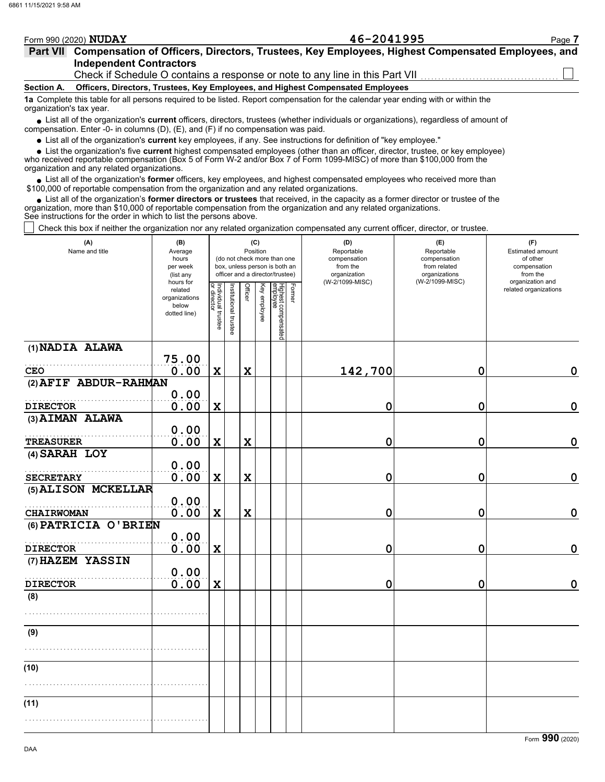|                 | Form 990 (2020) NUDAY          | 46-2041995                                                                                                                                                                       | Page 7 |
|-----------------|--------------------------------|----------------------------------------------------------------------------------------------------------------------------------------------------------------------------------|--------|
| <b>Part VII</b> | <b>Independent Contractors</b> | Compensation of Officers, Directors, Trustees, Key Employees, Highest Compensated Employees, and<br>Check if Schedule O contains a response or note to any line in this Part VII |        |
| Section A.      |                                | Officers, Directors, Trustees, Key Employees, and Highest Compensated Employees                                                                                                  |        |
|                 | organization's tax year.       | 1a Complete this table for all persons required to be listed. Report compensation for the calendar year ending with or within the                                                |        |
|                 |                                | • List all of the organization's <b>current</b> officers, directors, trustees (whether individuals or organizations), regardless of amount of                                    |        |

List all of the organization's **current** officers, directors, trustees (whether individuals or organizations), regardless of amount of ● List all of the organization's **current** officers, directors, trustees (whether indi<br>compensation. Enter -0- in columns (D), (E), and (F) if no compensation was paid.

List all of the organization's **current** key employees, if any. See instructions for definition of "key employee."

List the organization's five **current** highest compensated employees (other than an officer, director, trustee, or key employee) **• •**

who received reportable compensation (Box 5 of Form W-2 and/or Box 7 of Form 1099-MISC) of more than \$100,000 from the organization and any related organizations.

• List all of the organization's **former** officers, key employees, and highest compensated employees who received more than<br>00,000 of reportable compensation from the organization and any related erganizations. \$100,000 of reportable compensation from the organization and any related organizations.

List all of the organization's **former directors or trustees** that received, in the capacity as a former director or trustee of the • List all of the organization's **former directors or trustees** that received, in the capacity as a former director organization, more than \$10,000 of reportable compensation from the organization and any related organizat See instructions for the order in which to list the persons above.

Check this box if neither the organization nor any related organization compensated any current officer, director, or trustee.

| (A)<br>Name and title | (B)<br>Average<br>hours<br>per week<br>(list any<br>hours for |                                   |                       | (C)<br>Position |              | (do not check more than one<br>box, unless person is both an<br>officer and a director/trustee) |        | (D)<br>Reportable<br>compensation<br>from the<br>organization<br>(W-2/1099-MISC) | (E)<br>Reportable<br>compensation<br>from related<br>organizations<br>(W-2/1099-MISC) | (F)<br>Estimated amount<br>of other<br>compensation<br>from the<br>organization and |  |  |
|-----------------------|---------------------------------------------------------------|-----------------------------------|-----------------------|-----------------|--------------|-------------------------------------------------------------------------------------------------|--------|----------------------------------------------------------------------------------|---------------------------------------------------------------------------------------|-------------------------------------------------------------------------------------|--|--|
|                       | related<br>organizations<br>below<br>dotted line)             | Individual trustee<br>or director | Institutional trustee | <b>Officer</b>  | Key employee | Highest compensated<br>employee                                                                 | Former |                                                                                  |                                                                                       | related organizations                                                               |  |  |
| (1) NADIA ALAWA       | 75.00                                                         |                                   |                       |                 |              |                                                                                                 |        |                                                                                  |                                                                                       |                                                                                     |  |  |
| <b>CEO</b>            | 0.00                                                          | $\mathbf x$                       |                       | $\mathbf x$     |              |                                                                                                 |        | 142,700                                                                          | 0                                                                                     | $\mathbf 0$                                                                         |  |  |
| (2) AFIF ABDUR-RAHMAN |                                                               |                                   |                       |                 |              |                                                                                                 |        |                                                                                  |                                                                                       |                                                                                     |  |  |
|                       | 0.00                                                          |                                   |                       |                 |              |                                                                                                 |        |                                                                                  |                                                                                       |                                                                                     |  |  |
| <b>DIRECTOR</b>       | 0.00                                                          | X                                 |                       |                 |              |                                                                                                 |        | 0                                                                                | 0                                                                                     | $\mathbf 0$                                                                         |  |  |
| (3) AIMAN ALAWA       |                                                               |                                   |                       |                 |              |                                                                                                 |        |                                                                                  |                                                                                       |                                                                                     |  |  |
| <b>TREASURER</b>      | 0.00<br>0.00                                                  | $\mathbf x$                       |                       | $\mathbf x$     |              |                                                                                                 |        | 0                                                                                | 0                                                                                     | $\mathbf 0$                                                                         |  |  |
| (4) SARAH LOY         |                                                               |                                   |                       |                 |              |                                                                                                 |        |                                                                                  |                                                                                       |                                                                                     |  |  |
|                       | 0.00                                                          |                                   |                       |                 |              |                                                                                                 |        |                                                                                  |                                                                                       |                                                                                     |  |  |
| <b>SECRETARY</b>      | 0.00                                                          | $\mathbf x$                       |                       | $\mathbf x$     |              |                                                                                                 |        | $\mathbf 0$                                                                      | 0                                                                                     | $\mathbf 0$                                                                         |  |  |
| (5) ALISON MCKELLAR   |                                                               |                                   |                       |                 |              |                                                                                                 |        |                                                                                  |                                                                                       |                                                                                     |  |  |
|                       | 0.00                                                          |                                   |                       |                 |              |                                                                                                 |        |                                                                                  |                                                                                       |                                                                                     |  |  |
| <b>CHAIRWOMAN</b>     | 0.00                                                          | X                                 |                       | $\mathbf x$     |              |                                                                                                 |        | 0                                                                                | 0                                                                                     | $\boldsymbol{0}$                                                                    |  |  |
| (6) PATRICIA O'BRIEN  | 0.00                                                          |                                   |                       |                 |              |                                                                                                 |        |                                                                                  |                                                                                       |                                                                                     |  |  |
| <b>DIRECTOR</b>       | 0.00                                                          | $\mathbf x$                       |                       |                 |              |                                                                                                 |        | 0                                                                                | 0                                                                                     | $\boldsymbol{0}$                                                                    |  |  |
| (7) HAZEM YASSIN      |                                                               |                                   |                       |                 |              |                                                                                                 |        |                                                                                  |                                                                                       |                                                                                     |  |  |
|                       | 0.00                                                          |                                   |                       |                 |              |                                                                                                 |        |                                                                                  |                                                                                       |                                                                                     |  |  |
| <b>DIRECTOR</b>       | 0.00                                                          | X                                 |                       |                 |              |                                                                                                 |        | 0                                                                                | 0                                                                                     | $\mathbf 0$                                                                         |  |  |
| (8)                   |                                                               |                                   |                       |                 |              |                                                                                                 |        |                                                                                  |                                                                                       |                                                                                     |  |  |
|                       |                                                               |                                   |                       |                 |              |                                                                                                 |        |                                                                                  |                                                                                       |                                                                                     |  |  |
| (9)                   |                                                               |                                   |                       |                 |              |                                                                                                 |        |                                                                                  |                                                                                       |                                                                                     |  |  |
|                       |                                                               |                                   |                       |                 |              |                                                                                                 |        |                                                                                  |                                                                                       |                                                                                     |  |  |
| (10)                  |                                                               |                                   |                       |                 |              |                                                                                                 |        |                                                                                  |                                                                                       |                                                                                     |  |  |
|                       |                                                               |                                   |                       |                 |              |                                                                                                 |        |                                                                                  |                                                                                       |                                                                                     |  |  |
|                       |                                                               |                                   |                       |                 |              |                                                                                                 |        |                                                                                  |                                                                                       |                                                                                     |  |  |
| (11)                  |                                                               |                                   |                       |                 |              |                                                                                                 |        |                                                                                  |                                                                                       |                                                                                     |  |  |
|                       |                                                               |                                   |                       |                 |              |                                                                                                 |        |                                                                                  |                                                                                       |                                                                                     |  |  |
|                       |                                                               |                                   |                       |                 |              |                                                                                                 |        |                                                                                  |                                                                                       |                                                                                     |  |  |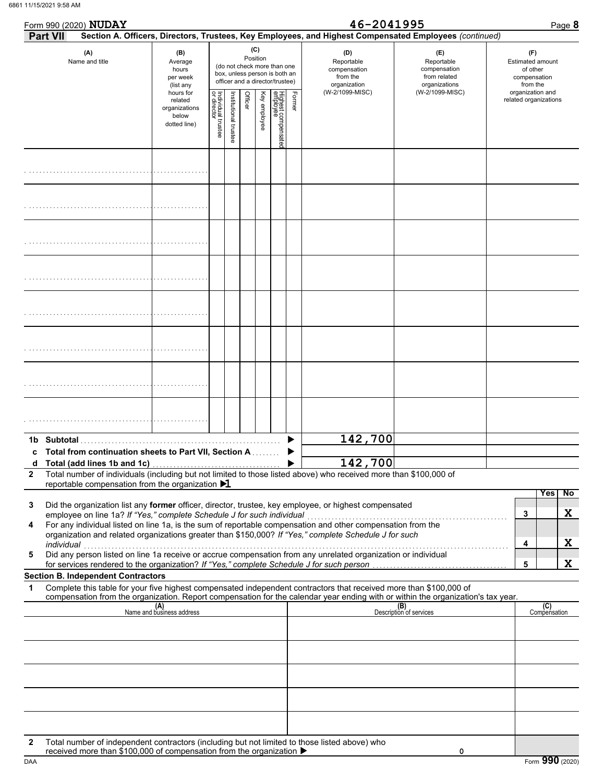|                 | 11/15/2021 9:58 AM                                                                                                                                                                                                                                                                                                                                                                                      |                                                                |                                   |                       |         |              |                                                                                                 |        |                                                               |                                                                                                        |                                                                        |
|-----------------|---------------------------------------------------------------------------------------------------------------------------------------------------------------------------------------------------------------------------------------------------------------------------------------------------------------------------------------------------------------------------------------------------------|----------------------------------------------------------------|-----------------------------------|-----------------------|---------|--------------|-------------------------------------------------------------------------------------------------|--------|---------------------------------------------------------------|--------------------------------------------------------------------------------------------------------|------------------------------------------------------------------------|
|                 | Form 990 (2020) NUDAY                                                                                                                                                                                                                                                                                                                                                                                   |                                                                |                                   |                       |         |              |                                                                                                 |        | 46-2041995                                                    |                                                                                                        | Page 8                                                                 |
| <b>Part VII</b> |                                                                                                                                                                                                                                                                                                                                                                                                         |                                                                |                                   |                       |         |              |                                                                                                 |        |                                                               | Section A. Officers, Directors, Trustees, Key Employees, and Highest Compensated Employees (continued) |                                                                        |
|                 | (A)<br>Name and title                                                                                                                                                                                                                                                                                                                                                                                   | (B)<br>Average<br>hours<br>per week<br>(list any               |                                   |                       | (C)     | Position     | (do not check more than one<br>box, unless person is both an<br>officer and a director/trustee) |        | (D)<br>Reportable<br>compensation<br>from the<br>organization | (E)<br>Reportable<br>compensation<br>from related<br>organizations                                     | (F)<br><b>Estimated amount</b><br>of other<br>compensation<br>from the |
|                 |                                                                                                                                                                                                                                                                                                                                                                                                         | hours for<br>related<br>organizations<br>below<br>dotted line) | Individual trustee<br>or director | Institutional trustee | Officer | Key employee | Highest compensatec<br>employee                                                                 | Former | (W-2/1099-MISC)                                               | (W-2/1099-MISC)                                                                                        | organization and<br>related organizations                              |
|                 |                                                                                                                                                                                                                                                                                                                                                                                                         |                                                                |                                   |                       |         |              |                                                                                                 |        |                                                               |                                                                                                        |                                                                        |
|                 |                                                                                                                                                                                                                                                                                                                                                                                                         |                                                                |                                   |                       |         |              |                                                                                                 |        |                                                               |                                                                                                        |                                                                        |
|                 |                                                                                                                                                                                                                                                                                                                                                                                                         |                                                                |                                   |                       |         |              |                                                                                                 |        |                                                               |                                                                                                        |                                                                        |
|                 |                                                                                                                                                                                                                                                                                                                                                                                                         |                                                                |                                   |                       |         |              |                                                                                                 |        |                                                               |                                                                                                        |                                                                        |
|                 |                                                                                                                                                                                                                                                                                                                                                                                                         |                                                                |                                   |                       |         |              |                                                                                                 |        |                                                               |                                                                                                        |                                                                        |
|                 |                                                                                                                                                                                                                                                                                                                                                                                                         |                                                                |                                   |                       |         |              |                                                                                                 |        |                                                               |                                                                                                        |                                                                        |
|                 |                                                                                                                                                                                                                                                                                                                                                                                                         |                                                                |                                   |                       |         |              |                                                                                                 |        |                                                               |                                                                                                        |                                                                        |
|                 |                                                                                                                                                                                                                                                                                                                                                                                                         |                                                                |                                   |                       |         |              |                                                                                                 |        |                                                               |                                                                                                        |                                                                        |
|                 | 1b Subtotal<br>Total from continuation sheets to Part VII, Section A ▶                                                                                                                                                                                                                                                                                                                                  |                                                                |                                   |                       |         |              |                                                                                                 |        | 142,700                                                       |                                                                                                        |                                                                        |
| d               | Total (add lines 1b and 1c)                                                                                                                                                                                                                                                                                                                                                                             |                                                                |                                   |                       |         |              |                                                                                                 |        | 142,700                                                       |                                                                                                        |                                                                        |
| $\mathbf{2}$    | Total number of individuals (including but not limited to those listed above) who received more than \$100,000 of<br>reportable compensation from the organization $\blacktriangleright$ 1                                                                                                                                                                                                              |                                                                |                                   |                       |         |              |                                                                                                 |        |                                                               |                                                                                                        |                                                                        |
| 3<br>4          | Did the organization list any former officer, director, trustee, key employee, or highest compensated<br>employee on line 1a? If "Yes," complete Schedule J for such individual<br>For any individual listed on line 1a, is the sum of reportable compensation and other compensation from the<br>organization and related organizations greater than \$150,000? If "Yes," complete Schedule J for such |                                                                |                                   |                       |         |              |                                                                                                 |        |                                                               |                                                                                                        | <b>Yes</b><br>No<br>X<br>3                                             |
| 5               | individual<br>Did any person listed on line 1a receive or accrue compensation from any unrelated organization or individual<br>for services rendered to the organization? If "Yes," complete Schedule J for such person                                                                                                                                                                                 |                                                                |                                   |                       |         |              |                                                                                                 |        |                                                               |                                                                                                        | X<br>4<br>X<br>5                                                       |
|                 | <b>Section B. Independent Contractors</b>                                                                                                                                                                                                                                                                                                                                                               |                                                                |                                   |                       |         |              |                                                                                                 |        |                                                               |                                                                                                        |                                                                        |
| 1               | Complete this table for your five highest compensated independent contractors that received more than \$100,000 of<br>compensation from the organization. Report compensation for the calendar year ending with or within the organization's tax year.                                                                                                                                                  |                                                                |                                   |                       |         |              |                                                                                                 |        |                                                               |                                                                                                        |                                                                        |
|                 |                                                                                                                                                                                                                                                                                                                                                                                                         | (A)<br>Name and business address                               |                                   |                       |         |              |                                                                                                 |        |                                                               | (B)<br>Description of services                                                                         | (C)<br>Compensation                                                    |

| $\mathbf{2}$ | Total number of individuals (including but not limited to those listed above) who received more than \$100,000 of<br>reportable compensation from the organization $\blacktriangleright$ 1 |   |      |      |
|--------------|--------------------------------------------------------------------------------------------------------------------------------------------------------------------------------------------|---|------|------|
|              |                                                                                                                                                                                            |   | Yesl | - No |
| 3            | Did the organization list any <b>former</b> officer, director, trustee, key employee, or highest compensated                                                                               |   |      |      |
|              | employee on line 1a? If "Yes," complete Schedule J for such individual                                                                                                                     |   |      |      |
| 4            | For any individual listed on line 1a, is the sum of reportable compensation and other compensation from the                                                                                |   |      |      |
|              | organization and related organizations greater than \$150,000? If "Yes," complete Schedule J for such                                                                                      |   |      |      |
|              | individual                                                                                                                                                                                 | Д |      |      |
| 5            | Did any person listed on line 1a receive or accrue compensation from any unrelated organization or individual                                                                              |   |      |      |
|              | for services rendered to the organization? If "Yes," complete Schedule J for such person                                                                                                   |   |      |      |
|              | Section B. Independent Contractors                                                                                                                                                         |   |      |      |

### **Section B. Independent Contractors**

|              | Compensation nom the organization. Report compensation for the calendar year ending with or within the organization's tax year.                                       |                                |                     |
|--------------|-----------------------------------------------------------------------------------------------------------------------------------------------------------------------|--------------------------------|---------------------|
|              | $(A)$ Name and business address                                                                                                                                       | (B)<br>Description of services | (C)<br>Compensation |
|              |                                                                                                                                                                       |                                |                     |
|              |                                                                                                                                                                       |                                |                     |
|              |                                                                                                                                                                       |                                |                     |
|              |                                                                                                                                                                       |                                |                     |
|              |                                                                                                                                                                       |                                |                     |
|              |                                                                                                                                                                       |                                |                     |
|              |                                                                                                                                                                       |                                |                     |
| $\mathbf{2}$ | Total number of independent contractors (including but not limited to those listed above) who<br>received more than \$100,000 of compensation from the organization ▶ | 0                              |                     |

received more than \$100,000 of compensation from the organization  $\blacktriangleright$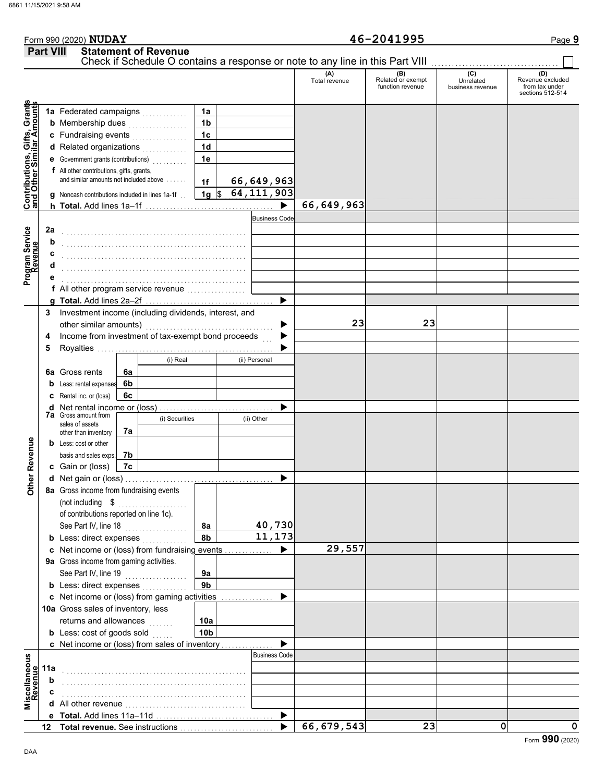## Form 990 (2020) Page **9 Part VIII Statement of Revenue NUDAY 46-2041995**

|                                                                  |     |                                                                     |    |                |                 | Check if Schedule O contains a response or note to any line in this Part VIII |                      |                                              |                                      |                                                               |
|------------------------------------------------------------------|-----|---------------------------------------------------------------------|----|----------------|-----------------|-------------------------------------------------------------------------------|----------------------|----------------------------------------------|--------------------------------------|---------------------------------------------------------------|
|                                                                  |     |                                                                     |    |                |                 |                                                                               | (A)<br>Total revenue | (B)<br>Related or exempt<br>function revenue | (C)<br>Unrelated<br>business revenue | (D)<br>Revenue excluded<br>from tax under<br>sections 512-514 |
|                                                                  |     |                                                                     |    |                | 1a              |                                                                               |                      |                                              |                                      |                                                               |
|                                                                  |     | 1a Federated campaigns<br><b>b</b> Membership dues                  |    |                | 1 <sub>b</sub>  |                                                                               |                      |                                              |                                      |                                                               |
|                                                                  |     | .<br>c Fundraising events                                           |    |                | 1 <sub>c</sub>  |                                                                               |                      |                                              |                                      |                                                               |
|                                                                  |     | d Related organizations                                             |    | .              | 1 <sub>d</sub>  |                                                                               |                      |                                              |                                      |                                                               |
|                                                                  |     | e Government grants (contributions)                                 |    |                | 1e              |                                                                               |                      |                                              |                                      |                                                               |
| <b>Contributions, Gifts, Grants</b><br>and Other Similar Amounts |     | f All other contributions, gifts, grants,                           |    |                |                 |                                                                               |                      |                                              |                                      |                                                               |
|                                                                  |     | and similar amounts not included above                              |    |                | 1f              | 66,649,963                                                                    |                      |                                              |                                      |                                                               |
|                                                                  |     | <b>g</b> Noncash contributions included in lines 1a-1f              |    |                | $1g \sqrt{3}$   | $\overline{64,111,903}$                                                       |                      |                                              |                                      |                                                               |
|                                                                  |     |                                                                     |    |                |                 |                                                                               | 66, 649, 963         |                                              |                                      |                                                               |
|                                                                  |     |                                                                     |    |                |                 | <b>Business Code</b>                                                          |                      |                                              |                                      |                                                               |
|                                                                  | 2a  |                                                                     |    |                |                 |                                                                               |                      |                                              |                                      |                                                               |
| Program Service<br>Revenue                                       | b   |                                                                     |    |                |                 |                                                                               |                      |                                              |                                      |                                                               |
|                                                                  | c   |                                                                     |    |                |                 |                                                                               |                      |                                              |                                      |                                                               |
|                                                                  | d   |                                                                     |    |                |                 |                                                                               |                      |                                              |                                      |                                                               |
|                                                                  |     |                                                                     |    |                |                 |                                                                               |                      |                                              |                                      |                                                               |
|                                                                  |     | f All other program service revenue                                 |    |                |                 |                                                                               |                      |                                              |                                      |                                                               |
|                                                                  |     |                                                                     |    |                |                 | ▶                                                                             |                      |                                              |                                      |                                                               |
|                                                                  | 3   | Investment income (including dividends, interest, and               |    |                |                 |                                                                               |                      |                                              |                                      |                                                               |
|                                                                  |     | other similar amounts)                                              |    |                |                 |                                                                               | 23                   | 23                                           |                                      |                                                               |
|                                                                  | 4   | Income from investment of tax-exempt bond proceeds                  |    |                |                 |                                                                               |                      |                                              |                                      |                                                               |
|                                                                  | 5   |                                                                     |    |                |                 |                                                                               |                      |                                              |                                      |                                                               |
|                                                                  |     |                                                                     |    | (i) Real       |                 | (ii) Personal                                                                 |                      |                                              |                                      |                                                               |
|                                                                  |     | <b>6a</b> Gross rents                                               | 6a |                |                 |                                                                               |                      |                                              |                                      |                                                               |
|                                                                  |     | Less: rental expenses                                               | 6b |                |                 |                                                                               |                      |                                              |                                      |                                                               |
|                                                                  |     | C Rental inc. or (loss)                                             | 6с |                |                 |                                                                               |                      |                                              |                                      |                                                               |
|                                                                  |     | <b>d</b> Net rental income or (loss)<br><b>7a</b> Gross amount from |    |                |                 |                                                                               |                      |                                              |                                      |                                                               |
|                                                                  |     | sales of assets                                                     |    | (i) Securities |                 | (ii) Other                                                                    |                      |                                              |                                      |                                                               |
|                                                                  |     | other than inventory<br><b>b</b> Less: cost or other                | 7a |                |                 |                                                                               |                      |                                              |                                      |                                                               |
| <b>Other Revenue</b>                                             |     | basis and sales exps.                                               | 7b |                |                 |                                                                               |                      |                                              |                                      |                                                               |
|                                                                  |     | c Gain or (loss)                                                    | 7c |                |                 |                                                                               |                      |                                              |                                      |                                                               |
|                                                                  |     |                                                                     |    |                |                 |                                                                               |                      |                                              |                                      |                                                               |
|                                                                  |     | 8a Gross income from fundraising events                             |    |                |                 |                                                                               |                      |                                              |                                      |                                                               |
|                                                                  |     |                                                                     |    |                |                 |                                                                               |                      |                                              |                                      |                                                               |
|                                                                  |     | of contributions reported on line 1c).                              |    |                |                 |                                                                               |                      |                                              |                                      |                                                               |
|                                                                  |     | See Part IV, line 18                                                |    | .              | 8a              | 40,730                                                                        |                      |                                              |                                      |                                                               |
|                                                                  |     | <b>b</b> Less: direct expenses                                      |    |                | 8b              | $\overline{11}$ , 173                                                         |                      |                                              |                                      |                                                               |
|                                                                  |     | c Net income or (loss) from fundraising events                      |    |                |                 |                                                                               | 29,557               |                                              |                                      |                                                               |
|                                                                  |     | 9a Gross income from gaming activities.                             |    |                |                 |                                                                               |                      |                                              |                                      |                                                               |
|                                                                  |     | See Part IV, line 19                                                |    | .              | 9a              |                                                                               |                      |                                              |                                      |                                                               |
|                                                                  |     | <b>b</b> Less: direct expenses                                      |    |                | 9 <sub>b</sub>  |                                                                               |                      |                                              |                                      |                                                               |
|                                                                  |     | c Net income or (loss) from gaming activities                       |    |                |                 |                                                                               |                      |                                              |                                      |                                                               |
|                                                                  |     | 10a Gross sales of inventory, less                                  |    |                |                 |                                                                               |                      |                                              |                                      |                                                               |
|                                                                  |     | returns and allowances                                              |    | .              | 10a             |                                                                               |                      |                                              |                                      |                                                               |
|                                                                  |     | <b>b</b> Less: cost of goods sold $\ldots$                          |    |                | 10 <sub>b</sub> |                                                                               |                      |                                              |                                      |                                                               |
|                                                                  |     | c Net income or (loss) from sales of inventory                      |    |                |                 |                                                                               |                      |                                              |                                      |                                                               |
|                                                                  |     |                                                                     |    |                |                 | <b>Business Code</b>                                                          |                      |                                              |                                      |                                                               |
|                                                                  | 11a |                                                                     |    |                |                 |                                                                               |                      |                                              |                                      |                                                               |
| Miscellaneous<br>Revenue                                         | b   |                                                                     |    |                |                 |                                                                               |                      |                                              |                                      |                                                               |
|                                                                  | c   |                                                                     |    |                |                 |                                                                               |                      |                                              |                                      |                                                               |
|                                                                  |     |                                                                     |    |                |                 |                                                                               |                      |                                              |                                      |                                                               |
|                                                                  |     |                                                                     |    |                |                 | ▶                                                                             | 66, 679, 543         | 23                                           | 0                                    | 0                                                             |
|                                                                  | 12  |                                                                     |    |                |                 |                                                                               |                      |                                              |                                      |                                                               |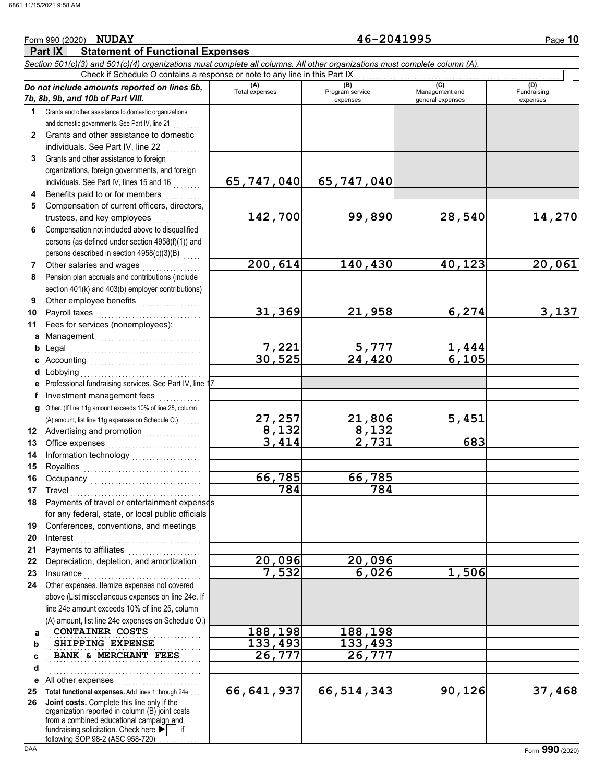### **Part IX Statement of Functional Expenses** Form 990 (2020) Page **10** *Section 501(c)(3) and 501(c)(4) organizations must complete all columns. All other organizations must complete column (A). Do not include amounts reported on lines 6b, 7b, 8b, 9b, and 10b of Part VIII.* **1 2 3 4 5 6 7 8 9 10 11 a** Management .............................. **b** Legal **c** Accounting . . . . . . . . . . . . . . . . . . . . . . . . . . . . . . . . **d** Lobbying **e f g** Other. (If line 11g amount exceeds 10% of line 25, column **12** Advertising and promotion **. . . . . . . . . . . .** . . **13 14 15 16 17 18 19 20 21 22 23 24 a b c d e** All other expenses . . . . . . . . . . . . . . . . . . . . . . . . **25 Total functional expenses.** Add lines 1 through 24e . . . **26** Grants and other assistance to domestic organizations and domestic governments. See Part IV, line 21 Grants and other assistance to domestic individuals. See Part IV, line 22 Grants and other assistance to foreign organizations, foreign governments, and foreign individuals. See Part IV, lines 15 and 16 Benefits paid to or for members . . . . . . . . . . Compensation of current officers, directors, trustees, and key employees . . . . . . . Compensation not included above to disqualified persons (as defined under section 4958(f)(1)) and persons described in section 4958(c)(3)(B) Other salaries and wages .................. Pension plan accruals and contributions (include section 401(k) and 403(b) employer contributions) Other employee benefits ................... Payroll taxes Fees for services (nonemployees): Legal . . . . . . . . . . . . . . . . . . . . . . . . . . . . . . . . . . . . . . Lobbying . . . . . . . . . . . . . . . . . . . . . . . . . . . . . . . . . . . Professional fundraising services. See Part IV, line 17 Investment management fees ............. Office expenses . . . . . . . . . . . . . . . . . . . . . . . . . . . Information technology . . . . . . . . . . . . . . . . . . . . Royalties . . . . . . . . . . . . . . . . . . . . . . . . . . . . . . . . . . Occupancy . . . . . . . . . . . . . . . . . . . . . . . . . . . . . . . . Travel . . . . . . . . . . . . . . . . . . . . . . . . . . . . . . . . . . . . . . Payments of travel or entertainment expenses for any federal, state, or local public officials Conferences, conventions, and meetings . Interest . . . . . . . . . . . . . . . . . . . . . . . . . . . . . . . . . . . . Payments to affiliates . . . . . . . . . . . . . . . . Depreciation, depletion, and amortization . Insurance . . . . . . . . . . . . . . . . . . . . . . . . . . . . . . . . . . Other expenses. Itemize expenses not covered above (List miscellaneous expenses on line 24e. If line 24e amount exceeds 10% of line 25, column (A) amount, list line 24e expenses on Schedule O.) fundraising solicitation. Check here  $\blacktriangleright$  | if organization reported in column (B) joint costs from a combined educational campaign and following SOP 98-2 (ASC 958-720) **(A) (B)** (B) (B) (C) (C) (A) (D)<br>Total expenses Program service Management and Fundrai expenses and general expenses (D)<br>Fundraising expenses **CONTAINER COSTS** 188,198 188,198 **SHIPPING EXPENSE** 133,493 133,493 **BANK & MERCHANT FEES** 26,777 26,777 . . . . . . . . . . . . . . . . . . . . . . . . . . . . . . . . . . . . . . . . . . . . . Check if Schedule O contains a response or note to any line in this Part IX **Joint costs.** Complete this line only if the (A) amount, list line 11g expenses on Schedule O.) . . . . . . . **65,747,040 65,747,040 142,700 99,890 28,540 14,270 200,614 140,430 40,123 20,061 31,369 21,958 6,274 3,137 7,221 5,777 1,444 30,525 24,420 6,105 27,257 21,806 5,451 8,132 8,132 3,414 2,731 683 66,785 66,785 784 784 20,096 20,096 7,532 6,026 1,506 66,641,937 66,514,343 90,126 37,468**

**NUDAY 46-2041995**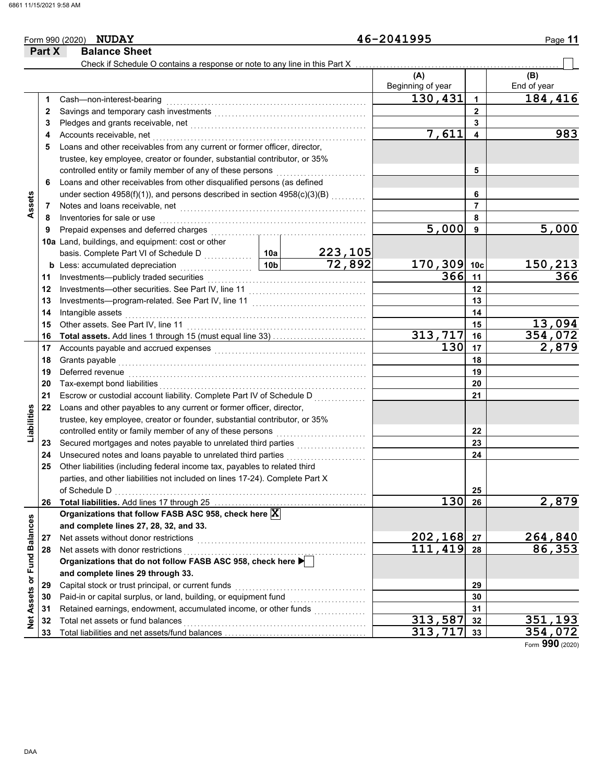|                             | Part X   | <b>Balance Sheet</b>                                                                                             |                 |         |                   |                      |                    |
|-----------------------------|----------|------------------------------------------------------------------------------------------------------------------|-----------------|---------|-------------------|----------------------|--------------------|
|                             |          | Check if Schedule O contains a response or note to any line in this Part X                                       |                 |         |                   |                      |                    |
|                             |          |                                                                                                                  |                 |         | (A)               |                      | (B)                |
|                             |          |                                                                                                                  |                 |         | Beginning of year |                      | End of year        |
|                             | 1.       | Cash-non-interest-bearing                                                                                        |                 |         | 130,431           | $\blacktriangleleft$ | 184,416            |
|                             | 2        |                                                                                                                  |                 |         |                   | $\mathbf{2}$         |                    |
|                             | 3        |                                                                                                                  |                 | 3       |                   |                      |                    |
|                             | 4        | Accounts receivable, net                                                                                         |                 |         | 7,611             | 4                    | 983                |
|                             | 5        | Loans and other receivables from any current or former officer, director,                                        |                 |         |                   |                      |                    |
|                             |          | trustee, key employee, creator or founder, substantial contributor, or 35%                                       |                 |         |                   |                      |                    |
|                             |          | controlled entity or family member of any of these persons                                                       |                 | 5       |                   |                      |                    |
|                             | 6        | Loans and other receivables from other disqualified persons (as defined                                          |                 |         |                   | 6                    |                    |
|                             |          | under section 4958(f)(1)), and persons described in section 4958(c)(3)(B)                                        |                 |         |                   | $\overline{7}$       |                    |
| Assets                      | 7<br>8   | Inventories for sale or use                                                                                      |                 |         | 8                 |                      |                    |
|                             | 9        | Prepaid expenses and deferred charges                                                                            |                 |         | 5,000             | 9                    | 5,000              |
|                             |          | 10a Land, buildings, and equipment: cost or other                                                                |                 |         |                   |                      |                    |
|                             |          | basis. Complete Part VI of Schedule D                                                                            | 10a             | 223,105 |                   |                      |                    |
|                             |          | <b>b</b> Less: accumulated depreciation                                                                          | 10 <sub>b</sub> | 72,892  | 170,309           | 10 <sub>c</sub>      | 150,213            |
|                             | 11       | .<br>Investments-publicly traded securities                                                                      |                 |         | 366               | 11                   | 366                |
|                             | 12       |                                                                                                                  |                 |         |                   | 12                   |                    |
|                             | 13       |                                                                                                                  |                 |         |                   | 13                   |                    |
|                             | 14       | Intangible assets                                                                                                |                 |         | 14                |                      |                    |
|                             | 15       | Other assets. See Part IV, line 11                                                                               |                 | 15      | 13,094            |                      |                    |
|                             | 16       |                                                                                                                  |                 |         | 313,717           | 16                   | 354,072            |
|                             | 17       | Accounts payable and accrued expenses [[11] [11] Accounts payable and accrued expenses [[11] Accounts and accrue | 130             | 17      | 2,879             |                      |                    |
|                             | 18       | Grants payable                                                                                                   |                 |         | 18                |                      |                    |
|                             | 19       | Deferred revenue                                                                                                 |                 |         |                   | 19                   |                    |
|                             | 20       | Tax-exempt bond liabilities                                                                                      |                 |         |                   | 20                   |                    |
|                             | 21       | Escrow or custodial account liability. Complete Part IV of Schedule D                                            |                 | .       |                   | 21                   |                    |
|                             | 22       | Loans and other payables to any current or former officer, director,                                             |                 |         |                   |                      |                    |
| Liabilities                 |          | trustee, key employee, creator or founder, substantial contributor, or 35%                                       |                 |         |                   |                      |                    |
|                             |          | controlled entity or family member of any of these persons                                                       |                 |         |                   | 22                   |                    |
|                             | 23       |                                                                                                                  |                 |         |                   | 23                   |                    |
|                             | 24       | Unsecured notes and loans payable to unrelated third parties                                                     |                 | .       |                   | 24                   |                    |
|                             | 25       | Other liabilities (including federal income tax, payables to related third                                       |                 |         |                   |                      |                    |
|                             |          | parties, and other liabilities not included on lines 17-24). Complete Part X                                     |                 |         |                   |                      |                    |
|                             |          | of Schedule D                                                                                                    |                 |         |                   | 25                   |                    |
|                             | 26       |                                                                                                                  |                 |         | 130               | 26                   | 2,879              |
|                             |          | Organizations that follow FASB ASC 958, check here X                                                             |                 |         |                   |                      |                    |
|                             |          | and complete lines 27, 28, 32, and 33.                                                                           |                 |         |                   |                      |                    |
|                             | 27       | Net assets without donor restrictions                                                                            |                 | 202,168 | 27                | 264,840              |                    |
|                             | 28       | Net assets with donor restrictions                                                                               |                 | 111,419 | 28                | 86,353               |                    |
|                             |          | Organizations that do not follow FASB ASC 958, check here                                                        |                 |         |                   |                      |                    |
|                             |          | and complete lines 29 through 33.                                                                                |                 |         |                   |                      |                    |
|                             | 29       | Capital stock or trust principal, or current funds                                                               |                 |         |                   | 29                   |                    |
|                             | 30       | Paid-in or capital surplus, or land, building, or equipment fund                                                 |                 |         |                   | 30                   |                    |
| Net Assets or Fund Balances | 31       | Retained earnings, endowment, accumulated income, or other funds<br>Total net assets or fund balances            |                 |         | 313,587           | 31                   |                    |
|                             | 32<br>33 |                                                                                                                  |                 |         | 313,717           | 32<br>33             | 351,193<br>354,072 |
|                             |          |                                                                                                                  |                 |         |                   |                      |                    |

Form **990** (2020)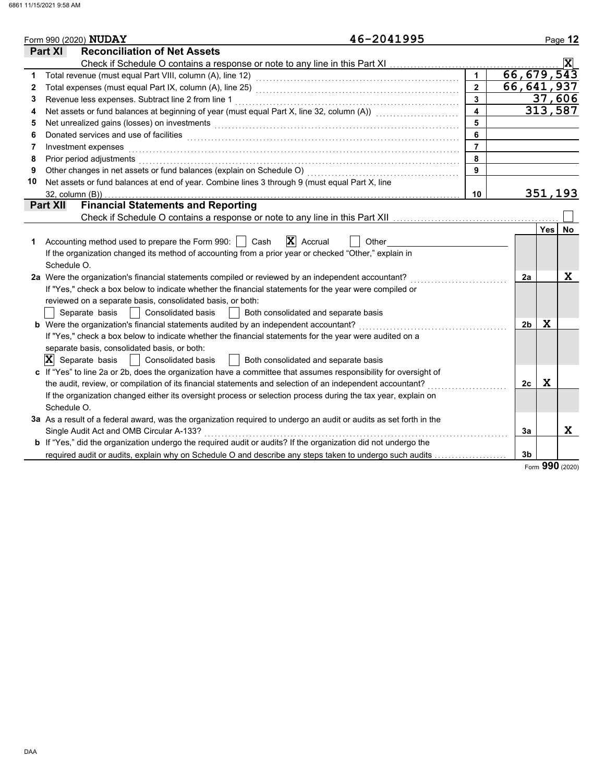|    | 46-2041995<br>Form 990 (2020) NUDAY                                                                                         |                         |                |             | Page 12        |
|----|-----------------------------------------------------------------------------------------------------------------------------|-------------------------|----------------|-------------|----------------|
|    | <b>Reconciliation of Net Assets</b><br><b>Part XI</b>                                                                       |                         |                |             |                |
|    |                                                                                                                             |                         |                |             | $ \mathbf{x} $ |
| 1  |                                                                                                                             |                         | 66, 679, 543   |             |                |
| 2  |                                                                                                                             | $\overline{2}$          | 66, 641, 937   |             |                |
| 3  | Revenue less expenses. Subtract line 2 from line 1                                                                          | 3                       |                |             | 37,606         |
| 4  | Net assets or fund balances at beginning of year (must equal Part X, line 32, column (A)) [[[[[[[[[[[[[[[[[[[               | $\overline{\mathbf{4}}$ |                |             | 313,587        |
| 5  |                                                                                                                             | 5                       |                |             |                |
| 6  | Donated services and use of facilities <b>constructs</b> and a service of the service of the services and use of facilities | 6                       |                |             |                |
| 7  | Investment expenses                                                                                                         | $\overline{7}$          |                |             |                |
| 8  | Prior period adjustments                                                                                                    | 8                       |                |             |                |
| 9  | Other changes in net assets or fund balances (explain on Schedule O)                                                        | 9                       |                |             |                |
| 10 | Net assets or fund balances at end of year. Combine lines 3 through 9 (must equal Part X, line                              |                         |                |             |                |
|    | 32, column (B))                                                                                                             | 10                      |                |             | 351,193        |
|    | <b>Financial Statements and Reporting</b><br><b>Part XII</b>                                                                |                         |                |             |                |
|    |                                                                                                                             |                         |                |             |                |
|    |                                                                                                                             |                         |                | <b>Yes</b>  | No.            |
| 1  | $ \mathbf{X} $ Accrual<br>Accounting method used to prepare the Form 990:     Cash<br>Other                                 |                         |                |             |                |
|    | If the organization changed its method of accounting from a prior year or checked "Other," explain in                       |                         |                |             |                |
|    | Schedule O.                                                                                                                 |                         |                |             |                |
|    | 2a Were the organization's financial statements compiled or reviewed by an independent accountant?                          |                         | 2a             |             | X              |
|    | If "Yes," check a box below to indicate whether the financial statements for the year were compiled or                      |                         |                |             |                |
|    | reviewed on a separate basis, consolidated basis, or both:                                                                  |                         |                |             |                |
|    | Separate basis     Consolidated basis<br>  Both consolidated and separate basis                                             |                         |                |             |                |
|    | <b>b</b> Were the organization's financial statements audited by an independent accountant?                                 |                         | 2 <sub>b</sub> | X           |                |
|    | If "Yes," check a box below to indicate whether the financial statements for the year were audited on a                     |                         |                |             |                |
|    | separate basis, consolidated basis, or both:                                                                                |                         |                |             |                |
|    | $ \mathbf{X} $ Separate basis<br>  Consolidated basis<br>  Both consolidated and separate basis                             |                         |                |             |                |
|    | c If "Yes" to line 2a or 2b, does the organization have a committee that assumes responsibility for oversight of            |                         |                |             |                |
|    | the audit, review, or compilation of its financial statements and selection of an independent accountant?                   |                         | 2c             | $\mathbf x$ |                |
|    | If the organization changed either its oversight process or selection process during the tax year, explain on               |                         |                |             |                |
|    | Schedule O.                                                                                                                 |                         |                |             |                |
|    | 3a As a result of a federal award, was the organization required to undergo an audit or audits as set forth in the          |                         |                |             |                |
|    | Single Audit Act and OMB Circular A-133?                                                                                    |                         | 3a             |             | X              |
|    | b If "Yes," did the organization undergo the required audit or audits? If the organization did not undergo the              |                         |                |             |                |
|    | required audit or audits, explain why on Schedule O and describe any steps taken to undergo such audits                     |                         | 3 <sub>b</sub> |             |                |

Form **990** (2020)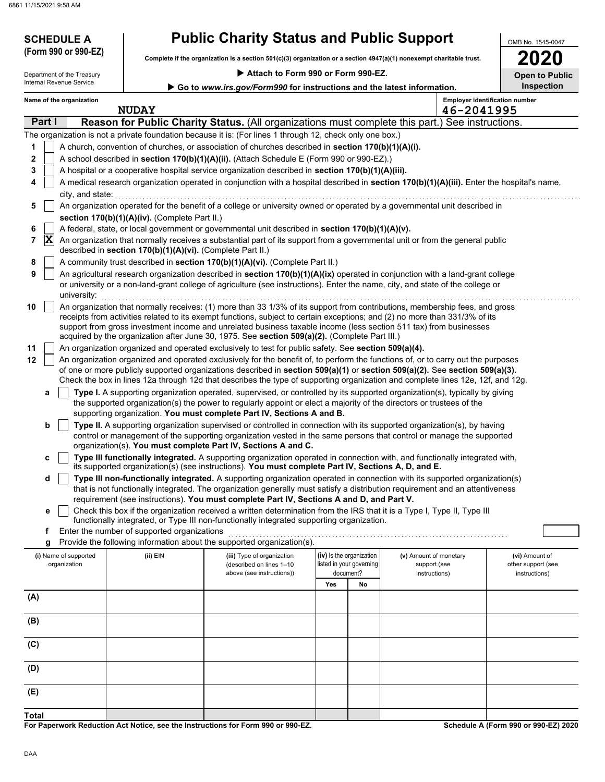**SCHEDULE A** 

| <b>Public Charity Status and Public Support</b> |  |
|-------------------------------------------------|--|
|-------------------------------------------------|--|

**Complete if the organization is a section 501(c)(3) organization or a section 4947(a)(1) nonexempt charitable trust. (Form 990 or 990-EZ)**

### **Attach to Form 990 or Form 990-EZ.**

| 2020                  |
|-----------------------|
| <b>Open to Public</b> |

OMB No. 1545-0047

| Attach to Form 990 or Form 990-EZ.<br>Department of the Treasury |             |                                       |                                                            |                                                                                                                                                                                                                                                                                                                                                                                                                                                                                  | <b>Open to Public</b> |                                                                   |                                                         |            |                                                       |
|------------------------------------------------------------------|-------------|---------------------------------------|------------------------------------------------------------|----------------------------------------------------------------------------------------------------------------------------------------------------------------------------------------------------------------------------------------------------------------------------------------------------------------------------------------------------------------------------------------------------------------------------------------------------------------------------------|-----------------------|-------------------------------------------------------------------|---------------------------------------------------------|------------|-------------------------------------------------------|
|                                                                  |             | Internal Revenue Service              |                                                            | Go to www.irs.gov/Form990 for instructions and the latest information.                                                                                                                                                                                                                                                                                                                                                                                                           |                       |                                                                   |                                                         |            | Inspection                                            |
|                                                                  |             | Name of the organization              | <b>NUDAY</b>                                               |                                                                                                                                                                                                                                                                                                                                                                                                                                                                                  |                       |                                                                   |                                                         | 46-2041995 | <b>Employer identification number</b>                 |
|                                                                  | Part I      |                                       |                                                            | Reason for Public Charity Status. (All organizations must complete this part.) See instructions.                                                                                                                                                                                                                                                                                                                                                                                 |                       |                                                                   |                                                         |            |                                                       |
|                                                                  |             |                                       |                                                            | The organization is not a private foundation because it is: (For lines 1 through 12, check only one box.)                                                                                                                                                                                                                                                                                                                                                                        |                       |                                                                   |                                                         |            |                                                       |
| 1                                                                |             |                                       |                                                            | A church, convention of churches, or association of churches described in section 170(b)(1)(A)(i).                                                                                                                                                                                                                                                                                                                                                                               |                       |                                                                   |                                                         |            |                                                       |
| $\mathbf 2$                                                      |             |                                       |                                                            | A school described in section 170(b)(1)(A)(ii). (Attach Schedule E (Form 990 or 990-EZ).)                                                                                                                                                                                                                                                                                                                                                                                        |                       |                                                                   |                                                         |            |                                                       |
| 3                                                                |             |                                       |                                                            | A hospital or a cooperative hospital service organization described in section 170(b)(1)(A)(iii).                                                                                                                                                                                                                                                                                                                                                                                |                       |                                                                   |                                                         |            |                                                       |
| 4                                                                |             |                                       |                                                            | A medical research organization operated in conjunction with a hospital described in section 170(b)(1)(A)(iii). Enter the hospital's name,                                                                                                                                                                                                                                                                                                                                       |                       |                                                                   |                                                         |            |                                                       |
|                                                                  |             | city, and state:                      |                                                            |                                                                                                                                                                                                                                                                                                                                                                                                                                                                                  |                       |                                                                   |                                                         |            |                                                       |
| 5                                                                |             |                                       |                                                            | An organization operated for the benefit of a college or university owned or operated by a governmental unit described in                                                                                                                                                                                                                                                                                                                                                        |                       |                                                                   |                                                         |            |                                                       |
|                                                                  |             |                                       | section 170(b)(1)(A)(iv). (Complete Part II.)              |                                                                                                                                                                                                                                                                                                                                                                                                                                                                                  |                       |                                                                   |                                                         |            |                                                       |
| 6                                                                |             |                                       |                                                            | A federal, state, or local government or governmental unit described in section 170(b)(1)(A)(v).                                                                                                                                                                                                                                                                                                                                                                                 |                       |                                                                   |                                                         |            |                                                       |
| 7                                                                | $ {\bf X} $ |                                       | described in section 170(b)(1)(A)(vi). (Complete Part II.) | An organization that normally receives a substantial part of its support from a governmental unit or from the general public                                                                                                                                                                                                                                                                                                                                                     |                       |                                                                   |                                                         |            |                                                       |
| 8<br>9                                                           |             |                                       |                                                            | A community trust described in section 170(b)(1)(A)(vi). (Complete Part II.)<br>An agricultural research organization described in section 170(b)(1)(A)(ix) operated in conjunction with a land-grant college                                                                                                                                                                                                                                                                    |                       |                                                                   |                                                         |            |                                                       |
|                                                                  |             | university:                           |                                                            | or university or a non-land-grant college of agriculture (see instructions). Enter the name, city, and state of the college or                                                                                                                                                                                                                                                                                                                                                   |                       |                                                                   |                                                         |            |                                                       |
| 10                                                               |             |                                       |                                                            | An organization that normally receives: (1) more than 33 1/3% of its support from contributions, membership fees, and gross<br>receipts from activities related to its exempt functions, subject to certain exceptions; and (2) no more than 331/3% of its<br>support from gross investment income and unrelated business taxable income (less section 511 tax) from businesses<br>acquired by the organization after June 30, 1975. See section 509(a)(2). (Complete Part III.) |                       |                                                                   |                                                         |            |                                                       |
| 11                                                               |             |                                       |                                                            | An organization organized and operated exclusively to test for public safety. See section 509(a)(4).                                                                                                                                                                                                                                                                                                                                                                             |                       |                                                                   |                                                         |            |                                                       |
| 12                                                               |             |                                       |                                                            | An organization organized and operated exclusively for the benefit of, to perform the functions of, or to carry out the purposes                                                                                                                                                                                                                                                                                                                                                 |                       |                                                                   |                                                         |            |                                                       |
|                                                                  |             |                                       |                                                            | of one or more publicly supported organizations described in section 509(a)(1) or section 509(a)(2). See section 509(a)(3).                                                                                                                                                                                                                                                                                                                                                      |                       |                                                                   |                                                         |            |                                                       |
|                                                                  |             |                                       |                                                            | Check the box in lines 12a through 12d that describes the type of supporting organization and complete lines 12e, 12f, and 12g.                                                                                                                                                                                                                                                                                                                                                  |                       |                                                                   |                                                         |            |                                                       |
|                                                                  | а           |                                       |                                                            | Type I. A supporting organization operated, supervised, or controlled by its supported organization(s), typically by giving                                                                                                                                                                                                                                                                                                                                                      |                       |                                                                   |                                                         |            |                                                       |
|                                                                  |             |                                       |                                                            | the supported organization(s) the power to regularly appoint or elect a majority of the directors or trustees of the<br>supporting organization. You must complete Part IV, Sections A and B.                                                                                                                                                                                                                                                                                    |                       |                                                                   |                                                         |            |                                                       |
|                                                                  | b           |                                       |                                                            | Type II. A supporting organization supervised or controlled in connection with its supported organization(s), by having                                                                                                                                                                                                                                                                                                                                                          |                       |                                                                   |                                                         |            |                                                       |
|                                                                  |             |                                       |                                                            | control or management of the supporting organization vested in the same persons that control or manage the supported<br>organization(s). You must complete Part IV, Sections A and C.                                                                                                                                                                                                                                                                                            |                       |                                                                   |                                                         |            |                                                       |
|                                                                  | c           |                                       |                                                            | Type III functionally integrated. A supporting organization operated in connection with, and functionally integrated with,<br>its supported organization(s) (see instructions). You must complete Part IV, Sections A, D, and E.                                                                                                                                                                                                                                                 |                       |                                                                   |                                                         |            |                                                       |
|                                                                  | d           |                                       |                                                            | Type III non-functionally integrated. A supporting organization operated in connection with its supported organization(s)                                                                                                                                                                                                                                                                                                                                                        |                       |                                                                   |                                                         |            |                                                       |
|                                                                  |             |                                       |                                                            | that is not functionally integrated. The organization generally must satisfy a distribution requirement and an attentiveness                                                                                                                                                                                                                                                                                                                                                     |                       |                                                                   |                                                         |            |                                                       |
|                                                                  |             |                                       |                                                            | requirement (see instructions). You must complete Part IV, Sections A and D, and Part V.<br>Check this box if the organization received a written determination from the IRS that it is a Type I, Type II, Type III                                                                                                                                                                                                                                                              |                       |                                                                   |                                                         |            |                                                       |
|                                                                  | е           |                                       |                                                            | functionally integrated, or Type III non-functionally integrated supporting organization.                                                                                                                                                                                                                                                                                                                                                                                        |                       |                                                                   |                                                         |            |                                                       |
|                                                                  | f           |                                       | Enter the number of supported organizations                |                                                                                                                                                                                                                                                                                                                                                                                                                                                                                  |                       |                                                                   |                                                         |            |                                                       |
|                                                                  | g           |                                       |                                                            | Provide the following information about the supported organization(s).                                                                                                                                                                                                                                                                                                                                                                                                           |                       |                                                                   |                                                         |            |                                                       |
|                                                                  |             | (i) Name of supported<br>organization | (ii) EIN                                                   | (iii) Type of organization<br>(described on lines 1-10<br>above (see instructions))                                                                                                                                                                                                                                                                                                                                                                                              |                       | (iv) Is the organization<br>listed in your governing<br>document? | (v) Amount of monetary<br>support (see<br>instructions) |            | (vi) Amount of<br>other support (see<br>instructions) |
|                                                                  |             |                                       |                                                            |                                                                                                                                                                                                                                                                                                                                                                                                                                                                                  | Yes                   | No                                                                |                                                         |            |                                                       |
| (A)                                                              |             |                                       |                                                            |                                                                                                                                                                                                                                                                                                                                                                                                                                                                                  |                       |                                                                   |                                                         |            |                                                       |
|                                                                  |             |                                       |                                                            |                                                                                                                                                                                                                                                                                                                                                                                                                                                                                  |                       |                                                                   |                                                         |            |                                                       |
| (B)                                                              |             |                                       |                                                            |                                                                                                                                                                                                                                                                                                                                                                                                                                                                                  |                       |                                                                   |                                                         |            |                                                       |
| (C)                                                              |             |                                       |                                                            |                                                                                                                                                                                                                                                                                                                                                                                                                                                                                  |                       |                                                                   |                                                         |            |                                                       |
| (D)                                                              |             |                                       |                                                            |                                                                                                                                                                                                                                                                                                                                                                                                                                                                                  |                       |                                                                   |                                                         |            |                                                       |
| (E)                                                              |             |                                       |                                                            |                                                                                                                                                                                                                                                                                                                                                                                                                                                                                  |                       |                                                                   |                                                         |            |                                                       |
| Total                                                            |             |                                       |                                                            |                                                                                                                                                                                                                                                                                                                                                                                                                                                                                  |                       |                                                                   |                                                         |            |                                                       |

**For Paperwork Reduction Act Notice, see the Instructions for Form 990 or 990-EZ.**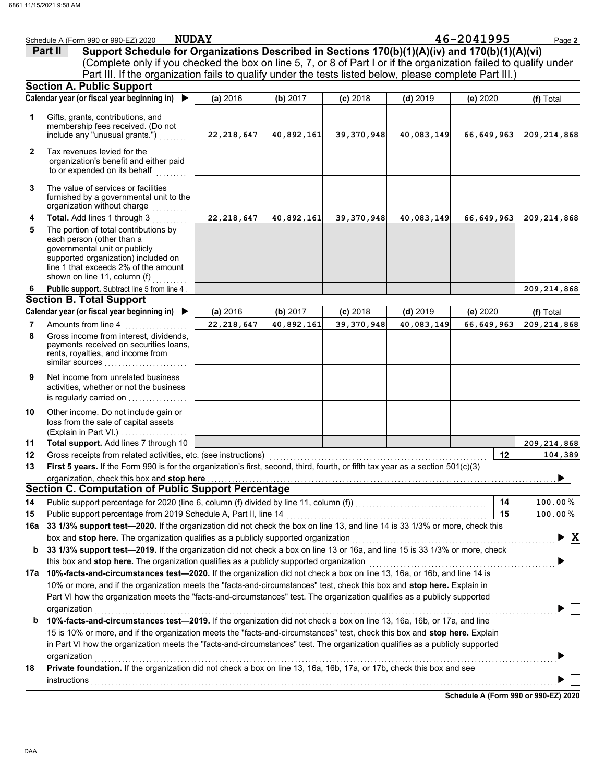|              | <b>NUDAY</b><br>Schedule A (Form 990 or 990-EZ) 2020                                                                            |              |            |              |            | 46-2041995   | Page 2                          |
|--------------|---------------------------------------------------------------------------------------------------------------------------------|--------------|------------|--------------|------------|--------------|---------------------------------|
|              | Support Schedule for Organizations Described in Sections 170(b)(1)(A)(iv) and 170(b)(1)(A)(vi)<br>Part II                       |              |            |              |            |              |                                 |
|              | (Complete only if you checked the box on line 5, 7, or 8 of Part I or if the organization failed to qualify under               |              |            |              |            |              |                                 |
|              | Part III. If the organization fails to qualify under the tests listed below, please complete Part III.)                         |              |            |              |            |              |                                 |
|              | <b>Section A. Public Support</b>                                                                                                |              |            |              |            |              |                                 |
|              | Calendar year (or fiscal year beginning in) $\blacktriangleright$                                                               | (a) 2016     | (b) 2017   | $(c)$ 2018   | $(d)$ 2019 | (e) 2020     | (f) Total                       |
|              |                                                                                                                                 |              |            |              |            |              |                                 |
| 1            | Gifts, grants, contributions, and                                                                                               |              |            |              |            |              |                                 |
|              | membership fees received. (Do not<br>include any "unusual grants.")                                                             | 22, 218, 647 | 40,892,161 | 39, 370, 948 | 40,083,149 | 66,649,963   | 209, 214, 868                   |
|              |                                                                                                                                 |              |            |              |            |              |                                 |
| $\mathbf{2}$ | Tax revenues levied for the                                                                                                     |              |            |              |            |              |                                 |
|              | organization's benefit and either paid                                                                                          |              |            |              |            |              |                                 |
|              | to or expended on its behalf                                                                                                    |              |            |              |            |              |                                 |
| 3            | The value of services or facilities                                                                                             |              |            |              |            |              |                                 |
|              | furnished by a governmental unit to the                                                                                         |              |            |              |            |              |                                 |
|              | organization without charge                                                                                                     |              |            |              |            |              |                                 |
| 4            | Total. Add lines 1 through 3                                                                                                    | 22, 218, 647 | 40,892,161 | 39, 370, 948 | 40,083,149 | 66,649,963   | 209, 214, 868                   |
| 5            | The portion of total contributions by                                                                                           |              |            |              |            |              |                                 |
|              | each person (other than a<br>governmental unit or publicly                                                                      |              |            |              |            |              |                                 |
|              | supported organization) included on                                                                                             |              |            |              |            |              |                                 |
|              | line 1 that exceeds 2% of the amount                                                                                            |              |            |              |            |              |                                 |
|              | shown on line 11, column (f)                                                                                                    |              |            |              |            |              |                                 |
| 6            | Public support. Subtract line 5 from line 4                                                                                     |              |            |              |            |              | 209, 214, 868                   |
|              | <b>Section B. Total Support</b>                                                                                                 |              |            |              |            |              |                                 |
|              | Calendar year (or fiscal year beginning in) ▶                                                                                   | (a) 2016     | (b) 2017   | $(c)$ 2018   | $(d)$ 2019 | (e) 2020     | (f) Total                       |
| 7            | Amounts from line 4                                                                                                             | 22, 218, 647 | 40,892,161 | 39, 370, 948 | 40,083,149 | 66, 649, 963 | 209, 214, 868                   |
| 8            | Gross income from interest, dividends,                                                                                          |              |            |              |            |              |                                 |
|              | payments received on securities loans,<br>rents, royalties, and income from                                                     |              |            |              |            |              |                                 |
|              | similar sources                                                                                                                 |              |            |              |            |              |                                 |
| 9            | Net income from unrelated business                                                                                              |              |            |              |            |              |                                 |
|              | activities, whether or not the business                                                                                         |              |            |              |            |              |                                 |
|              | is regularly carried on                                                                                                         |              |            |              |            |              |                                 |
| 10           | Other income. Do not include gain or                                                                                            |              |            |              |            |              |                                 |
|              | loss from the sale of capital assets                                                                                            |              |            |              |            |              |                                 |
|              | (Explain in Part VI.)                                                                                                           |              |            |              |            |              |                                 |
| 11           | Total support. Add lines 7 through 10                                                                                           |              |            |              |            |              | 209, 214, 868                   |
| 12           | Gross receipts from related activities, etc. (see instructions)                                                                 |              |            |              |            | 12           | 104,389                         |
| 13           | First 5 years. If the Form 990 is for the organization's first, second, third, fourth, or fifth tax year as a section 501(c)(3) |              |            |              |            |              |                                 |
|              | organization, check this box and stop here                                                                                      |              |            |              |            |              | ▶                               |
|              | <b>Section C. Computation of Public Support Percentage</b>                                                                      |              |            |              |            |              |                                 |
| 14           |                                                                                                                                 |              |            |              |            | 14           | 100.00%                         |
| 15           |                                                                                                                                 |              |            |              |            | 15           | $100.00\,\%$                    |
| 16a          | 33 1/3% support test-2020. If the organization did not check the box on line 13, and line 14 is 33 1/3% or more, check this     |              |            |              |            |              |                                 |
|              | box and stop here. The organization qualifies as a publicly supported organization                                              |              |            |              |            |              | $\blacktriangleright$ $\vert$ X |
| b            | 33 1/3% support test-2019. If the organization did not check a box on line 13 or 16a, and line 15 is 33 1/3% or more, check     |              |            |              |            |              |                                 |
|              | this box and stop here. The organization qualifies as a publicly supported organization                                         |              |            |              |            |              |                                 |
| 17a          | 10%-facts-and-circumstances test-2020. If the organization did not check a box on line 13, 16a, or 16b, and line 14 is          |              |            |              |            |              |                                 |
|              | 10% or more, and if the organization meets the "facts-and-circumstances" test, check this box and stop here. Explain in         |              |            |              |            |              |                                 |
|              | Part VI how the organization meets the "facts-and-circumstances" test. The organization qualifies as a publicly supported       |              |            |              |            |              |                                 |
|              | organization                                                                                                                    |              |            |              |            |              |                                 |
| b            | 10%-facts-and-circumstances test-2019. If the organization did not check a box on line 13, 16a, 16b, or 17a, and line           |              |            |              |            |              |                                 |
|              | 15 is 10% or more, and if the organization meets the "facts-and-circumstances" test, check this box and stop here. Explain      |              |            |              |            |              |                                 |
|              | in Part VI how the organization meets the "facts-and-circumstances" test. The organization qualifies as a publicly supported    |              |            |              |            |              |                                 |
|              | organization                                                                                                                    |              |            |              |            |              |                                 |
| 18           | Private foundation. If the organization did not check a box on line 13, 16a, 16b, 17a, or 17b, check this box and see           |              |            |              |            |              |                                 |
|              | <b>instructions</b>                                                                                                             |              |            |              |            |              |                                 |
|              |                                                                                                                                 |              |            |              |            |              |                                 |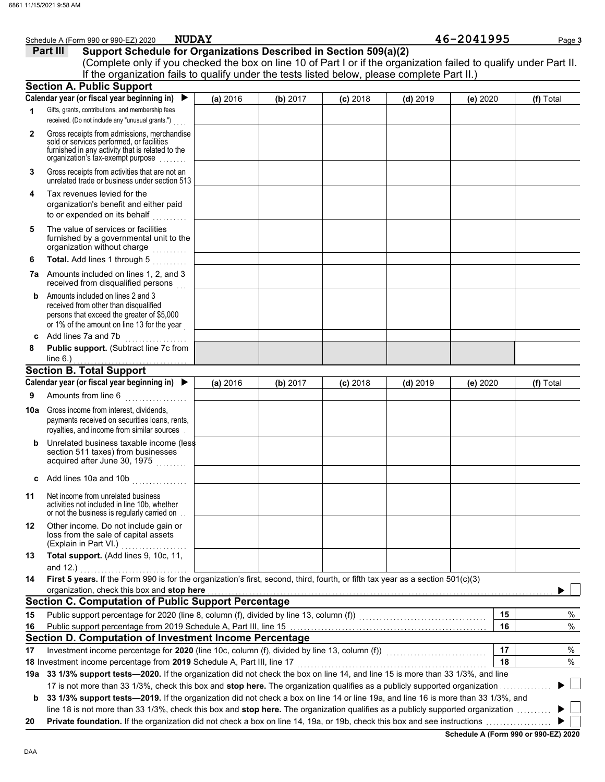|                | <b>NUDAY</b><br>Schedule A (Form 990 or 990-EZ) 2020                                                                                                                                                                                                      |          |          |            |            | 46-2041995 |    | Page 3    |
|----------------|-----------------------------------------------------------------------------------------------------------------------------------------------------------------------------------------------------------------------------------------------------------|----------|----------|------------|------------|------------|----|-----------|
|                | Support Schedule for Organizations Described in Section 509(a)(2)<br>Part III                                                                                                                                                                             |          |          |            |            |            |    |           |
|                | (Complete only if you checked the box on line 10 of Part I or if the organization failed to qualify under Part II.                                                                                                                                        |          |          |            |            |            |    |           |
|                | If the organization fails to qualify under the tests listed below, please complete Part II.)                                                                                                                                                              |          |          |            |            |            |    |           |
|                | <b>Section A. Public Support</b>                                                                                                                                                                                                                          |          |          |            |            |            |    |           |
|                | Calendar year (or fiscal year beginning in)<br>$\blacktriangleright$                                                                                                                                                                                      | (a) 2016 | (b) 2017 | $(c)$ 2018 | $(d)$ 2019 | (e) 2020   |    | (f) Total |
| 1              | Gifts, grants, contributions, and membership fees<br>received. (Do not include any "unusual grants.")                                                                                                                                                     |          |          |            |            |            |    |           |
| $\overline{2}$ | Gross receipts from admissions, merchandise<br>sold or services performed, or facilities<br>furnished in any activity that is related to the<br>organization's tax-exempt purpose                                                                         |          |          |            |            |            |    |           |
| 3              | Gross receipts from activities that are not an<br>unrelated trade or business under section 513                                                                                                                                                           |          |          |            |            |            |    |           |
| 4              | Tax revenues levied for the<br>organization's benefit and either paid<br>to or expended on its behalf                                                                                                                                                     |          |          |            |            |            |    |           |
| 5              | The value of services or facilities<br>furnished by a governmental unit to the<br>organization without charge                                                                                                                                             |          |          |            |            |            |    |           |
| 6              | Total. Add lines 1 through 5                                                                                                                                                                                                                              |          |          |            |            |            |    |           |
|                | <b>7a</b> Amounts included on lines 1, 2, and 3<br>received from disqualified persons                                                                                                                                                                     |          |          |            |            |            |    |           |
| b              | Amounts included on lines 2 and 3<br>received from other than disqualified<br>persons that exceed the greater of \$5,000<br>or 1% of the amount on line 13 for the year                                                                                   |          |          |            |            |            |    |           |
| C              | Add lines 7a and 7b                                                                                                                                                                                                                                       |          |          |            |            |            |    |           |
| 8              | Public support. (Subtract line 7c from<br>line $6.$ )                                                                                                                                                                                                     |          |          |            |            |            |    |           |
|                | <b>Section B. Total Support</b>                                                                                                                                                                                                                           |          |          |            |            |            |    |           |
|                | Calendar year (or fiscal year beginning in) ▶                                                                                                                                                                                                             | (a) 2016 | (b) 2017 | $(c)$ 2018 | $(d)$ 2019 | (e) 2020   |    | (f) Total |
| 9              | Amounts from line 6                                                                                                                                                                                                                                       |          |          |            |            |            |    |           |
|                |                                                                                                                                                                                                                                                           |          |          |            |            |            |    |           |
|                | <b>10a</b> Gross income from interest, dividends,<br>payments received on securities loans, rents,<br>royalties, and income from similar sources                                                                                                          |          |          |            |            |            |    |           |
| b              | Unrelated business taxable income (less<br>section 511 taxes) from businesses<br>acquired after June 30, 1975                                                                                                                                             |          |          |            |            |            |    |           |
| c              | Add lines 10a and 10b<br>andro de la construcción de la construcción de la construcción de la construcción de la construcción de la con<br>En la construcción de la construcción de la construcción de la construcción de la construcción de la construcc |          |          |            |            |            |    |           |
| 11             | Net income from unrelated business<br>activities not included in line 10b, whether<br>or not the business is regularly carried on                                                                                                                         |          |          |            |            |            |    |           |
| 12             | Other income. Do not include gain or<br>loss from the sale of capital assets<br>(Explain in Part VI.)                                                                                                                                                     |          |          |            |            |            |    |           |
| 13             | Total support. (Add lines 9, 10c, 11,<br>and $12.$ )                                                                                                                                                                                                      |          |          |            |            |            |    |           |
| 14             | First 5 years. If the Form 990 is for the organization's first, second, third, fourth, or fifth tax year as a section 501(c)(3)                                                                                                                           |          |          |            |            |            |    |           |
|                | organization, check this box and stop here                                                                                                                                                                                                                |          |          |            |            |            |    |           |
|                | <b>Section C. Computation of Public Support Percentage</b>                                                                                                                                                                                                |          |          |            |            |            |    |           |
| 15             |                                                                                                                                                                                                                                                           |          |          |            |            |            | 15 | %         |
| 16             | Public support percentage from 2019 Schedule A, Part III, line 15 [11] [11] Concentration contracts are provided by Public Support percentage from 2019 Schedule A, Part III, line 15 [11] $\alpha$                                                       |          |          |            |            |            | 16 | $\%$      |
|                | Section D. Computation of Investment Income Percentage                                                                                                                                                                                                    |          |          |            |            |            | 17 |           |
| 17             | 18 Investment income percentage from 2019 Schedule A, Part III, line 17                                                                                                                                                                                   |          |          |            |            |            | 18 | %<br>%    |
|                | 19a 33 1/3% support tests-2020. If the organization did not check the box on line 14, and line 15 is more than 33 1/3%, and line                                                                                                                          |          |          |            |            |            |    |           |
|                | 17 is not more than 33 1/3%, check this box and stop here. The organization qualifies as a publicly supported organization                                                                                                                                |          |          |            |            |            |    |           |
| b              | 33 1/3% support tests-2019. If the organization did not check a box on line 14 or line 19a, and line 16 is more than 33 1/3%, and                                                                                                                         |          |          |            |            |            |    |           |
|                | line 18 is not more than 33 1/3%, check this box and stop here. The organization qualifies as a publicly supported organization                                                                                                                           |          |          |            |            |            |    |           |
| 20             |                                                                                                                                                                                                                                                           |          |          |            |            |            |    |           |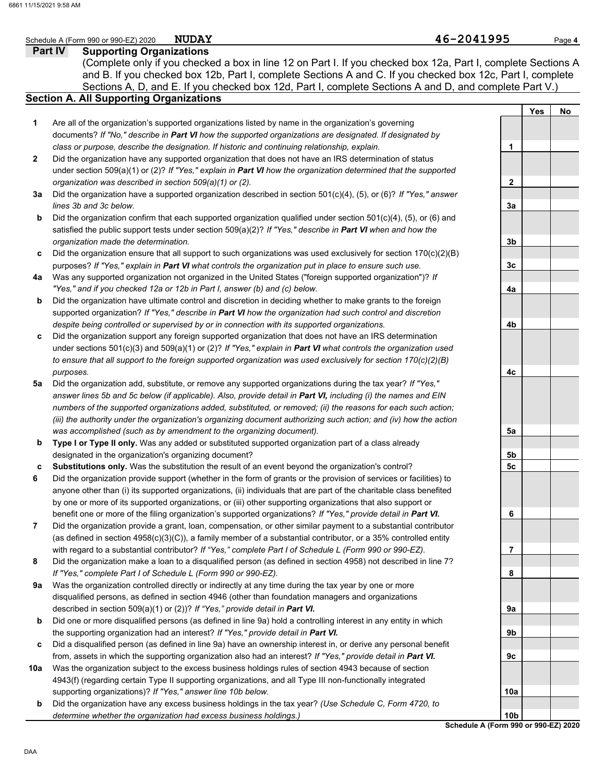### **Part IV Supporting Organizations** Sections A, D, and E. If you checked box 12d, Part I, complete Sections A and D, and complete Part V.) Schedule A (Form 990 or 990-EZ) 2020 Page **4 Section A. All Supporting Organizations** (Complete only if you checked a box in line 12 on Part I. If you checked box 12a, Part I, complete Sections A and B. If you checked box 12b, Part I, complete Sections A and C. If you checked box 12c, Part I, complete Are all of the organization's supported organizations listed by name in the organization's governing documents? *If "No," describe in Part VI how the supported organizations are designated. If designated by class or purpose, describe the designation. If historic and continuing relationship, explain.* Did the organization have any supported organization that does not have an IRS determination of status under section 509(a)(1) or (2)? *If "Yes," explain in Part VI how the organization determined that the supported organization was described in section 509(a)(1) or (2).* **1 2 3a** Did the organization have a supported organization described in section 501(c)(4), (5), or (6)? *If "Yes," answer* **b c** Did the organization ensure that all support to such organizations was used exclusively for section 170(c)(2)(B) **4a** Was any supported organization not organized in the United States ("foreign supported organization")? *If* **b c** Did the organization support any foreign supported organization that does not have an IRS determination **5a** Did the organization add, substitute, or remove any supported organizations during the tax year? *If "Yes,"* **b c 6 7 8 9a b c 10a** *lines 3b and 3c below.* Did the organization confirm that each supported organization qualified under section 501(c)(4), (5), or (6) and satisfied the public support tests under section 509(a)(2)? *If "Yes," describe in Part VI when and how the organization made the determination.* purposes? *If "Yes," explain in Part VI what controls the organization put in place to ensure such use. "Yes," and if you checked 12a or 12b in Part I, answer (b) and (c) below.* Did the organization have ultimate control and discretion in deciding whether to make grants to the foreign supported organization? *If "Yes," describe in Part VI how the organization had such control and discretion despite being controlled or supervised by or in connection with its supported organizations.* under sections 501(c)(3) and 509(a)(1) or (2)? *If "Yes," explain in Part VI what controls the organization used to ensure that all support to the foreign supported organization was used exclusively for section 170(c)(2)(B) purposes. answer lines 5b and 5c below (if applicable). Also, provide detail in Part VI, including (i) the names and EIN numbers of the supported organizations added, substituted, or removed; (ii) the reasons for each such action; (iii) the authority under the organization's organizing document authorizing such action; and (iv) how the action was accomplished (such as by amendment to the organizing document).* **Type I or Type II only.** Was any added or substituted supported organization part of a class already designated in the organization's organizing document? **Substitutions only.** Was the substitution the result of an event beyond the organization's control? Did the organization provide support (whether in the form of grants or the provision of services or facilities) to anyone other than (i) its supported organizations, (ii) individuals that are part of the charitable class benefited by one or more of its supported organizations, or (iii) other supporting organizations that also support or benefit one or more of the filing organization's supported organizations? *If "Yes," provide detail in Part VI.* Did the organization provide a grant, loan, compensation, or other similar payment to a substantial contributor (as defined in section 4958(c)(3)(C)), a family member of a substantial contributor, or a 35% controlled entity with regard to a substantial contributor? *If "Yes," complete Part I of Schedule L (Form 990 or 990-EZ).* Did the organization make a loan to a disqualified person (as defined in section 4958) not described in line 7? *If "Yes," complete Part I of Schedule L (Form 990 or 990-EZ).* Was the organization controlled directly or indirectly at any time during the tax year by one or more disqualified persons, as defined in section 4946 (other than foundation managers and organizations described in section 509(a)(1) or (2))? *If "Yes," provide detail in Part VI.* Did one or more disqualified persons (as defined in line 9a) hold a controlling interest in any entity in which the supporting organization had an interest? *If "Yes," provide detail in Part VI.* Did a disqualified person (as defined in line 9a) have an ownership interest in, or derive any personal benefit from, assets in which the supporting organization also had an interest? *If "Yes," provide detail in Part VI.* Was the organization subject to the excess business holdings rules of section 4943 because of section 4943(f) (regarding certain Type II supporting organizations, and all Type III non-functionally integrated supporting organizations)? *If "Yes," answer line 10b below.* **Yes No 1 2 3a 3b 3c 4a 4b 4c 5a 5b 5c 6 7 8 9a 9b 9c 10a NUDAY 46-2041995**

**b** Did the organization have any excess business holdings in the tax year? *(Use Schedule C, Form 4720, to determine whether the organization had excess business holdings.)*

**Schedule A (Form 990 or 990-EZ) 2020 10b**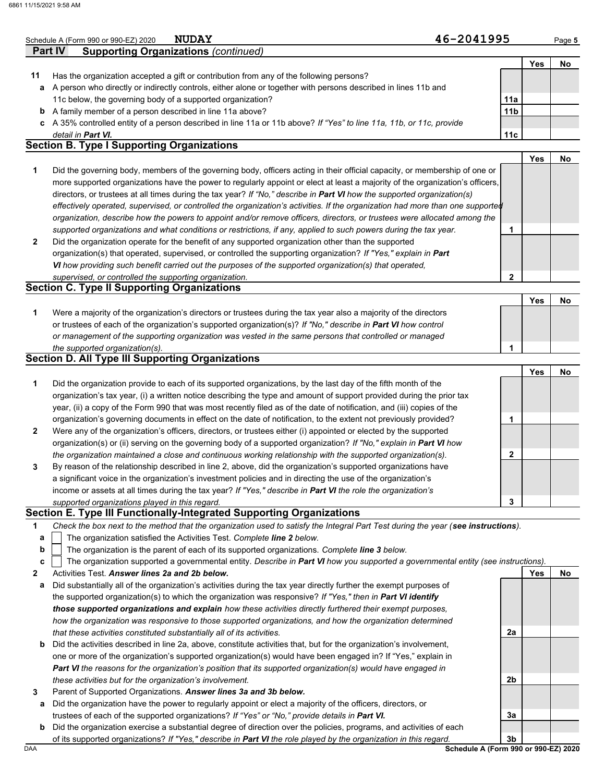|    | 46-2041995<br><b>NUDAY</b><br>Schedule A (Form 990 or 990-EZ) 2020                                                                |                 |            | Page 5 |
|----|-----------------------------------------------------------------------------------------------------------------------------------|-----------------|------------|--------|
|    | Part IV<br><b>Supporting Organizations (continued)</b>                                                                            |                 |            |        |
|    |                                                                                                                                   |                 | <b>Yes</b> | No     |
| 11 | Has the organization accepted a gift or contribution from any of the following persons?                                           |                 |            |        |
| а  | A person who directly or indirectly controls, either alone or together with persons described in lines 11b and                    |                 |            |        |
|    | 11c below, the governing body of a supported organization?                                                                        | 11a             |            |        |
| b  | A family member of a person described in line 11a above?                                                                          | 11 <sub>b</sub> |            |        |
| c  | A 35% controlled entity of a person described in line 11a or 11b above? If "Yes" to line 11a, 11b, or 11c, provide                |                 |            |        |
|    | detail in Part VI.                                                                                                                | 11c             |            |        |
|    | <b>Section B. Type I Supporting Organizations</b>                                                                                 |                 |            |        |
|    |                                                                                                                                   |                 | <b>Yes</b> | No     |
| 1  | Did the governing body, members of the governing body, officers acting in their official capacity, or membership of one or        |                 |            |        |
|    | more supported organizations have the power to regularly appoint or elect at least a majority of the organization's officers,     |                 |            |        |
|    | directors, or trustees at all times during the tax year? If "No," describe in Part VI how the supported organization(s)           |                 |            |        |
|    | effectively operated, supervised, or controlled the organization's activities. If the organization had more than one supported    |                 |            |        |
|    | organization, describe how the powers to appoint and/or remove officers, directors, or trustees were allocated among the          |                 |            |        |
|    | supported organizations and what conditions or restrictions, if any, applied to such powers during the tax year.                  | 1               |            |        |
| 2  | Did the organization operate for the benefit of any supported organization other than the supported                               |                 |            |        |
|    | organization(s) that operated, supervised, or controlled the supporting organization? If "Yes," explain in Part                   |                 |            |        |
|    | VI how providing such benefit carried out the purposes of the supported organization(s) that operated,                            |                 |            |        |
|    | supervised, or controlled the supporting organization.                                                                            | $\mathbf{2}$    |            |        |
|    | <b>Section C. Type II Supporting Organizations</b>                                                                                |                 |            |        |
|    |                                                                                                                                   |                 | <b>Yes</b> | No     |
| 1  | Were a majority of the organization's directors or trustees during the tax year also a majority of the directors                  |                 |            |        |
|    | or trustees of each of the organization's supported organization(s)? If "No," describe in Part VI how control                     |                 |            |        |
|    | or management of the supporting organization was vested in the same persons that controlled or managed                            |                 |            |        |
|    | the supported organization(s).                                                                                                    |                 |            |        |
|    | <b>Section D. All Type III Supporting Organizations</b>                                                                           |                 |            |        |
|    |                                                                                                                                   |                 | Yes        | No     |
| 1  | Did the organization provide to each of its supported organizations, by the last day of the fifth month of the                    |                 |            |        |
|    | organization's tax year, (i) a written notice describing the type and amount of support provided during the prior tax             |                 |            |        |
|    | year, (ii) a copy of the Form 990 that was most recently filed as of the date of notification, and (iii) copies of the            |                 |            |        |
|    | organization's governing documents in effect on the date of notification, to the extent not previously provided?                  | 1               |            |        |
| 2  | Were any of the organization's officers, directors, or trustees either (i) appointed or elected by the supported                  |                 |            |        |
|    | organization(s) or (ii) serving on the governing body of a supported organization? If "No," explain in Part VI how                |                 |            |        |
|    | the organization maintained a close and continuous working relationship with the supported organization(s).                       | 2               |            |        |
|    | By reason of the relationship described in line 2, above, did the organization's supported organizations have                     |                 |            |        |
|    | a significant voice in the organization's investment policies and in directing the use of the organization's                      |                 |            |        |
|    | income or assets at all times during the tax year? If "Yes," describe in Part VI the role the organization's                      |                 |            |        |
|    | supported organizations played in this regard.                                                                                    | 3               |            |        |
|    | Section E. Type III Functionally-Integrated Supporting Organizations                                                              |                 |            |        |
| 1  | Check the box next to the method that the organization used to satisfy the Integral Part Test during the year (see instructions). |                 |            |        |
| а  | The organization satisfied the Activities Test. Complete line 2 below.                                                            |                 |            |        |
| b  | The organization is the parent of each of its supported organizations. Complete line 3 below.                                     |                 |            |        |
| c  | The organization supported a governmental entity. Describe in Part VI how you supported a governmental entity (see instructions). |                 |            |        |
| 2  | Activities Test. Answer lines 2a and 2b below.                                                                                    |                 | Yes        | No     |
| а  | Did substantially all of the organization's activities during the tax year directly further the exempt purposes of                |                 |            |        |
|    | the supported organization(s) to which the organization was responsive? If "Yes," then in Part VI identify                        |                 |            |        |
|    | those supported organizations and explain how these activities directly furthered their exempt purposes,                          |                 |            |        |
|    | how the organization was responsive to those supported organizations, and how the organization determined                         |                 |            |        |
|    | that these activities constituted substantially all of its activities.                                                            | 2a              |            |        |

- **b** Did the activities described in line 2a, above, constitute activities that, but for the organization's involvement, one or more of the organization's supported organization(s) would have been engaged in? If "Yes," explain in *Part VI the reasons for the organization's position that its supported organization(s) would have engaged in these activities but for the organization's involvement.*
- **3** Parent of Supported Organizations. *Answer lines 3a and 3b below.*
- **a** Did the organization have the power to regularly appoint or elect a majority of the officers, directors, or trustees of each of the supported organizations? *If "Yes" or "No," provide details in Part VI.*
- **b** Did the organization exercise a substantial degree of direction over the policies, programs, and activities of each of its supported organizations? *If "Yes," describe in Part VI the role played by the organization in this regard.*

DAA **Schedule A (Form 990 or 990-EZ) 2020 3b**

**2b**

**3a**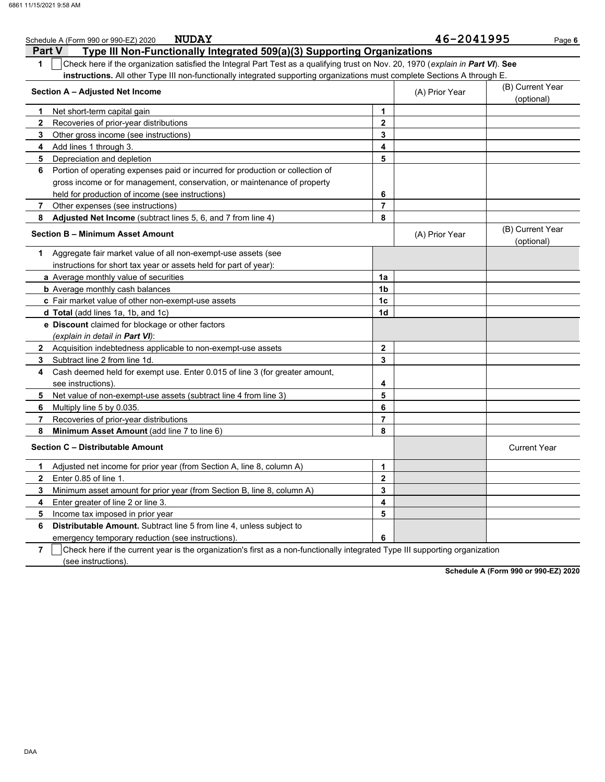|              | <b>NUDAY</b><br>Schedule A (Form 990 or 990-EZ) 2020                                                                             |                | 46-2041995     | Page 6                         |
|--------------|----------------------------------------------------------------------------------------------------------------------------------|----------------|----------------|--------------------------------|
|              | Type III Non-Functionally Integrated 509(a)(3) Supporting Organizations<br><b>Part V</b>                                         |                |                |                                |
| 1            | Check here if the organization satisfied the Integral Part Test as a qualifying trust on Nov. 20, 1970 (explain in Part VI). See |                |                |                                |
|              | instructions. All other Type III non-functionally integrated supporting organizations must complete Sections A through E.        |                |                |                                |
|              | Section A - Adjusted Net Income                                                                                                  |                | (A) Prior Year | (B) Current Year<br>(optional) |
| 1.           | Net short-term capital gain                                                                                                      | 1              |                |                                |
| $\mathbf{2}$ | Recoveries of prior-year distributions                                                                                           | $\mathbf 2$    |                |                                |
| 3            | Other gross income (see instructions)                                                                                            | 3              |                |                                |
| 4            | Add lines 1 through 3.                                                                                                           | 4              |                |                                |
| 5            | Depreciation and depletion                                                                                                       | 5              |                |                                |
| 6            | Portion of operating expenses paid or incurred for production or collection of                                                   |                |                |                                |
|              | gross income or for management, conservation, or maintenance of property                                                         |                |                |                                |
|              | held for production of income (see instructions)                                                                                 | 6              |                |                                |
| 7            | Other expenses (see instructions)                                                                                                | $\overline{7}$ |                |                                |
| 8            | Adjusted Net Income (subtract lines 5, 6, and 7 from line 4)                                                                     | 8              |                |                                |
|              | <b>Section B - Minimum Asset Amount</b>                                                                                          |                | (A) Prior Year | (B) Current Year<br>(optional) |
| 1.           | Aggregate fair market value of all non-exempt-use assets (see                                                                    |                |                |                                |
|              | instructions for short tax year or assets held for part of year):                                                                |                |                |                                |
|              | a Average monthly value of securities                                                                                            | 1a             |                |                                |
|              | <b>b</b> Average monthly cash balances                                                                                           | 1b             |                |                                |
|              | c Fair market value of other non-exempt-use assets                                                                               | 1 <sub>c</sub> |                |                                |
|              | d Total (add lines 1a, 1b, and 1c)                                                                                               | 1d             |                |                                |
|              | e Discount claimed for blockage or other factors                                                                                 |                |                |                                |
|              | (explain in detail in Part VI):                                                                                                  |                |                |                                |
|              | 2 Acquisition indebtedness applicable to non-exempt-use assets                                                                   | $\mathbf{2}$   |                |                                |
| 3            | Subtract line 2 from line 1d.                                                                                                    | 3              |                |                                |
| 4            | Cash deemed held for exempt use. Enter 0.015 of line 3 (for greater amount,                                                      |                |                |                                |
|              | see instructions).                                                                                                               | 4              |                |                                |
| 5            | Net value of non-exempt-use assets (subtract line 4 from line 3)                                                                 | 5              |                |                                |
| 6            | Multiply line 5 by 0.035.                                                                                                        | 6              |                |                                |
| 7            | Recoveries of prior-year distributions                                                                                           | $\overline{7}$ |                |                                |
| 8            | Minimum Asset Amount (add line 7 to line 6)                                                                                      | 8              |                |                                |
|              | Section C - Distributable Amount                                                                                                 |                |                | <b>Current Year</b>            |
| 1.           | Adjusted net income for prior year (from Section A, line 8, column A)                                                            | 1              |                |                                |
| 2            | Enter 0.85 of line 1.                                                                                                            | 2              |                |                                |
| 3            | Minimum asset amount for prior year (from Section B, line 8, column A)                                                           | 3              |                |                                |
| 4            | Enter greater of line 2 or line 3.                                                                                               | 4              |                |                                |
| 5            | Income tax imposed in prior year                                                                                                 | 5              |                |                                |
| 6            | Distributable Amount. Subtract line 5 from line 4, unless subject to                                                             |                |                |                                |
|              | emergency temporary reduction (see instructions)                                                                                 | 6              |                |                                |
| 7            | Check here if the current year is the organization's first as a non-functionally integrated Type III supporting organization     |                |                |                                |

(see instructions).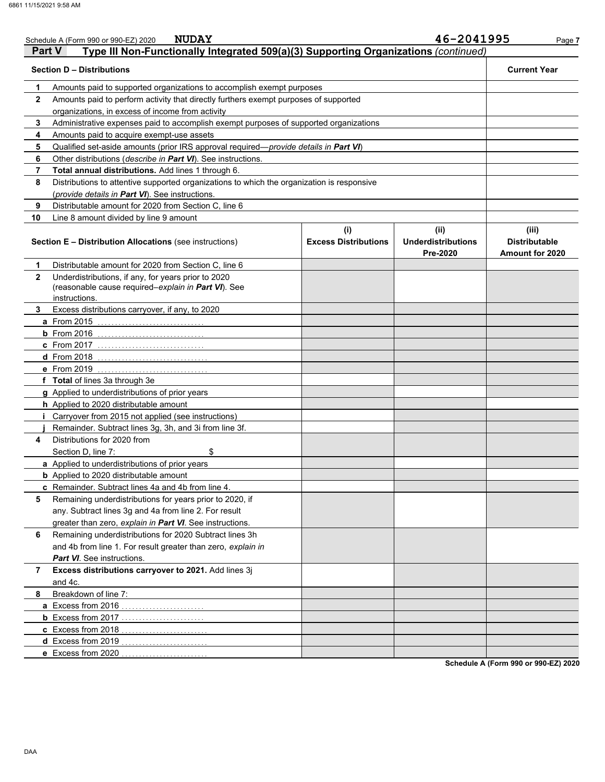|               | <b>NUDAY</b><br>Schedule A (Form 990 or 990-EZ) 2020                                                                        |                                    | 46-2041995                                    | Page 7                                                  |
|---------------|-----------------------------------------------------------------------------------------------------------------------------|------------------------------------|-----------------------------------------------|---------------------------------------------------------|
| <b>Part V</b> | Type III Non-Functionally Integrated 509(a)(3) Supporting Organizations (continued)                                         |                                    |                                               |                                                         |
|               | <b>Section D - Distributions</b>                                                                                            |                                    |                                               | <b>Current Year</b>                                     |
| 1             | Amounts paid to supported organizations to accomplish exempt purposes                                                       |                                    |                                               |                                                         |
| 2             | Amounts paid to perform activity that directly furthers exempt purposes of supported                                        |                                    |                                               |                                                         |
|               | organizations, in excess of income from activity                                                                            |                                    |                                               |                                                         |
| 3             | Administrative expenses paid to accomplish exempt purposes of supported organizations                                       |                                    |                                               |                                                         |
| 4             | Amounts paid to acquire exempt-use assets                                                                                   |                                    |                                               |                                                         |
| 5             | Qualified set-aside amounts (prior IRS approval required-provide details in Part VI)                                        |                                    |                                               |                                                         |
| 6             | Other distributions (describe in Part VI). See instructions.                                                                |                                    |                                               |                                                         |
| 7             | Total annual distributions. Add lines 1 through 6.                                                                          |                                    |                                               |                                                         |
| 8             | Distributions to attentive supported organizations to which the organization is responsive                                  |                                    |                                               |                                                         |
|               | (provide details in Part VI). See instructions.                                                                             |                                    |                                               |                                                         |
| 9             | Distributable amount for 2020 from Section C, line 6                                                                        |                                    |                                               |                                                         |
| 10            |                                                                                                                             |                                    |                                               |                                                         |
|               | Line 8 amount divided by line 9 amount                                                                                      |                                    |                                               |                                                         |
|               | <b>Section E - Distribution Allocations</b> (see instructions)                                                              | (i)<br><b>Excess Distributions</b> | (ii)<br><b>Underdistributions</b><br>Pre-2020 | (iii)<br><b>Distributable</b><br><b>Amount for 2020</b> |
| 1             | Distributable amount for 2020 from Section C, line 6                                                                        |                                    |                                               |                                                         |
| $\mathbf{2}$  | Underdistributions, if any, for years prior to 2020<br>(reasonable cause required-explain in Part VI). See<br>instructions. |                                    |                                               |                                                         |
| 3             | Excess distributions carryover, if any, to 2020                                                                             |                                    |                                               |                                                         |
|               | <b>a</b> From 2015                                                                                                          |                                    |                                               |                                                         |
|               | $b$ From 2016                                                                                                               |                                    |                                               |                                                         |
|               | c From 2017                                                                                                                 |                                    |                                               |                                                         |
|               | d From 2018                                                                                                                 |                                    |                                               |                                                         |
|               | e From 2019                                                                                                                 |                                    |                                               |                                                         |
|               |                                                                                                                             |                                    |                                               |                                                         |
|               | f Total of lines 3a through 3e                                                                                              |                                    |                                               |                                                         |
|               | g Applied to underdistributions of prior years                                                                              |                                    |                                               |                                                         |
|               | h Applied to 2020 distributable amount                                                                                      |                                    |                                               |                                                         |
|               | Carryover from 2015 not applied (see instructions)                                                                          |                                    |                                               |                                                         |
|               | Remainder. Subtract lines 3g, 3h, and 3i from line 3f.                                                                      |                                    |                                               |                                                         |
| 4             | Distributions for 2020 from                                                                                                 |                                    |                                               |                                                         |
|               | Section D, line 7:<br>\$                                                                                                    |                                    |                                               |                                                         |
|               | a Applied to underdistributions of prior years                                                                              |                                    |                                               |                                                         |
|               | <b>b</b> Applied to 2020 distributable amount                                                                               |                                    |                                               |                                                         |
|               | c Remainder. Subtract lines 4a and 4b from line 4.                                                                          |                                    |                                               |                                                         |
| 5             | Remaining underdistributions for years prior to 2020, if                                                                    |                                    |                                               |                                                         |
|               | any. Subtract lines 3g and 4a from line 2. For result                                                                       |                                    |                                               |                                                         |
|               | greater than zero, explain in Part VI. See instructions.                                                                    |                                    |                                               |                                                         |
| 6             | Remaining underdistributions for 2020 Subtract lines 3h                                                                     |                                    |                                               |                                                         |
|               | and 4b from line 1. For result greater than zero, explain in                                                                |                                    |                                               |                                                         |
|               | <b>Part VI</b> . See instructions.                                                                                          |                                    |                                               |                                                         |
| 7             | Excess distributions carryover to 2021. Add lines 3j                                                                        |                                    |                                               |                                                         |
|               | and 4c.                                                                                                                     |                                    |                                               |                                                         |
| 8             | Breakdown of line 7:                                                                                                        |                                    |                                               |                                                         |
|               | <b>a</b> Excess from 2016                                                                                                   |                                    |                                               |                                                         |
|               |                                                                                                                             |                                    |                                               |                                                         |
|               | c Excess from 2018                                                                                                          |                                    |                                               |                                                         |
|               | d Excess from 2019                                                                                                          |                                    |                                               |                                                         |
|               | e Excess from 2020                                                                                                          |                                    |                                               |                                                         |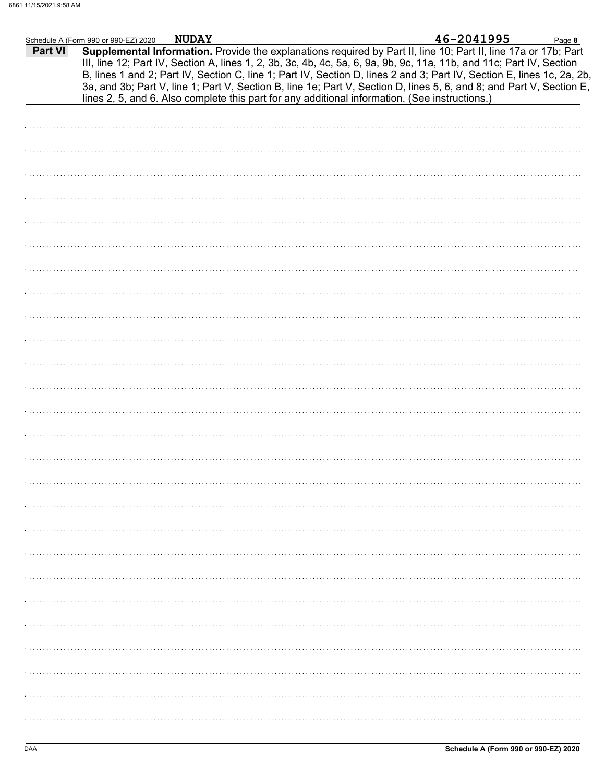|                | Schedule A (Form 990 or 990-EZ) 2020                                                           | <b>NUDAY</b> |  | 46-2041995                                                                                                                                                                                                                                                                                                                                                                                                                                                                                | Page 8 |
|----------------|------------------------------------------------------------------------------------------------|--------------|--|-------------------------------------------------------------------------------------------------------------------------------------------------------------------------------------------------------------------------------------------------------------------------------------------------------------------------------------------------------------------------------------------------------------------------------------------------------------------------------------------|--------|
| <b>Part VI</b> | lines 2, 5, and 6. Also complete this part for any additional information. (See instructions.) |              |  | Supplemental Information. Provide the explanations required by Part II, line 10; Part II, line 17a or 17b; Part<br>III, line 12; Part IV, Section A, lines 1, 2, 3b, 3c, 4b, 4c, 5a, 6, 9a, 9b, 9c, 11a, 11b, and 11c; Part IV, Section<br>B, lines 1 and 2; Part IV, Section C, line 1; Part IV, Section D, lines 2 and 3; Part IV, Section E, lines 1c, 2a, 2b,<br>3a, and 3b; Part V, line 1; Part V, Section B, line 1e; Part V, Section D, lines 5, 6, and 8; and Part V, Section E, |        |
|                |                                                                                                |              |  |                                                                                                                                                                                                                                                                                                                                                                                                                                                                                           |        |
|                |                                                                                                |              |  |                                                                                                                                                                                                                                                                                                                                                                                                                                                                                           |        |
|                |                                                                                                |              |  |                                                                                                                                                                                                                                                                                                                                                                                                                                                                                           |        |
|                |                                                                                                |              |  |                                                                                                                                                                                                                                                                                                                                                                                                                                                                                           |        |
|                |                                                                                                |              |  |                                                                                                                                                                                                                                                                                                                                                                                                                                                                                           |        |
|                |                                                                                                |              |  |                                                                                                                                                                                                                                                                                                                                                                                                                                                                                           |        |
|                |                                                                                                |              |  |                                                                                                                                                                                                                                                                                                                                                                                                                                                                                           |        |
|                |                                                                                                |              |  |                                                                                                                                                                                                                                                                                                                                                                                                                                                                                           |        |
|                |                                                                                                |              |  |                                                                                                                                                                                                                                                                                                                                                                                                                                                                                           |        |
|                |                                                                                                |              |  |                                                                                                                                                                                                                                                                                                                                                                                                                                                                                           |        |
|                |                                                                                                |              |  |                                                                                                                                                                                                                                                                                                                                                                                                                                                                                           |        |
|                |                                                                                                |              |  |                                                                                                                                                                                                                                                                                                                                                                                                                                                                                           |        |
|                |                                                                                                |              |  |                                                                                                                                                                                                                                                                                                                                                                                                                                                                                           |        |
|                |                                                                                                |              |  |                                                                                                                                                                                                                                                                                                                                                                                                                                                                                           |        |
|                |                                                                                                |              |  |                                                                                                                                                                                                                                                                                                                                                                                                                                                                                           |        |
|                |                                                                                                |              |  |                                                                                                                                                                                                                                                                                                                                                                                                                                                                                           |        |
|                |                                                                                                |              |  |                                                                                                                                                                                                                                                                                                                                                                                                                                                                                           |        |
|                |                                                                                                |              |  |                                                                                                                                                                                                                                                                                                                                                                                                                                                                                           |        |
|                |                                                                                                |              |  |                                                                                                                                                                                                                                                                                                                                                                                                                                                                                           |        |
|                |                                                                                                |              |  |                                                                                                                                                                                                                                                                                                                                                                                                                                                                                           |        |
|                |                                                                                                |              |  |                                                                                                                                                                                                                                                                                                                                                                                                                                                                                           |        |
|                |                                                                                                |              |  |                                                                                                                                                                                                                                                                                                                                                                                                                                                                                           |        |
|                |                                                                                                |              |  |                                                                                                                                                                                                                                                                                                                                                                                                                                                                                           |        |
|                |                                                                                                |              |  |                                                                                                                                                                                                                                                                                                                                                                                                                                                                                           |        |
|                |                                                                                                |              |  |                                                                                                                                                                                                                                                                                                                                                                                                                                                                                           |        |
|                |                                                                                                |              |  |                                                                                                                                                                                                                                                                                                                                                                                                                                                                                           |        |
|                |                                                                                                |              |  |                                                                                                                                                                                                                                                                                                                                                                                                                                                                                           |        |
|                |                                                                                                |              |  |                                                                                                                                                                                                                                                                                                                                                                                                                                                                                           |        |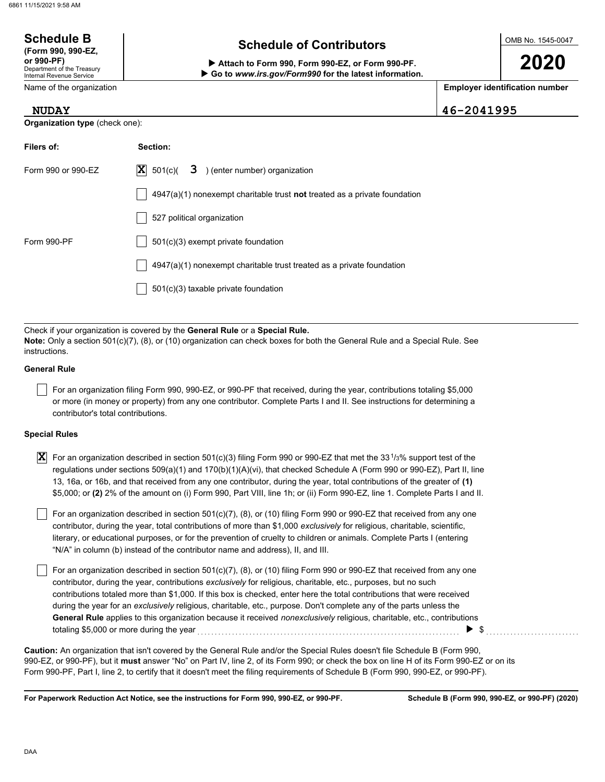**Organization type** (check one):

| <b>Schedule B</b><br>(Form 990, 990-EZ,                                                                                                                                           | <b>Schedule of Contributors</b> |            |                                       |  |
|-----------------------------------------------------------------------------------------------------------------------------------------------------------------------------------|---------------------------------|------------|---------------------------------------|--|
| or 990-PF)<br>Attach to Form 990, Form 990-EZ, or Form 990-PF.<br>Department of the Treasury<br>Go to www.irs.gov/Form990 for the latest information.<br>Internal Revenue Service |                                 |            | 2020                                  |  |
| Name of the organization                                                                                                                                                          |                                 |            | <b>Employer identification number</b> |  |
| <b>NUDAY</b>                                                                                                                                                                      |                                 | 46-2041995 |                                       |  |

| Filers of:         | Section:                                                                           |
|--------------------|------------------------------------------------------------------------------------|
| Form 990 or 990-EZ | $ \mathbf{X} $ 501(c)( <b>3</b> ) (enter number) organization                      |
|                    | $4947(a)(1)$ nonexempt charitable trust <b>not</b> treated as a private foundation |
|                    | 527 political organization                                                         |
| Form 990-PF        | $501(c)(3)$ exempt private foundation                                              |
|                    | $4947(a)(1)$ nonexempt charitable trust treated as a private foundation            |
|                    | 501(c)(3) taxable private foundation                                               |

Check if your organization is covered by the **General Rule** or a **Special Rule. Note:** Only a section 501(c)(7), (8), or (10) organization can check boxes for both the General Rule and a Special Rule. See instructions.

### **General Rule**

For an organization filing Form 990, 990-EZ, or 990-PF that received, during the year, contributions totaling \$5,000 or more (in money or property) from any one contributor. Complete Parts I and II. See instructions for determining a contributor's total contributions.

### **Special Rules**

| $\overline{\bf X}\vert$ For an organization described in section 501(c)(3) filing Form 990 or 990-EZ that met the 33 $^{1}\!/$ 3% support test of the |
|-------------------------------------------------------------------------------------------------------------------------------------------------------|
| regulations under sections 509(a)(1) and 170(b)(1)(A)(vi), that checked Schedule A (Form 990 or 990-EZ), Part II, line                                |
| 13, 16a, or 16b, and that received from any one contributor, during the year, total contributions of the greater of (1)                               |
| \$5,000; or (2) 2% of the amount on (i) Form 990, Part VIII, line 1h; or (ii) Form 990-EZ, line 1. Complete Parts I and II.                           |

literary, or educational purposes, or for the prevention of cruelty to children or animals. Complete Parts I (entering For an organization described in section 501(c)(7), (8), or (10) filing Form 990 or 990-EZ that received from any one contributor, during the year, total contributions of more than \$1,000 *exclusively* for religious, charitable, scientific, "N/A" in column (b) instead of the contributor name and address), II, and III.

For an organization described in section 501(c)(7), (8), or (10) filing Form 990 or 990-EZ that received from any one contributor, during the year, contributions *exclusively* for religious, charitable, etc., purposes, but no such contributions totaled more than \$1,000. If this box is checked, enter here the total contributions that were received during the year for an *exclusively* religious, charitable, etc., purpose. Don't complete any of the parts unless the **General Rule** applies to this organization because it received *nonexclusively* religious, charitable, etc., contributions totaling \$5,000 or more during the year *CONCORDITY CONCORDITY S* and the year of the year and the vertice of the w

990-EZ, or 990-PF), but it **must** answer "No" on Part IV, line 2, of its Form 990; or check the box on line H of its Form 990-EZ or on its Form 990-PF, Part I, line 2, to certify that it doesn't meet the filing requirements of Schedule B (Form 990, 990-EZ, or 990-PF). **Caution:** An organization that isn't covered by the General Rule and/or the Special Rules doesn't file Schedule B (Form 990,

**For Paperwork Reduction Act Notice, see the instructions for Form 990, 990-EZ, or 990-PF.**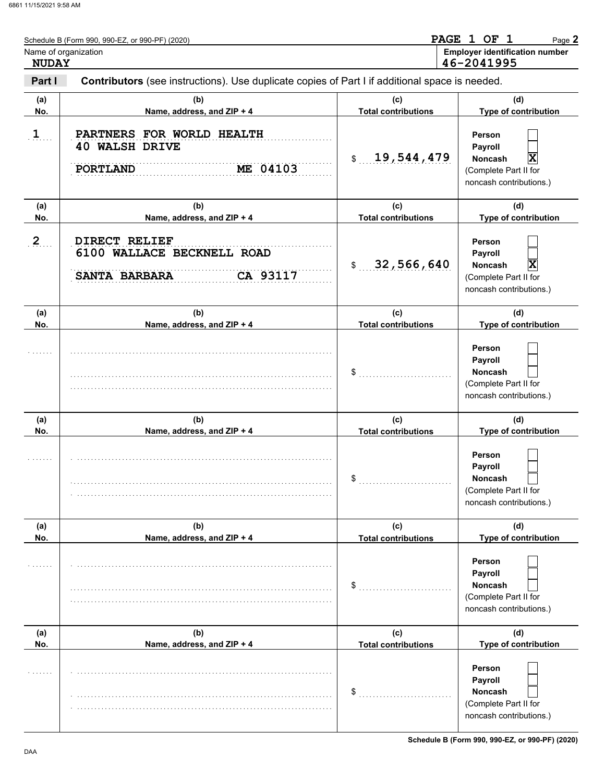| <b>NUDAY</b>   | Schedule B (Form 990, 990-EZ, or 990-PF) (2020)<br>Name of organization                        | PAGE 1 OF 1<br>Page 2<br><b>Employer identification number</b><br>46-2041995 |                                                                                              |  |  |
|----------------|------------------------------------------------------------------------------------------------|------------------------------------------------------------------------------|----------------------------------------------------------------------------------------------|--|--|
| Part I         | Contributors (see instructions). Use duplicate copies of Part I if additional space is needed. |                                                                              |                                                                                              |  |  |
| (a)<br>No.     | (b)<br>Name, address, and ZIP + 4                                                              | (c)<br><b>Total contributions</b>                                            | (d)<br>Type of contribution                                                                  |  |  |
| $\mathbf{1}$   | PARTNERS FOR WORLD HEALTH<br><b>40 WALSH DRIVE</b><br>ME 04103<br><b>PORTLAND</b>              | 19,544,479<br>\$                                                             | Person<br>Payroll<br>X<br><b>Noncash</b><br>(Complete Part II for<br>noncash contributions.) |  |  |
| (a)<br>No.     | (b)<br>Name, address, and ZIP + 4                                                              | (c)<br><b>Total contributions</b>                                            | (d)<br>Type of contribution                                                                  |  |  |
| $\overline{2}$ | DIRECT RELIEF<br>6100 WALLACE BECKNELL ROAD<br>CA 93117<br>SANTA BARBARA                       | 32,566,640<br>$\mathsf{\$}$                                                  | Person<br>Payroll<br>X<br><b>Noncash</b><br>(Complete Part II for<br>noncash contributions.) |  |  |
| (a)<br>No.     | (b)<br>Name, address, and ZIP + 4                                                              | (c)<br><b>Total contributions</b>                                            | (d)<br>Type of contribution                                                                  |  |  |
|                |                                                                                                | \$                                                                           | Person<br>Payroll<br><b>Noncash</b><br>(Complete Part II for<br>noncash contributions.)      |  |  |
| (a)<br>No.     | (b)<br>Name, address, and ZIP + 4                                                              | (c)<br><b>Total contributions</b>                                            | (d)<br>Type of contribution                                                                  |  |  |
|                |                                                                                                | \$                                                                           | Person<br>Payroll<br>Noncash<br>(Complete Part II for<br>noncash contributions.)             |  |  |
| (a)<br>No.     | (b)<br>Name, address, and ZIP + 4                                                              | (c)<br><b>Total contributions</b>                                            | (d)<br>Type of contribution                                                                  |  |  |
|                |                                                                                                | \$                                                                           | Person<br>Payroll<br>Noncash<br>(Complete Part II for<br>noncash contributions.)             |  |  |
| (a)<br>No.     | (b)<br>Name, address, and ZIP + 4                                                              | (c)<br><b>Total contributions</b>                                            | (d)<br>Type of contribution                                                                  |  |  |
|                |                                                                                                | \$                                                                           | Person<br>Payroll<br>Noncash<br>(Complete Part II for<br>noncash contributions.)             |  |  |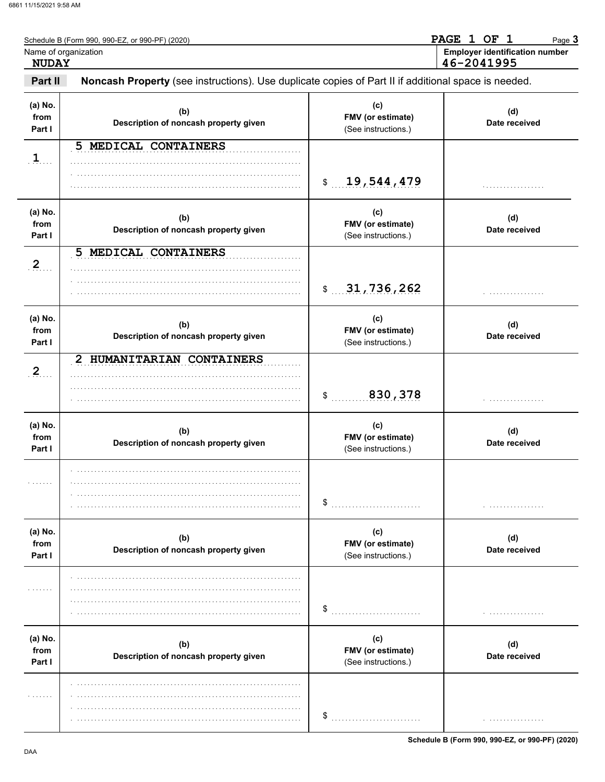| <b>NUDAY</b>              | Schedule B (Form 990, 990-EZ, or 990-PF) (2020)<br>Name of organization                             |                                                 | PAGE 1 OF 1<br>Page 3<br><b>Employer identification number</b><br>46-2041995 |
|---------------------------|-----------------------------------------------------------------------------------------------------|-------------------------------------------------|------------------------------------------------------------------------------|
| Part II                   | Noncash Property (see instructions). Use duplicate copies of Part II if additional space is needed. |                                                 |                                                                              |
| (a) No.<br>from<br>Part I | (b)<br>Description of noncash property given                                                        | (c)<br>FMV (or estimate)<br>(See instructions.) | (d)<br>Date received                                                         |
| 1                         | 5 MEDICAL CONTAINERS                                                                                | 19,544,479<br>$\frac{1}{2}$                     |                                                                              |
| (a) No.<br>from<br>Part I | (b)<br>Description of noncash property given                                                        | (c)<br>FMV (or estimate)<br>(See instructions.) | (d)<br>Date received                                                         |
| 2                         | MEDICAL CONTAINERS<br>5                                                                             | 31,736,262<br>$\frac{1}{2}$                     |                                                                              |
| (a) No.<br>from<br>Part I | (b)<br>Description of noncash property given                                                        | (c)<br>FMV (or estimate)<br>(See instructions.) | (d)<br>Date received                                                         |
| $\overline{2}$            | 2 HUMANITARIAN CONTAINERS                                                                           | 830,378<br>\$                                   |                                                                              |
| (a) No.<br>from<br>Part I | (b)<br>Description of noncash property given                                                        | (c)<br>FMV (or estimate)<br>(See instructions.) | (d)<br>Date received                                                         |
| .                         |                                                                                                     | \$                                              |                                                                              |
| (a) No.<br>from<br>Part I | (b)<br>Description of noncash property given                                                        | (c)<br>FMV (or estimate)<br>(See instructions.) | (d)<br>Date received                                                         |
|                           |                                                                                                     | \$                                              |                                                                              |
| (a) No.<br>from<br>Part I | (b)<br>Description of noncash property given                                                        | (c)<br>FMV (or estimate)<br>(See instructions.) | (d)<br>Date received                                                         |
| .                         |                                                                                                     | \$                                              | .                                                                            |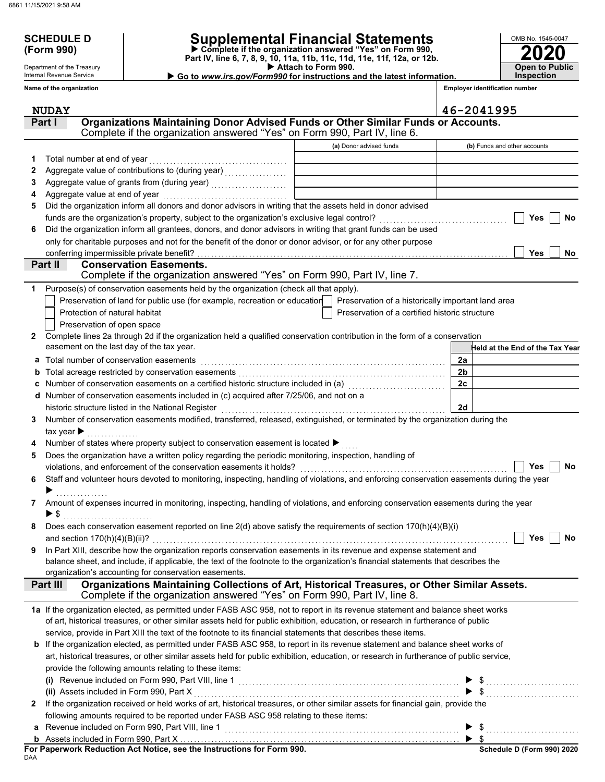Department of the Treasury Internal Revenue Service **Name of the organization**

## **SCHEDULE D Supplemental Financial Statements**

 **Attach to Form 990. (Form 990) Part IV, line 6, 7, 8, 9, 10, 11a, 11b, 11c, 11d, 11e, 11f, 12a, or 12b. Complete if the organization answered "Yes" on Form 990,**

 **Go to** *www.irs.gov/Form990* **for instructions and the latest information.**

**Employer identification number**

**2020**

**Open to Public Inspection**

OMB No. 1545-0047

|              | <b>NUDAY</b>                                                                                                                              |                                                    | 46-2041995                      |
|--------------|-------------------------------------------------------------------------------------------------------------------------------------------|----------------------------------------------------|---------------------------------|
|              | Organizations Maintaining Donor Advised Funds or Other Similar Funds or Accounts.<br>Part I                                               |                                                    |                                 |
|              | Complete if the organization answered "Yes" on Form 990, Part IV, line 6.                                                                 |                                                    |                                 |
|              |                                                                                                                                           | (a) Donor advised funds                            | (b) Funds and other accounts    |
| 1            | Total number at end of year                                                                                                               |                                                    |                                 |
| 2            |                                                                                                                                           |                                                    |                                 |
| З            |                                                                                                                                           |                                                    |                                 |
| 4            | Aggregate value at end of year                                                                                                            |                                                    |                                 |
| 5            | Did the organization inform all donors and donor advisors in writing that the assets held in donor advised                                |                                                    |                                 |
|              | funds are the organization's property, subject to the organization's exclusive legal control?                                             |                                                    | Yes<br><b>No</b>                |
| 6            | Did the organization inform all grantees, donors, and donor advisors in writing that grant funds can be used                              |                                                    |                                 |
|              | only for charitable purposes and not for the benefit of the donor or donor advisor, or for any other purpose                              |                                                    |                                 |
|              | conferring impermissible private benefit?                                                                                                 |                                                    | <b>Yes</b><br>No                |
|              | Part II<br><b>Conservation Easements.</b>                                                                                                 |                                                    |                                 |
|              | Complete if the organization answered "Yes" on Form 990, Part IV, line 7.                                                                 |                                                    |                                 |
| 1            | Purpose(s) of conservation easements held by the organization (check all that apply).                                                     |                                                    |                                 |
|              | Preservation of land for public use (for example, recreation or education                                                                 | Preservation of a historically important land area |                                 |
|              | Protection of natural habitat                                                                                                             | Preservation of a certified historic structure     |                                 |
|              | Preservation of open space                                                                                                                |                                                    |                                 |
| $\mathbf{2}$ | Complete lines 2a through 2d if the organization held a qualified conservation contribution in the form of a conservation                 |                                                    |                                 |
|              | easement on the last day of the tax year.                                                                                                 |                                                    | Held at the End of the Tax Year |
|              | a Total number of conservation easements                                                                                                  |                                                    | 2a                              |
|              | Total acreage restricted by conservation easements                                                                                        |                                                    | 2 <sub>b</sub>                  |
|              |                                                                                                                                           |                                                    | 2c                              |
|              | d Number of conservation easements included in (c) acquired after 7/25/06, and not on a                                                   |                                                    |                                 |
|              | historic structure listed in the National Register                                                                                        |                                                    | 2d                              |
| 3            | Number of conservation easements modified, transferred, released, extinguished, or terminated by the organization during the              |                                                    |                                 |
|              | tax year $\blacktriangleright$                                                                                                            |                                                    |                                 |
|              | Number of states where property subject to conservation easement is located ▶                                                             |                                                    |                                 |
| 5            | Does the organization have a written policy regarding the periodic monitoring, inspection, handling of                                    |                                                    |                                 |
|              | violations, and enforcement of the conservation easements it holds?                                                                       |                                                    | Yes<br><b>No</b>                |
| 6            | Staff and volunteer hours devoted to monitoring, inspecting, handling of violations, and enforcing conservation easements during the year |                                                    |                                 |
| 7            | Amount of expenses incurred in monitoring, inspecting, handling of violations, and enforcing conservation easements during the year       |                                                    |                                 |
|              |                                                                                                                                           |                                                    |                                 |
|              | Does each conservation easement reported on line 2(d) above satisfy the requirements of section 170(h)(4)(B)(i)                           |                                                    |                                 |
|              |                                                                                                                                           |                                                    | $\Box$ Yes $\Box$ No            |
| 9            | In Part XIII, describe how the organization reports conservation easements in its revenue and expense statement and                       |                                                    |                                 |
|              | balance sheet, and include, if applicable, the text of the footnote to the organization's financial statements that describes the         |                                                    |                                 |
|              | organization's accounting for conservation easements.                                                                                     |                                                    |                                 |
|              | Organizations Maintaining Collections of Art, Historical Treasures, or Other Similar Assets.<br>Part III                                  |                                                    |                                 |
|              | Complete if the organization answered "Yes" on Form 990, Part IV, line 8.                                                                 |                                                    |                                 |
|              | 1a If the organization elected, as permitted under FASB ASC 958, not to report in its revenue statement and balance sheet works           |                                                    |                                 |
|              | of art, historical treasures, or other similar assets held for public exhibition, education, or research in furtherance of public         |                                                    |                                 |
|              | service, provide in Part XIII the text of the footnote to its financial statements that describes these items.                            |                                                    |                                 |
|              | b If the organization elected, as permitted under FASB ASC 958, to report in its revenue statement and balance sheet works of             |                                                    |                                 |
|              | art, historical treasures, or other similar assets held for public exhibition, education, or research in furtherance of public service,   |                                                    |                                 |
|              | provide the following amounts relating to these items:                                                                                    |                                                    |                                 |
|              | (i) Revenue included on Form 990, Part VIII, line 1                                                                                       |                                                    |                                 |
|              | (ii) Assets included in Form 990, Part X                                                                                                  |                                                    |                                 |
| $\mathbf{z}$ | If the organization received or held works of art, historical treasures, or other similar assets for financial gain, provide the          |                                                    |                                 |
|              | following amounts required to be reported under FASB ASC 958 relating to these items:<br>Revenue included on Form 990, Part VIII, line 1  |                                                    |                                 |
| a            | <b>b</b> Assets included in Form 990, Part X ……………………………………………………………………………… ▶ \$                                                          |                                                    |                                 |
|              |                                                                                                                                           |                                                    |                                 |

DAA **For Paperwork Reduction Act Notice, see the Instructions for Form 990.**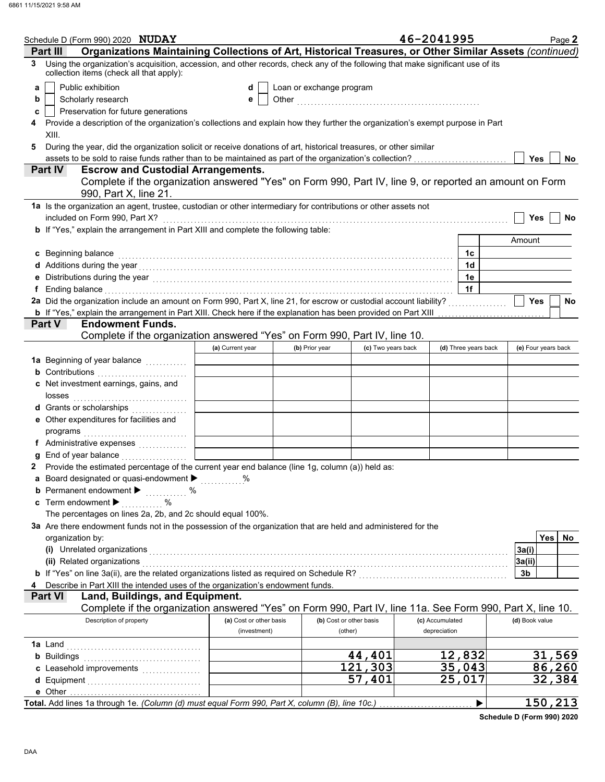|   | Schedule D (Form 990) 2020 NUDAY                                                                                                                                                                                               |                         |                          |                         | 46-2041995           | Page 2              |
|---|--------------------------------------------------------------------------------------------------------------------------------------------------------------------------------------------------------------------------------|-------------------------|--------------------------|-------------------------|----------------------|---------------------|
|   | Organizations Maintaining Collections of Art, Historical Treasures, or Other Similar Assets (continued)<br>Part III                                                                                                            |                         |                          |                         |                      |                     |
| 3 | Using the organization's acquisition, accession, and other records, check any of the following that make significant use of its<br>collection items (check all that apply):                                                    |                         |                          |                         |                      |                     |
| a | Public exhibition                                                                                                                                                                                                              | d                       | Loan or exchange program |                         |                      |                     |
| b | Scholarly research                                                                                                                                                                                                             | е                       |                          |                         |                      |                     |
| c | Preservation for future generations                                                                                                                                                                                            |                         |                          |                         |                      |                     |
|   | Provide a description of the organization's collections and explain how they further the organization's exempt purpose in Part                                                                                                 |                         |                          |                         |                      |                     |
|   | XIII.                                                                                                                                                                                                                          |                         |                          |                         |                      |                     |
| 5 | During the year, did the organization solicit or receive donations of art, historical treasures, or other similar                                                                                                              |                         |                          |                         |                      |                     |
|   | assets to be sold to raise funds rather than to be maintained as part of the organization's collection?                                                                                                                        |                         |                          |                         |                      | <b>Yes</b><br>No    |
|   | <b>Escrow and Custodial Arrangements.</b><br><b>Part IV</b>                                                                                                                                                                    |                         |                          |                         |                      |                     |
|   | Complete if the organization answered "Yes" on Form 990, Part IV, line 9, or reported an amount on Form                                                                                                                        |                         |                          |                         |                      |                     |
|   | 990, Part X, line 21.                                                                                                                                                                                                          |                         |                          |                         |                      |                     |
|   |                                                                                                                                                                                                                                |                         |                          |                         |                      |                     |
|   | 1a Is the organization an agent, trustee, custodian or other intermediary for contributions or other assets not                                                                                                                |                         |                          |                         |                      |                     |
|   | included on Form 990, Part X?                                                                                                                                                                                                  |                         |                          |                         |                      | <b>Yes</b><br>No    |
|   | <b>b</b> If "Yes," explain the arrangement in Part XIII and complete the following table:                                                                                                                                      |                         |                          |                         |                      |                     |
|   |                                                                                                                                                                                                                                |                         |                          |                         |                      | Amount              |
|   | c Beginning balance                                                                                                                                                                                                            |                         |                          |                         | 1c                   |                     |
|   |                                                                                                                                                                                                                                |                         |                          |                         | 1 <sub>d</sub>       |                     |
|   | Distributions during the year [1, 1, 2010] [1, 2010] [1, 2010] [1, 2010] [1, 2010] [1, 2010] [1, 2010] [1, 2010                                                                                                                |                         |                          |                         | 1e                   |                     |
|   | Ending balance entertainment and all the contract of the contract of the contract of the contract of the contract of the contract of the contract of the contract of the contract of the contract of the contract of the contr |                         |                          |                         | 1f                   |                     |
|   | 2a Did the organization include an amount on Form 990, Part X, line 21, for escrow or custodial account liability?                                                                                                             |                         |                          |                         |                      | <b>Yes</b><br>No    |
|   | <b>b</b> If "Yes," explain the arrangement in Part XIII. Check here if the explanation has been provided on Part XIII                                                                                                          |                         |                          |                         |                      |                     |
|   | Part V<br><b>Endowment Funds.</b>                                                                                                                                                                                              |                         |                          |                         |                      |                     |
|   | Complete if the organization answered "Yes" on Form 990, Part IV, line 10.                                                                                                                                                     |                         |                          |                         |                      |                     |
|   |                                                                                                                                                                                                                                | (a) Current year        | (b) Prior year           | (c) Two years back      | (d) Three years back | (e) Four years back |
|   | 1a Beginning of year balance <i>[[[[[[[[[[[[[[[[[[[[[[[[[[[[]]]]</i>                                                                                                                                                           |                         |                          |                         |                      |                     |
|   | <b>b</b> Contributions                                                                                                                                                                                                         |                         |                          |                         |                      |                     |
|   | c Net investment earnings, gains, and                                                                                                                                                                                          |                         |                          |                         |                      |                     |
|   | losses                                                                                                                                                                                                                         |                         |                          |                         |                      |                     |
|   | d Grants or scholarships                                                                                                                                                                                                       |                         |                          |                         |                      |                     |
|   | e Other expenditures for facilities and                                                                                                                                                                                        |                         |                          |                         |                      |                     |
|   |                                                                                                                                                                                                                                |                         |                          |                         |                      |                     |
|   | programs                                                                                                                                                                                                                       |                         |                          |                         |                      |                     |
|   | f Administrative expenses                                                                                                                                                                                                      |                         |                          |                         |                      |                     |
|   | End of year balance <i>[[[[[[[[[[[[[[[[[[[[[[[[[[[[[]]]]</i> ]]]                                                                                                                                                               |                         |                          |                         |                      |                     |
|   | Provide the estimated percentage of the current year end balance (line 1g, column (a)) held as:                                                                                                                                |                         |                          |                         |                      |                     |
|   | Board designated or quasi-endowment > %                                                                                                                                                                                        |                         |                          |                         |                      |                     |
|   | <b>b</b> Permanent endowment $\blacktriangleright$<br>$\%$                                                                                                                                                                     |                         |                          |                         |                      |                     |
|   | c Term endowment $\blacktriangleright$<br>%                                                                                                                                                                                    |                         |                          |                         |                      |                     |
|   | The percentages on lines 2a, 2b, and 2c should equal 100%.                                                                                                                                                                     |                         |                          |                         |                      |                     |
|   | 3a Are there endowment funds not in the possession of the organization that are held and administered for the                                                                                                                  |                         |                          |                         |                      |                     |
|   | organization by:                                                                                                                                                                                                               |                         |                          |                         |                      | Yes<br>No           |
|   | (i) Unrelated organizations                                                                                                                                                                                                    |                         |                          |                         |                      | 3a(i)               |
|   | (ii) Related organizations                                                                                                                                                                                                     |                         |                          |                         |                      | 3a(ii)              |
|   |                                                                                                                                                                                                                                |                         |                          |                         |                      | 3b                  |
|   | Describe in Part XIII the intended uses of the organization's endowment funds.                                                                                                                                                 |                         |                          |                         |                      |                     |
|   | Land, Buildings, and Equipment.<br><b>Part VI</b>                                                                                                                                                                              |                         |                          |                         |                      |                     |
|   | Complete if the organization answered "Yes" on Form 990, Part IV, line 11a. See Form 990, Part X, line 10.                                                                                                                     |                         |                          |                         |                      |                     |
|   | Description of property                                                                                                                                                                                                        | (a) Cost or other basis |                          | (b) Cost or other basis | (c) Accumulated      | (d) Book value      |
|   |                                                                                                                                                                                                                                | (investment)            |                          | (other)                 | depreciation         |                     |
|   | 1a Land                                                                                                                                                                                                                        |                         |                          |                         |                      |                     |
|   | <b>b</b> Buildings                                                                                                                                                                                                             |                         |                          | 44,401                  | 12,832               | 31,569              |
|   |                                                                                                                                                                                                                                |                         |                          | 121,303                 | 35,043               | 86,260              |
|   |                                                                                                                                                                                                                                |                         |                          | 57,401                  | 25,017               | 32,384              |
|   |                                                                                                                                                                                                                                |                         |                          |                         |                      |                     |
|   | Total. Add lines 1a through 1e. (Column (d) must equal Form 990, Part X, column (B), line 10c.)                                                                                                                                |                         |                          |                         |                      | 150, 213            |
|   |                                                                                                                                                                                                                                |                         |                          |                         | ▶                    |                     |

**Schedule D (Form 990) 2020**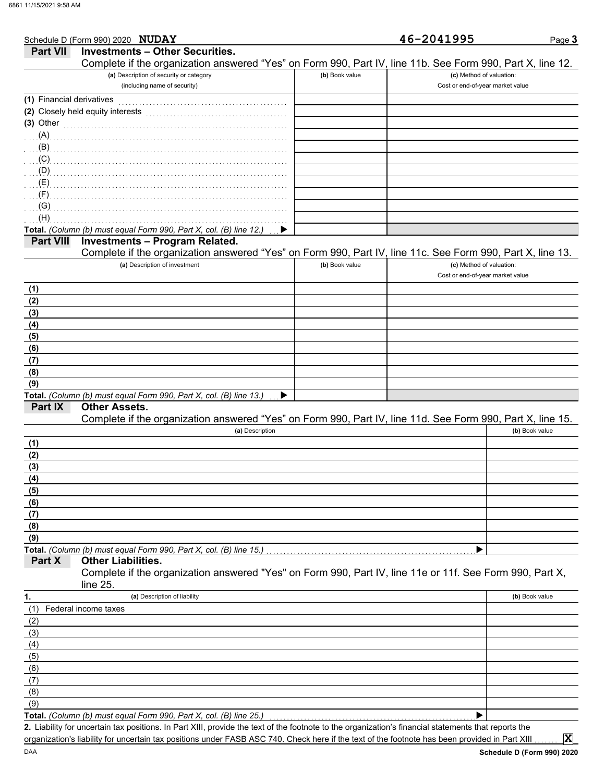|                           | Schedule D (Form 990) 2020 NUDAY                                                                           |                | 46-2041995                       | Page 3         |
|---------------------------|------------------------------------------------------------------------------------------------------------|----------------|----------------------------------|----------------|
| <b>Part VII</b>           | <b>Investments - Other Securities.</b>                                                                     |                |                                  |                |
|                           | Complete if the organization answered "Yes" on Form 990, Part IV, line 11b. See Form 990, Part X, line 12. |                |                                  |                |
|                           | (a) Description of security or category                                                                    | (b) Book value | (c) Method of valuation:         |                |
|                           | (including name of security)                                                                               |                | Cost or end-of-year market value |                |
| (1) Financial derivatives |                                                                                                            |                |                                  |                |
|                           |                                                                                                            |                |                                  |                |
| $(3)$ Other               |                                                                                                            |                |                                  |                |
| (A)                       |                                                                                                            |                |                                  |                |
| (B)                       |                                                                                                            |                |                                  |                |
| (C)                       |                                                                                                            |                |                                  |                |
| (D)                       |                                                                                                            |                |                                  |                |
| (E)                       |                                                                                                            |                |                                  |                |
| (F)                       |                                                                                                            |                |                                  |                |
| (G)                       |                                                                                                            |                |                                  |                |
| (H)                       |                                                                                                            |                |                                  |                |
|                           | Total. (Column (b) must equal Form 990, Part X, col. (B) line 12.)                                         |                |                                  |                |
| <b>Part VIII</b>          | <b>Investments - Program Related.</b>                                                                      |                |                                  |                |
|                           | Complete if the organization answered "Yes" on Form 990, Part IV, line 11c. See Form 990, Part X, line 13. |                |                                  |                |
|                           | (a) Description of investment                                                                              | (b) Book value | (c) Method of valuation:         |                |
|                           |                                                                                                            |                | Cost or end-of-year market value |                |
| (1)                       |                                                                                                            |                |                                  |                |
| (2)                       |                                                                                                            |                |                                  |                |
| (3)                       |                                                                                                            |                |                                  |                |
| (4)                       |                                                                                                            |                |                                  |                |
| (5)                       |                                                                                                            |                |                                  |                |
| (6)                       |                                                                                                            |                |                                  |                |
| (7)                       |                                                                                                            |                |                                  |                |
| (8)                       |                                                                                                            |                |                                  |                |
| (9)                       |                                                                                                            |                |                                  |                |
|                           | Total. (Column (b) must equal Form 990, Part X, col. (B) line 13.)                                         |                |                                  |                |
| Part IX                   | <b>Other Assets.</b>                                                                                       |                |                                  |                |
|                           | Complete if the organization answered "Yes" on Form 990, Part IV, line 11d. See Form 990, Part X, line 15. |                |                                  |                |
|                           | (a) Description                                                                                            |                |                                  | (b) Book value |
| (1)                       |                                                                                                            |                |                                  |                |
| (2)                       |                                                                                                            |                |                                  |                |
| (3)                       |                                                                                                            |                |                                  |                |
| (4)                       |                                                                                                            |                |                                  |                |
| (5)                       |                                                                                                            |                |                                  |                |
| (6)                       |                                                                                                            |                |                                  |                |
| (7)                       |                                                                                                            |                |                                  |                |
| (8)                       |                                                                                                            |                |                                  |                |
| (9)                       |                                                                                                            |                |                                  |                |
|                           | Total. (Column (b) must equal Form 990, Part X, col. (B) line 15.)                                         |                |                                  |                |
| Part X                    | <b>Other Liabilities.</b>                                                                                  |                |                                  |                |
|                           | Complete if the organization answered "Yes" on Form 990, Part IV, line 11e or 11f. See Form 990, Part X,   |                |                                  |                |
|                           | line 25.                                                                                                   |                |                                  |                |
| 1.                        | (a) Description of liability                                                                               |                |                                  | (b) Book value |
| (1)                       | Federal income taxes                                                                                       |                |                                  |                |
| (2)                       |                                                                                                            |                |                                  |                |
| (3)                       |                                                                                                            |                |                                  |                |
| (4)                       |                                                                                                            |                |                                  |                |
| (5)                       |                                                                                                            |                |                                  |                |
| (6)                       |                                                                                                            |                |                                  |                |
| (7)                       |                                                                                                            |                |                                  |                |
| (8)                       |                                                                                                            |                |                                  |                |
| (9)                       |                                                                                                            |                |                                  |                |
|                           | Total. (Column (b) must equal Form 990, Part X, col. (B) line 25.)                                         |                |                                  |                |

Liability for uncertain tax positions. In Part XIII, provide the text of the footnote to the organization's financial statements that reports the **2.** organization's liability for uncertain tax positions under FASB ASC 740. Check here if the text of the footnote has been provided in Part XIII

**X**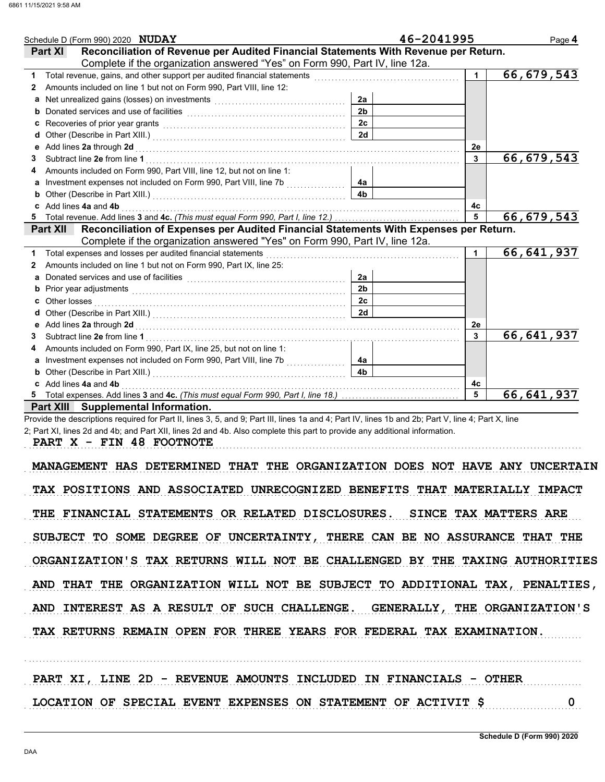| Schedule D (Form 990) 2020 NUDAY                                                                                                                                                                                                    |                                                                                                                                                                      | 46-2041995              | Page 4                     |
|-------------------------------------------------------------------------------------------------------------------------------------------------------------------------------------------------------------------------------------|----------------------------------------------------------------------------------------------------------------------------------------------------------------------|-------------------------|----------------------------|
| <b>Part XI</b>                                                                                                                                                                                                                      | Reconciliation of Revenue per Audited Financial Statements With Revenue per Return.                                                                                  |                         |                            |
|                                                                                                                                                                                                                                     | Complete if the organization answered "Yes" on Form 990, Part IV, line 12a.                                                                                          |                         |                            |
| Total revenue, gains, and other support per audited financial statements<br>[[[CODID]                                                                                                                                               |                                                                                                                                                                      | $\mathbf 1$             | 66, 679, 543               |
| Amounts included on line 1 but not on Form 990, Part VIII, line 12:<br>2                                                                                                                                                            |                                                                                                                                                                      |                         |                            |
| Net unrealized gains (losses) on investments [11] with the substitution of the set of the set of the set of the set of the set of the set of the set of the set of the set of the set of the set of the set of the set of the<br>a  | 2a                                                                                                                                                                   |                         |                            |
|                                                                                                                                                                                                                                     | 2 <sub>b</sub>                                                                                                                                                       |                         |                            |
|                                                                                                                                                                                                                                     | 2 <sub>c</sub>                                                                                                                                                       |                         |                            |
| d                                                                                                                                                                                                                                   | 2d                                                                                                                                                                   |                         |                            |
| Add lines 2a through 2d [11] Additional Property of the Additional Property of the Additional Property of Additional Property of Additional Property of Additional Property of Additional Property of Additional Property of A<br>е |                                                                                                                                                                      | 2е                      |                            |
| 3                                                                                                                                                                                                                                   |                                                                                                                                                                      | $\mathbf{3}$            | $\overline{66}$ , 679, 543 |
| Amounts included on Form 990, Part VIII, line 12, but not on line 1:                                                                                                                                                                |                                                                                                                                                                      |                         |                            |
|                                                                                                                                                                                                                                     | 4a                                                                                                                                                                   |                         |                            |
| b                                                                                                                                                                                                                                   | 4 <sub>b</sub>                                                                                                                                                       |                         |                            |
| c Add lines 4a and 4b                                                                                                                                                                                                               |                                                                                                                                                                      | 4с                      |                            |
|                                                                                                                                                                                                                                     |                                                                                                                                                                      | $\overline{5}$          | 66, 679, 543               |
| <b>Part XII</b>                                                                                                                                                                                                                     | Reconciliation of Expenses per Audited Financial Statements With Expenses per Return.<br>Complete if the organization answered "Yes" on Form 990, Part IV, line 12a. |                         |                            |
| Total expenses and losses per audited financial statements                                                                                                                                                                          |                                                                                                                                                                      |                         | 66,641,937                 |
| Amounts included on line 1 but not on Form 990, Part IX, line 25:<br>2                                                                                                                                                              |                                                                                                                                                                      |                         |                            |
|                                                                                                                                                                                                                                     | 2a                                                                                                                                                                   |                         |                            |
|                                                                                                                                                                                                                                     | 2 <sub>b</sub>                                                                                                                                                       |                         |                            |
| Other losses<br>c                                                                                                                                                                                                                   | 2c                                                                                                                                                                   |                         |                            |
|                                                                                                                                                                                                                                     | 2d                                                                                                                                                                   |                         |                            |
| е                                                                                                                                                                                                                                   |                                                                                                                                                                      | 2e                      |                            |
| 3                                                                                                                                                                                                                                   |                                                                                                                                                                      | $\mathbf{3}$            | 66, 641, 937               |
| Amounts included on Form 990, Part IX, line 25, but not on line 1:                                                                                                                                                                  |                                                                                                                                                                      |                         |                            |
| a                                                                                                                                                                                                                                   | 4a                                                                                                                                                                   |                         |                            |
|                                                                                                                                                                                                                                     | 4b.                                                                                                                                                                  |                         |                            |
| Add lines 4a and 4b                                                                                                                                                                                                                 |                                                                                                                                                                      | 4c                      |                            |
|                                                                                                                                                                                                                                     |                                                                                                                                                                      | $\overline{\mathbf{5}}$ | 66, 641, 937               |
| Part XIII Supplemental Information.                                                                                                                                                                                                 |                                                                                                                                                                      |                         |                            |

Provide the descriptions required for Part II, lines 3, 5, and 9; Part III, lines 1a and 4; Part IV, lines 1b and 2b; Part V, line 4; Part X, line 2; Part XI, lines 2d and 4b; and Part XII, lines 2d and 4b. Also complete this part to provide any additional information.

PART X - FIN 48 FOOTNOTE

MANAGEMENT HAS DETERMINED THAT THE ORGANIZATION DOES NOT HAVE ANY UNCERTAIN TAX POSITIONS AND ASSOCIATED UNRECOGNIZED BENEFITS THAT MATERIALLY IMPACT THE FINANCIAL STATEMENTS OR RELATED DISCLOSURES. SINCE TAX MATTERS ARE SUBJECT TO SOME DEGREE OF UNCERTAINTY, THERE CAN BE NO ASSURANCE THAT THE ORGANIZATION'S TAX RETURNS WILL NOT BE CHALLENGED BY THE TAXING AUTHORITIES AND THAT THE ORGANIZATION WILL NOT BE SUBJECT TO ADDITIONAL TAX, PENALTIES, AND INTEREST AS A RESULT OF SUCH CHALLENGE. GENERALLY, THE ORGANIZATION'S TAX RETURNS REMAIN OPEN FOR THREE YEARS FOR FEDERAL TAX EXAMINATION.

|  |  | PART XI, LINE 2D - REVENUE AMOUNTS INCLUDED IN FINANCIALS - OTHER |  |  |  |  |  |
|--|--|-------------------------------------------------------------------|--|--|--|--|--|
|  |  | LOCATION OF SPECIAL EVENT EXPENSES ON STATEMENT OF ACTIVIT \$     |  |  |  |  |  |

. . . . . . . . . . . . . . . . . . . . . . . . . . . . . . . . . . . . . . . . . . . . . . . . . . . . . . . . . . . . . . . . . . . . . . . . . . . . . . . . . . . . . . . . . . . . . . . . . . . . . . . . . . . . . . . . . . . . . . . . . . . . . . . . . . . . . . . . . . . . . . . . . . . . . . . . . . . . . . . . .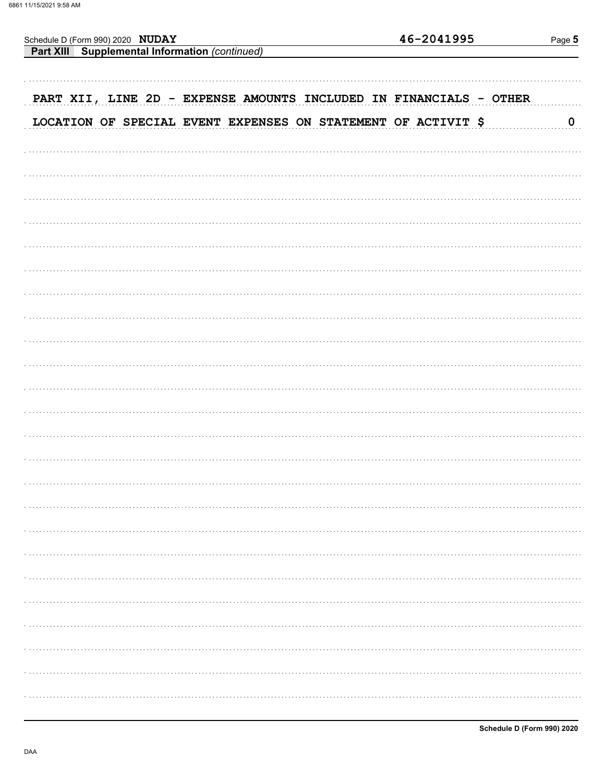| Schedule D (Form 990) 2020 | <b>NUDAY</b> |  |  |  |
|----------------------------|--------------|--|--|--|
|                            |              |  |  |  |

| <b>Part XIII</b> Supplemental Information (continued) |  |
|-------------------------------------------------------|--|
|                                                       |  |

| PART XII, LINE 2D - EXPENSE AMOUNTS INCLUDED IN FINANCIALS - OTHER |  |  |                      |
|--------------------------------------------------------------------|--|--|----------------------|
| LOCATION OF SPECIAL EVENT EXPENSES ON STATEMENT OF ACTIVIT \$      |  |  | $\mathbf{0}_{\dots}$ |
|                                                                    |  |  |                      |
|                                                                    |  |  |                      |
|                                                                    |  |  |                      |
|                                                                    |  |  |                      |
|                                                                    |  |  |                      |
|                                                                    |  |  |                      |
|                                                                    |  |  |                      |
|                                                                    |  |  |                      |
|                                                                    |  |  |                      |
|                                                                    |  |  |                      |
|                                                                    |  |  |                      |
|                                                                    |  |  |                      |
|                                                                    |  |  |                      |
|                                                                    |  |  |                      |
|                                                                    |  |  |                      |
|                                                                    |  |  |                      |
|                                                                    |  |  |                      |
|                                                                    |  |  |                      |
|                                                                    |  |  |                      |
|                                                                    |  |  |                      |
|                                                                    |  |  |                      |
|                                                                    |  |  |                      |
|                                                                    |  |  |                      |
|                                                                    |  |  |                      |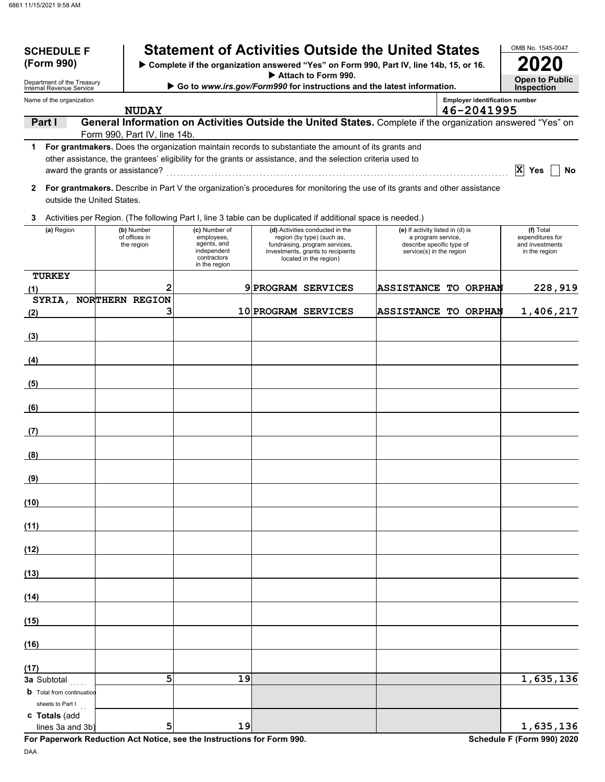| <b>SCHEDULE F</b><br>(Form 990)                       |                                                                                               |                                           | <b>Statement of Activities Outside the United States</b><br>> Complete if the organization answered "Yes" on Form 990, Part IV, line 14b, 15, or 16.                                                                 |  |                                                                                                                                                                |                                                                                                                 |                                       | OMB No. 1545-0047                                                 |
|-------------------------------------------------------|-----------------------------------------------------------------------------------------------|-------------------------------------------|----------------------------------------------------------------------------------------------------------------------------------------------------------------------------------------------------------------------|--|----------------------------------------------------------------------------------------------------------------------------------------------------------------|-----------------------------------------------------------------------------------------------------------------|---------------------------------------|-------------------------------------------------------------------|
| Department of the Treasury                            | Attach to Form 990.<br>Go to www.irs.gov/Form990 for instructions and the latest information. |                                           |                                                                                                                                                                                                                      |  |                                                                                                                                                                |                                                                                                                 |                                       |                                                                   |
| Internal Revenue Service<br>Name of the organization  |                                                                                               |                                           |                                                                                                                                                                                                                      |  |                                                                                                                                                                |                                                                                                                 | <b>Employer identification number</b> | <b>Inspection</b>                                                 |
| Part I                                                |                                                                                               | <b>NUDAY</b>                              | General Information on Activities Outside the United States. Complete if the organization answered "Yes" on                                                                                                          |  |                                                                                                                                                                |                                                                                                                 | 46-2041995                            |                                                                   |
|                                                       |                                                                                               | Form 990, Part IV, line 14b.              |                                                                                                                                                                                                                      |  |                                                                                                                                                                |                                                                                                                 |                                       |                                                                   |
| 1<br>award the grants or assistance?                  |                                                                                               |                                           | For grantmakers. Does the organization maintain records to substantiate the amount of its grants and<br>other assistance, the grantees' eligibility for the grants or assistance, and the selection criteria used to |  |                                                                                                                                                                |                                                                                                                 |                                       | $ {\bf x} $<br>Yes<br>No                                          |
| $\mathbf{2}$<br>outside the United States.            |                                                                                               |                                           | For grantmakers. Describe in Part V the organization's procedures for monitoring the use of its grants and other assistance                                                                                          |  |                                                                                                                                                                |                                                                                                                 |                                       |                                                                   |
| 3                                                     |                                                                                               |                                           | Activities per Region. (The following Part I, line 3 table can be duplicated if additional space is needed.)                                                                                                         |  |                                                                                                                                                                |                                                                                                                 |                                       |                                                                   |
| (a) Region                                            |                                                                                               | (b) Number<br>of offices in<br>the region | (c) Number of<br>employees,<br>agents, and<br>independent<br>contractors<br>in the region                                                                                                                            |  | (d) Activities conducted in the<br>region (by type) (such as,<br>fundraising, program services,<br>investments, grants to recipients<br>located in the region) | (e) If activity listed in (d) is<br>a program service,<br>describe specific type of<br>service(s) in the region |                                       | (f) Total<br>expenditures for<br>and investments<br>in the region |
| <b>TURKEY</b><br>(1)                                  |                                                                                               | 2                                         |                                                                                                                                                                                                                      |  | 9 PROGRAM SERVICES                                                                                                                                             |                                                                                                                 | <b>ASSISTANCE TO ORPHAN</b>           | 228,919                                                           |
| SYRIA, NORTHERN REGION                                |                                                                                               | з                                         |                                                                                                                                                                                                                      |  | 10 PROGRAM SERVICES                                                                                                                                            |                                                                                                                 | ASSISTANCE TO ORPHAN                  | 1,406,217                                                         |
| (2)                                                   |                                                                                               |                                           |                                                                                                                                                                                                                      |  |                                                                                                                                                                |                                                                                                                 |                                       |                                                                   |
| (3)                                                   |                                                                                               |                                           |                                                                                                                                                                                                                      |  |                                                                                                                                                                |                                                                                                                 |                                       |                                                                   |
| (4)                                                   |                                                                                               |                                           |                                                                                                                                                                                                                      |  |                                                                                                                                                                |                                                                                                                 |                                       |                                                                   |
| (5)                                                   |                                                                                               |                                           |                                                                                                                                                                                                                      |  |                                                                                                                                                                |                                                                                                                 |                                       |                                                                   |
| (6)                                                   |                                                                                               |                                           |                                                                                                                                                                                                                      |  |                                                                                                                                                                |                                                                                                                 |                                       |                                                                   |
| (7)                                                   |                                                                                               |                                           |                                                                                                                                                                                                                      |  |                                                                                                                                                                |                                                                                                                 |                                       |                                                                   |
| (8)                                                   |                                                                                               |                                           |                                                                                                                                                                                                                      |  |                                                                                                                                                                |                                                                                                                 |                                       |                                                                   |
| <u>(9)</u>                                            |                                                                                               |                                           |                                                                                                                                                                                                                      |  |                                                                                                                                                                |                                                                                                                 |                                       |                                                                   |
| (10)                                                  |                                                                                               |                                           |                                                                                                                                                                                                                      |  |                                                                                                                                                                |                                                                                                                 |                                       |                                                                   |
| (11)                                                  |                                                                                               |                                           |                                                                                                                                                                                                                      |  |                                                                                                                                                                |                                                                                                                 |                                       |                                                                   |
| (12)                                                  |                                                                                               |                                           |                                                                                                                                                                                                                      |  |                                                                                                                                                                |                                                                                                                 |                                       |                                                                   |
| (13)                                                  |                                                                                               |                                           |                                                                                                                                                                                                                      |  |                                                                                                                                                                |                                                                                                                 |                                       |                                                                   |
| (14)                                                  |                                                                                               |                                           |                                                                                                                                                                                                                      |  |                                                                                                                                                                |                                                                                                                 |                                       |                                                                   |
| (15)                                                  |                                                                                               |                                           |                                                                                                                                                                                                                      |  |                                                                                                                                                                |                                                                                                                 |                                       |                                                                   |
| (16)                                                  |                                                                                               |                                           |                                                                                                                                                                                                                      |  |                                                                                                                                                                |                                                                                                                 |                                       |                                                                   |
| (17)                                                  |                                                                                               |                                           |                                                                                                                                                                                                                      |  |                                                                                                                                                                |                                                                                                                 |                                       |                                                                   |
| 3a Subtotal<br><b>b</b> Total from continuation       |                                                                                               | 5                                         | 19                                                                                                                                                                                                                   |  |                                                                                                                                                                |                                                                                                                 |                                       | 1,635,136                                                         |
| sheets to Part I<br>c Totals (add<br>lines 3a and 3b) |                                                                                               | 5                                         | 19                                                                                                                                                                                                                   |  |                                                                                                                                                                |                                                                                                                 |                                       | 1,635,136                                                         |

**For Paperwork Reduction Act Notice, see the Instructions for Form 990. Schedule F (Form 990) 2020**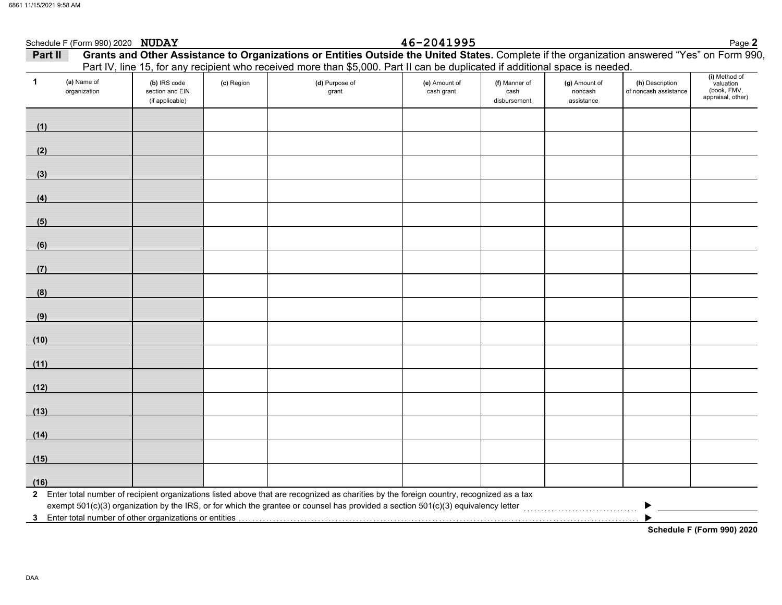|         | Schedule F (Form 990) 2020 NUDAY |                                                    |            |                                                                                                                                                                                                                                                                             | 46-2041995                  |                                       |                                        |                                          | Page 2                                                         |
|---------|----------------------------------|----------------------------------------------------|------------|-----------------------------------------------------------------------------------------------------------------------------------------------------------------------------------------------------------------------------------------------------------------------------|-----------------------------|---------------------------------------|----------------------------------------|------------------------------------------|----------------------------------------------------------------|
| Part II |                                  |                                                    |            | Grants and Other Assistance to Organizations or Entities Outside the United States. Complete if the organization answered "Yes" on Form 990<br>Part IV, line 15, for any recipient who received more than \$5,000. Part II can be duplicated if additional space is needed. |                             |                                       |                                        |                                          |                                                                |
| 1       | (a) Name of<br>organization      | (b) IRS code<br>section and EIN<br>(if applicable) | (c) Region | (d) Purpose of<br>grant                                                                                                                                                                                                                                                     | (e) Amount of<br>cash grant | (f) Manner of<br>cash<br>disbursement | (g) Amount of<br>noncash<br>assistance | (h) Description<br>of noncash assistance | (i) Method of<br>valuation<br>(book, FMV,<br>appraisal, other) |
| (1)     |                                  |                                                    |            |                                                                                                                                                                                                                                                                             |                             |                                       |                                        |                                          |                                                                |
| (2)     |                                  |                                                    |            |                                                                                                                                                                                                                                                                             |                             |                                       |                                        |                                          |                                                                |
| (3)     |                                  |                                                    |            |                                                                                                                                                                                                                                                                             |                             |                                       |                                        |                                          |                                                                |
| (4)     |                                  |                                                    |            |                                                                                                                                                                                                                                                                             |                             |                                       |                                        |                                          |                                                                |
| (5)     |                                  |                                                    |            |                                                                                                                                                                                                                                                                             |                             |                                       |                                        |                                          |                                                                |
| (6)     |                                  |                                                    |            |                                                                                                                                                                                                                                                                             |                             |                                       |                                        |                                          |                                                                |
| (7)     |                                  |                                                    |            |                                                                                                                                                                                                                                                                             |                             |                                       |                                        |                                          |                                                                |
| (8)     |                                  |                                                    |            |                                                                                                                                                                                                                                                                             |                             |                                       |                                        |                                          |                                                                |
| (9)     |                                  |                                                    |            |                                                                                                                                                                                                                                                                             |                             |                                       |                                        |                                          |                                                                |
| (10)    |                                  |                                                    |            |                                                                                                                                                                                                                                                                             |                             |                                       |                                        |                                          |                                                                |
| (11)    |                                  |                                                    |            |                                                                                                                                                                                                                                                                             |                             |                                       |                                        |                                          |                                                                |
| (12)    |                                  |                                                    |            |                                                                                                                                                                                                                                                                             |                             |                                       |                                        |                                          |                                                                |
| (13)    |                                  |                                                    |            |                                                                                                                                                                                                                                                                             |                             |                                       |                                        |                                          |                                                                |
| (14)    |                                  |                                                    |            |                                                                                                                                                                                                                                                                             |                             |                                       |                                        |                                          |                                                                |
| (15)    |                                  |                                                    |            |                                                                                                                                                                                                                                                                             |                             |                                       |                                        |                                          |                                                                |
| (16)    |                                  |                                                    |            | 2 Enter total number of recipient organizations listed above that are recognized as charities by the foreign country, recognized as a tax                                                                                                                                   |                             |                                       |                                        |                                          |                                                                |
|         |                                  |                                                    |            |                                                                                                                                                                                                                                                                             |                             |                                       |                                        |                                          | $\mathbf{r} = \mathbf{r}$ as $\mathbf{r} = \mathbf{r}$         |

**Schedule F (Form 990) 2020**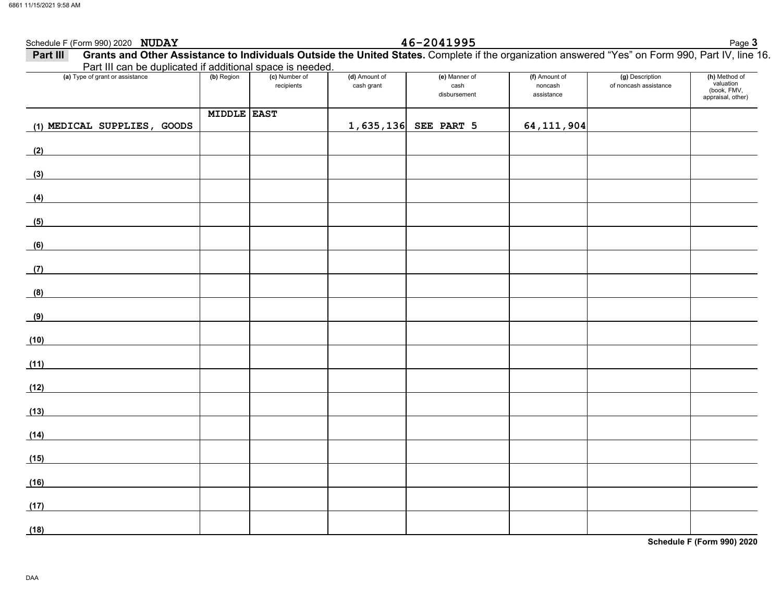## **Schedule F (Form 990) 2020 <b>NUDAY 16-2041995** Schedule F (Form 990) 2020 Page **3 I** Grants and Other Assistance to Individuals Outside the United States. Complete if the organization answered "Yes" on Form 990, Part IV, line 16. **Part III**Part III can be duplicated if additional space is needed. **(a)** Type of grant or assistance **(b)** Region **(c)** Number of **(d)** Amount of **(e)** Manner of **(f)** Amount of **(g)** Description **(h)** Method of valuationrecipients cash grant **cash** of noncash assistancenoncash (book, FMV, disbursementassistanceappraisal, other) **MIDDLE EAST1,635,136 SEE PART 5 64,111,904 (1) MEDICAL SUPPLIES, GOODS (2) (3) (4) (5) (6) (7) (8) (9) (10) (11) (12) (13) (14) (15) (16) (17) (18)**

**Schedule F (Form 990) 2020**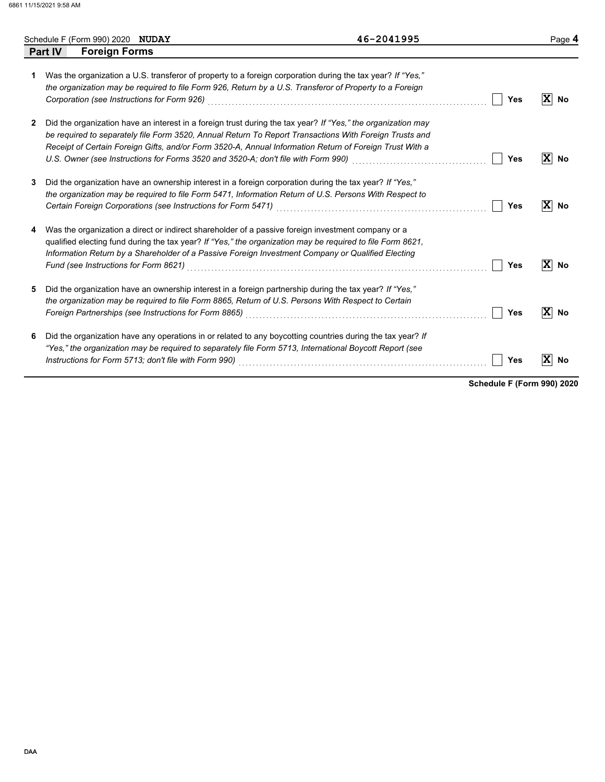|   |                | Schedule F (Form 990) 2020 NUDAY |                                             |                                                                                                                                                                                                                                                                                                                       | 46-2041995                                                                                                                                                                                                             |            |              | Page 4            |
|---|----------------|----------------------------------|---------------------------------------------|-----------------------------------------------------------------------------------------------------------------------------------------------------------------------------------------------------------------------------------------------------------------------------------------------------------------------|------------------------------------------------------------------------------------------------------------------------------------------------------------------------------------------------------------------------|------------|--------------|-------------------|
|   | <b>Part IV</b> | <b>Foreign Forms</b>             |                                             |                                                                                                                                                                                                                                                                                                                       |                                                                                                                                                                                                                        |            |              |                   |
|   |                |                                  | Corporation (see Instructions for Form 926) | Was the organization a U.S. transferor of property to a foreign corporation during the tax year? If "Yes,"<br>the organization may be required to file Form 926, Return by a U.S. Transferor of Property to a Foreign                                                                                                 |                                                                                                                                                                                                                        | Yes        |              | $ \mathbf{X} $ No |
| 2 |                |                                  |                                             | Receipt of Certain Foreign Gifts, and/or Form 3520-A, Annual Information Return of Foreign Trust With a<br>U.S. Owner (see Instructions for Forms 3520 and 3520-A; don't file with Form 990)                                                                                                                          | Did the organization have an interest in a foreign trust during the tax year? If "Yes," the organization may<br>be required to separately file Form 3520, Annual Return To Report Transactions With Foreign Trusts and | Yes        | $\mathbf{x}$ | No                |
| 3 |                |                                  |                                             | Did the organization have an ownership interest in a foreign corporation during the tax year? If "Yes,"<br>the organization may be required to file Form 5471, Information Return of U.S. Persons With Respect to<br>Certain Foreign Corporations (see Instructions for Form 5471)                                    |                                                                                                                                                                                                                        | Yes        |              | $ \mathbf{X} $ No |
|   |                |                                  |                                             | Was the organization a direct or indirect shareholder of a passive foreign investment company or a<br>qualified electing fund during the tax year? If "Yes," the organization may be required to file Form 8621,<br>Information Return by a Shareholder of a Passive Foreign Investment Company or Qualified Electing |                                                                                                                                                                                                                        | Yes        | X            | <b>No</b>         |
| 5 |                |                                  |                                             | Did the organization have an ownership interest in a foreign partnership during the tax year? If "Yes."<br>the organization may be required to file Form 8865, Return of U.S. Persons With Respect to Certain                                                                                                         | Foreign Partnerships (see Instructions for Form 8865) [[20] North Managem Partners (1997] The Review Partners (                                                                                                        | <b>Yes</b> |              | $ \mathbf{X} $ No |
| 6 |                |                                  |                                             | Did the organization have any operations in or related to any boycotting countries during the tax year? If<br>"Yes," the organization may be required to separately file Form 5713, International Boycott Report (see                                                                                                 |                                                                                                                                                                                                                        | Yes        | $\mathbf{x}$ | No                |

**Schedule F (Form 990) 2020**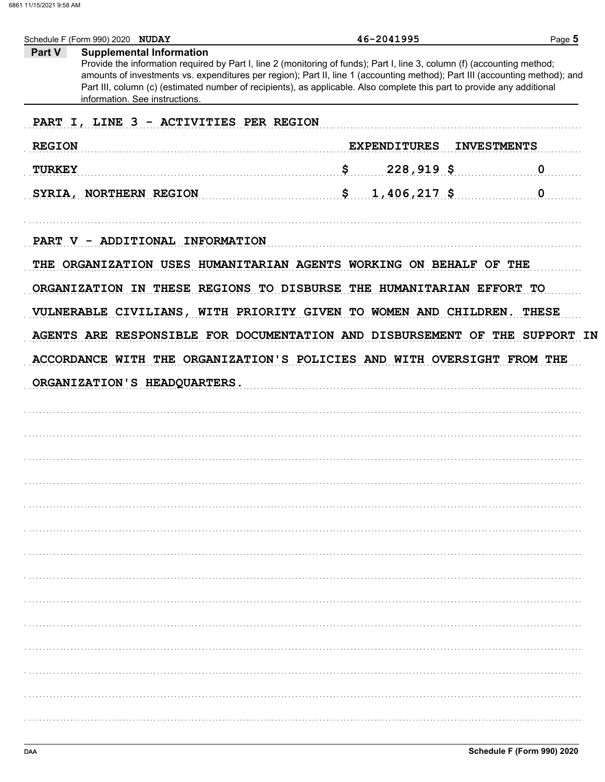| Schedule F (Form 990) 2020 NUDAY                                                                                                                       | 46-2041995                                                                                                                                                                                                                                                                                                                                                                         | Page 5             |
|--------------------------------------------------------------------------------------------------------------------------------------------------------|------------------------------------------------------------------------------------------------------------------------------------------------------------------------------------------------------------------------------------------------------------------------------------------------------------------------------------------------------------------------------------|--------------------|
| <b>Supplemental Information</b><br>Part V<br>information. See instructions.                                                                            | Provide the information required by Part I, line 2 (monitoring of funds); Part I, line 3, column (f) (accounting method;<br>amounts of investments vs. expenditures per region); Part II, line 1 (accounting method); Part III (accounting method); and<br>Part III, column (c) (estimated number of recipients), as applicable. Also complete this part to provide any additional |                    |
| PART I, LINE 3 - ACTIVITIES PER REGION                                                                                                                 |                                                                                                                                                                                                                                                                                                                                                                                    |                    |
| <b>REGION</b>                                                                                                                                          | <b>EXPENDITURES</b>                                                                                                                                                                                                                                                                                                                                                                | <b>INVESTMENTS</b> |
| <b>TURKEY</b>                                                                                                                                          | \$<br>$228,919$ \$                                                                                                                                                                                                                                                                                                                                                                 | 0                  |
| SYRIA, NORTHERN REGION                                                                                                                                 | $1,406,217$ \$<br>\$                                                                                                                                                                                                                                                                                                                                                               | $\mathbf 0$        |
| PART V - ADDITIONAL INFORMATION                                                                                                                        |                                                                                                                                                                                                                                                                                                                                                                                    |                    |
| THE ORGANIZATION USES HUMANITARIAN AGENTS WORKING ON BEHALF OF THE                                                                                     |                                                                                                                                                                                                                                                                                                                                                                                    |                    |
| ORGANIZATION IN THESE REGIONS TO DISBURSE THE HUMANITARIAN EFFORT TO                                                                                   |                                                                                                                                                                                                                                                                                                                                                                                    |                    |
|                                                                                                                                                        | VULNERABLE CIVILIANS, WITH PRIORITY GIVEN TO WOMEN AND CHILDREN. THESE                                                                                                                                                                                                                                                                                                             |                    |
|                                                                                                                                                        |                                                                                                                                                                                                                                                                                                                                                                                    |                    |
|                                                                                                                                                        |                                                                                                                                                                                                                                                                                                                                                                                    |                    |
| AGENTS ARE RESPONSIBLE FOR DOCUMENTATION AND DISBURSEMENT OF THE SUPPORT IN<br>ACCORDANCE WITH THE ORGANIZATION'S POLICIES AND WITH OVERSIGHT FROM THE |                                                                                                                                                                                                                                                                                                                                                                                    |                    |
|                                                                                                                                                        |                                                                                                                                                                                                                                                                                                                                                                                    |                    |
| ORGANIZATION'S HEADQUARTERS.                                                                                                                           |                                                                                                                                                                                                                                                                                                                                                                                    |                    |
|                                                                                                                                                        |                                                                                                                                                                                                                                                                                                                                                                                    |                    |
|                                                                                                                                                        |                                                                                                                                                                                                                                                                                                                                                                                    |                    |
|                                                                                                                                                        |                                                                                                                                                                                                                                                                                                                                                                                    |                    |
|                                                                                                                                                        |                                                                                                                                                                                                                                                                                                                                                                                    |                    |
|                                                                                                                                                        |                                                                                                                                                                                                                                                                                                                                                                                    |                    |
|                                                                                                                                                        |                                                                                                                                                                                                                                                                                                                                                                                    |                    |
|                                                                                                                                                        |                                                                                                                                                                                                                                                                                                                                                                                    |                    |
|                                                                                                                                                        |                                                                                                                                                                                                                                                                                                                                                                                    |                    |
|                                                                                                                                                        |                                                                                                                                                                                                                                                                                                                                                                                    |                    |
|                                                                                                                                                        |                                                                                                                                                                                                                                                                                                                                                                                    |                    |
|                                                                                                                                                        |                                                                                                                                                                                                                                                                                                                                                                                    |                    |
|                                                                                                                                                        |                                                                                                                                                                                                                                                                                                                                                                                    |                    |
|                                                                                                                                                        |                                                                                                                                                                                                                                                                                                                                                                                    |                    |
|                                                                                                                                                        |                                                                                                                                                                                                                                                                                                                                                                                    |                    |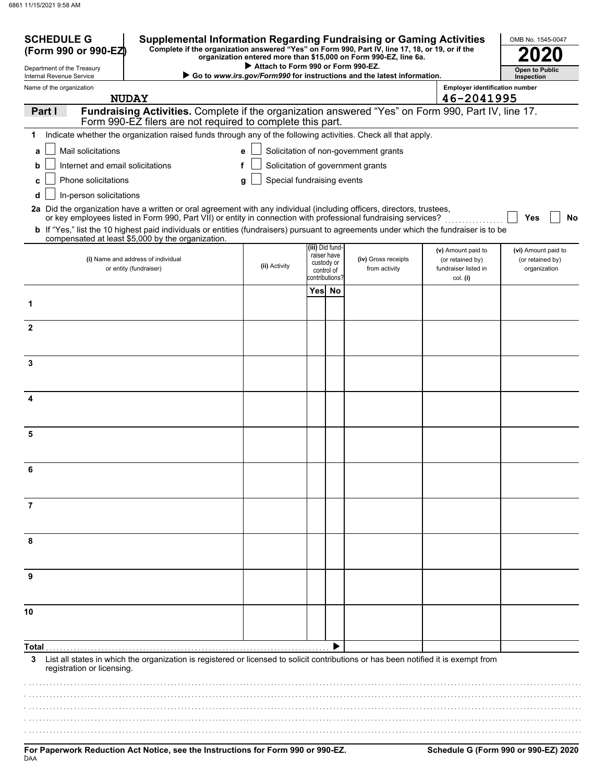| <b>SCHEDULE G</b><br><b>Supplemental Information Regarding Fundraising or Gaming Activities</b><br>Complete if the organization answered "Yes" on Form 990, Part IV, line 17, 18, or 19, or if the<br>(Form 990 or 990-EZ)               |                                    |                              | organization entered more than \$15,000 on Form 990-EZ, line 6a.       |                                       | OMB No. 1545-0047                   |
|------------------------------------------------------------------------------------------------------------------------------------------------------------------------------------------------------------------------------------------|------------------------------------|------------------------------|------------------------------------------------------------------------|---------------------------------------|-------------------------------------|
| Department of the Treasury<br>Internal Revenue Service                                                                                                                                                                                   | Attach to Form 990 or Form 990-EZ. |                              | Go to www.irs.gov/Form990 for instructions and the latest information. |                                       | <b>Open to Public</b><br>Inspection |
| Name of the organization                                                                                                                                                                                                                 |                                    |                              |                                                                        | <b>Employer identification number</b> |                                     |
| <b>NUDAY</b>                                                                                                                                                                                                                             |                                    |                              |                                                                        | 46-2041995                            |                                     |
| Fundraising Activities. Complete if the organization answered "Yes" on Form 990, Part IV, line 17.<br>Part I<br>Form 990-EZ filers are not required to complete this part.                                                               |                                    |                              |                                                                        |                                       |                                     |
| Indicate whether the organization raised funds through any of the following activities. Check all that apply.<br>1                                                                                                                       |                                    |                              |                                                                        |                                       |                                     |
| Mail solicitations<br>a                                                                                                                                                                                                                  | е                                  |                              | Solicitation of non-government grants                                  |                                       |                                     |
| Internet and email solicitations<br>b                                                                                                                                                                                                    |                                    |                              | Solicitation of government grants                                      |                                       |                                     |
| Phone solicitations<br>c                                                                                                                                                                                                                 | g                                  | Special fundraising events   |                                                                        |                                       |                                     |
| In-person solicitations<br>d                                                                                                                                                                                                             |                                    |                              |                                                                        |                                       |                                     |
| 2a Did the organization have a written or oral agreement with any individual (including officers, directors, trustees,<br>or key employees listed in Form 990, Part VII) or entity in connection with professional fundraising services? |                                    |                              |                                                                        |                                       | <b>Yes</b><br><b>No</b>             |
| <b>b</b> If "Yes," list the 10 highest paid individuals or entities (fundraisers) pursuant to agreements under which the fundraiser is to be                                                                                             |                                    |                              |                                                                        |                                       |                                     |
| compensated at least \$5,000 by the organization.                                                                                                                                                                                        |                                    | (iii) Did fund-              |                                                                        | (v) Amount paid to                    | (vi) Amount paid to                 |
| (i) Name and address of individual                                                                                                                                                                                                       | (ii) Activity                      | raiser have<br>custody or    | (iv) Gross receipts                                                    | (or retained by)                      | (or retained by)                    |
| or entity (fundraiser)                                                                                                                                                                                                                   |                                    | control of<br>contributions? | from activity                                                          | fundraiser listed in<br>col. (i)      | organization                        |
|                                                                                                                                                                                                                                          |                                    | Yes No                       |                                                                        |                                       |                                     |
| 1                                                                                                                                                                                                                                        |                                    |                              |                                                                        |                                       |                                     |
| $\overline{2}$                                                                                                                                                                                                                           |                                    |                              |                                                                        |                                       |                                     |
|                                                                                                                                                                                                                                          |                                    |                              |                                                                        |                                       |                                     |
| 3                                                                                                                                                                                                                                        |                                    |                              |                                                                        |                                       |                                     |
|                                                                                                                                                                                                                                          |                                    |                              |                                                                        |                                       |                                     |
|                                                                                                                                                                                                                                          |                                    |                              |                                                                        |                                       |                                     |
| $\overline{\mathbf{A}}$                                                                                                                                                                                                                  |                                    |                              |                                                                        |                                       |                                     |
|                                                                                                                                                                                                                                          |                                    |                              |                                                                        |                                       |                                     |
| 5                                                                                                                                                                                                                                        |                                    |                              |                                                                        |                                       |                                     |
|                                                                                                                                                                                                                                          |                                    |                              |                                                                        |                                       |                                     |
| 6                                                                                                                                                                                                                                        |                                    |                              |                                                                        |                                       |                                     |
|                                                                                                                                                                                                                                          |                                    |                              |                                                                        |                                       |                                     |
| 7                                                                                                                                                                                                                                        |                                    |                              |                                                                        |                                       |                                     |
|                                                                                                                                                                                                                                          |                                    |                              |                                                                        |                                       |                                     |
|                                                                                                                                                                                                                                          |                                    |                              |                                                                        |                                       |                                     |
| 8                                                                                                                                                                                                                                        |                                    |                              |                                                                        |                                       |                                     |
|                                                                                                                                                                                                                                          |                                    |                              |                                                                        |                                       |                                     |
| 9                                                                                                                                                                                                                                        |                                    |                              |                                                                        |                                       |                                     |
|                                                                                                                                                                                                                                          |                                    |                              |                                                                        |                                       |                                     |
| 10                                                                                                                                                                                                                                       |                                    |                              |                                                                        |                                       |                                     |
|                                                                                                                                                                                                                                          |                                    |                              |                                                                        |                                       |                                     |
| Total                                                                                                                                                                                                                                    |                                    |                              |                                                                        |                                       |                                     |
| List all states in which the organization is registered or licensed to solicit contributions or has been notified it is exempt from<br>3<br>registration or licensing.                                                                   |                                    |                              |                                                                        |                                       |                                     |
|                                                                                                                                                                                                                                          |                                    |                              |                                                                        |                                       |                                     |
|                                                                                                                                                                                                                                          |                                    |                              |                                                                        |                                       |                                     |
|                                                                                                                                                                                                                                          |                                    |                              |                                                                        |                                       |                                     |
|                                                                                                                                                                                                                                          |                                    |                              |                                                                        |                                       |                                     |
|                                                                                                                                                                                                                                          |                                    |                              |                                                                        |                                       |                                     |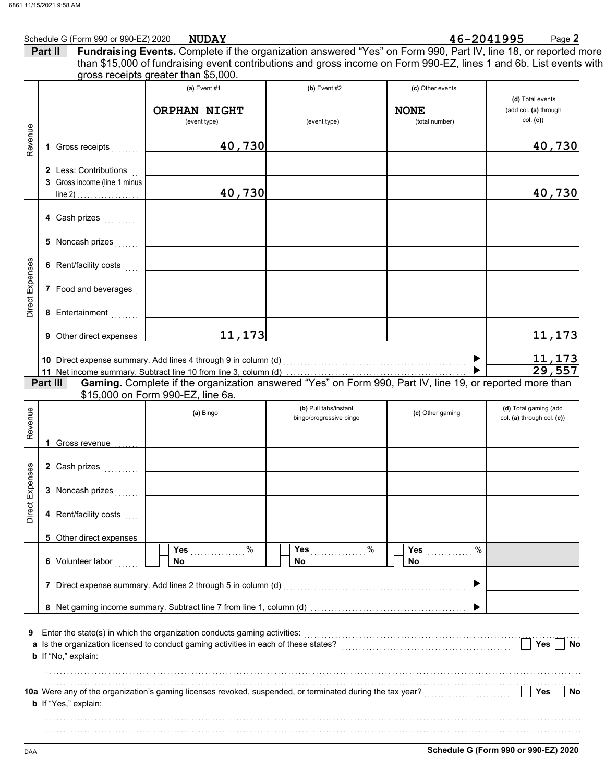|                        | Schedule G (Form 990 or 990-EZ) 2020                  | <b>NUDAY</b>                                                                                                                                                                                                                          |                         | 46-2041995                      | Page 2                                    |
|------------------------|-------------------------------------------------------|---------------------------------------------------------------------------------------------------------------------------------------------------------------------------------------------------------------------------------------|-------------------------|---------------------------------|-------------------------------------------|
|                        | Part II                                               | Fundraising Events. Complete if the organization answered "Yes" on Form 990, Part IV, line 18, or reported more<br>than \$15,000 of fundraising event contributions and gross income on Form 990-EZ, lines 1 and 6b. List events with |                         |                                 |                                           |
|                        |                                                       | gross receipts greater than \$5,000.                                                                                                                                                                                                  |                         |                                 |                                           |
|                        |                                                       | (a) Event $#1$<br>ORPHAN NIGHT                                                                                                                                                                                                        | (b) Event $#2$          | (c) Other events<br><b>NONE</b> | (d) Total events<br>(add col. (a) through |
|                        |                                                       | (event type)                                                                                                                                                                                                                          | (event type)            | (total number)                  | col. (c)                                  |
| Revenue                | 1 Gross receipts                                      | 40,730                                                                                                                                                                                                                                |                         |                                 | 40,730                                    |
|                        | 2 Less: Contributions<br>3 Gross income (line 1 minus | 40,730                                                                                                                                                                                                                                |                         |                                 | 40,730                                    |
|                        | 4 Cash prizes                                         |                                                                                                                                                                                                                                       |                         |                                 |                                           |
|                        | 5 Noncash prizes                                      |                                                                                                                                                                                                                                       |                         |                                 |                                           |
|                        | 6 Rent/facility costs                                 | <u> 1990 - Johann Barn, amerikansk politiker (</u>                                                                                                                                                                                    |                         |                                 |                                           |
| <b>Direct Expenses</b> | 7 Food and beverages                                  | the contract of the contract of the contract of the contract of the contract of                                                                                                                                                       |                         |                                 |                                           |
|                        | 8 Entertainment                                       |                                                                                                                                                                                                                                       |                         |                                 |                                           |
|                        | Other direct expenses<br>9                            | 11, 173                                                                                                                                                                                                                               |                         |                                 | 11,173                                    |
|                        |                                                       | 10 Direct expense summary. Add lines 4 through 9 in column (d)<br>11 Net income summary. Subtract line 10 from line 3, column (d)                                                                                                     |                         |                                 | $\frac{11,173}{29,557}$                   |
|                        |                                                       |                                                                                                                                                                                                                                       |                         |                                 |                                           |
|                        | Part III                                              | Gaming. Complete if the organization answered "Yes" on Form 990, Part IV, line 19, or reported more than<br>\$15,000 on Form 990-EZ, line 6a.                                                                                         |                         |                                 |                                           |
|                        |                                                       |                                                                                                                                                                                                                                       | (b) Pull tabs/instant   |                                 | (d) Total gaming (add                     |
| Revenue                |                                                       | (a) Bingo                                                                                                                                                                                                                             | bingo/progressive bingo | (c) Other gaming                | col. (a) through col. (c))                |
|                        | 1.<br>Gross revenue <i></i>                           |                                                                                                                                                                                                                                       |                         |                                 |                                           |
| ses                    | 2 Cash prizes                                         |                                                                                                                                                                                                                                       |                         |                                 |                                           |
| Direct Exper           | 3 Noncash prizes                                      |                                                                                                                                                                                                                                       |                         |                                 |                                           |
|                        | 4 Rent/facility costs                                 |                                                                                                                                                                                                                                       |                         |                                 |                                           |
|                        | 5 Other direct expenses                               |                                                                                                                                                                                                                                       |                         |                                 |                                           |
|                        | 6 Volunteer labor                                     | $\%$<br><b>Yes</b><br>No.                                                                                                                                                                                                             | %<br>Yes<br>No          | %<br>Yes<br><b>No</b>           |                                           |
|                        |                                                       | 7 Direct expense summary. Add lines 2 through 5 in column (d)                                                                                                                                                                         |                         | ▶                               |                                           |
|                        |                                                       |                                                                                                                                                                                                                                       |                         |                                 |                                           |
| 9                      |                                                       | Enter the state(s) in which the organization conducts gaming activities:                                                                                                                                                              |                         |                                 |                                           |
|                        | <b>b</b> If "No," explain:                            | a Is the organization licensed to conduct gaming activities in each of these states?                                                                                                                                                  |                         |                                 | Yes<br>No                                 |
|                        |                                                       |                                                                                                                                                                                                                                       |                         |                                 |                                           |
|                        | <b>b</b> If "Yes," explain:                           | 10a Were any of the organization's gaming licenses revoked, suspended, or terminated during the tax year?                                                                                                                             |                         |                                 | Yes<br>No                                 |
|                        |                                                       |                                                                                                                                                                                                                                       |                         |                                 |                                           |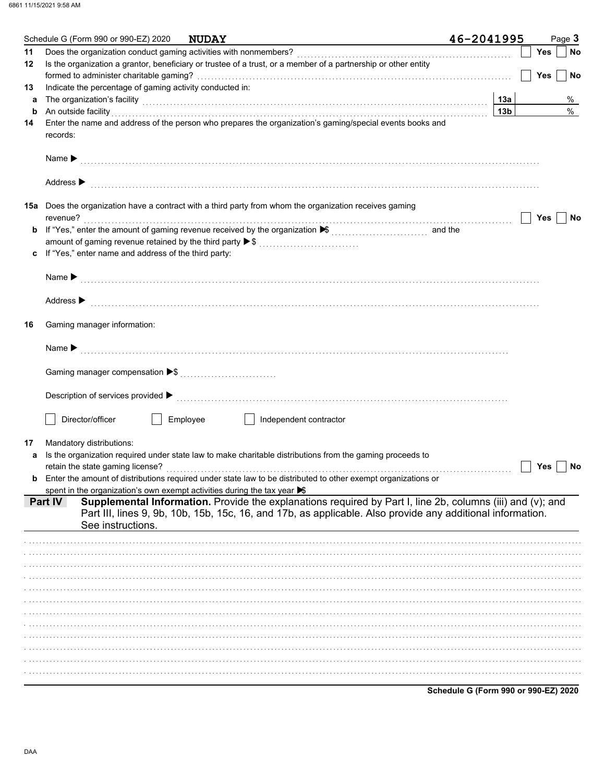|    | Schedule G (Form 990 or 990-EZ) 2020                                    | <b>NUDAY</b>                                                                                                                                                                                                                         | 46-2041995      |            | Page 3 |
|----|-------------------------------------------------------------------------|--------------------------------------------------------------------------------------------------------------------------------------------------------------------------------------------------------------------------------------|-----------------|------------|--------|
| 11 |                                                                         |                                                                                                                                                                                                                                      |                 | Yes        | No     |
| 12 |                                                                         | Is the organization a grantor, beneficiary or trustee of a trust, or a member of a partnership or other entity                                                                                                                       |                 |            |        |
|    |                                                                         |                                                                                                                                                                                                                                      |                 | <b>Yes</b> | No     |
| 13 | Indicate the percentage of gaming activity conducted in:                |                                                                                                                                                                                                                                      |                 |            |        |
| а  |                                                                         | The organization's facility [13a]                                                                                                                                                                                                    |                 |            | %      |
| b  |                                                                         | An outside facility <b>Constitution of the constant of the constant of the constant of the constant of the constant of the constant of the constant of the constant of the constant of the constant of the constant of the const</b> | 13 <sub>b</sub> |            | $\%$   |
| 14 | records:                                                                | Enter the name and address of the person who prepares the organization's gaming/special events books and                                                                                                                             |                 |            |        |
|    |                                                                         |                                                                                                                                                                                                                                      |                 |            |        |
|    | Address $\blacktriangleright$                                           |                                                                                                                                                                                                                                      |                 |            |        |
|    |                                                                         | <b>15a</b> Does the organization have a contract with a third party from whom the organization receives gaming                                                                                                                       |                 |            |        |
|    | revenue?                                                                |                                                                                                                                                                                                                                      |                 | Yes        | No     |
| b  |                                                                         | If "Yes," enter the amount of gaming revenue received by the organization ▶ [[[[[[[[[[[[[[[[[[[[[[[[]]]]]]]]]                                                                                                                        |                 |            |        |
|    |                                                                         | amount of gaming revenue retained by the third party ▶ \$                                                                                                                                                                            |                 |            |        |
| c  | If "Yes," enter name and address of the third party:                    |                                                                                                                                                                                                                                      |                 |            |        |
|    |                                                                         |                                                                                                                                                                                                                                      |                 |            |        |
|    | Address $\blacktriangleright$                                           |                                                                                                                                                                                                                                      |                 |            |        |
| 16 | Gaming manager information:                                             |                                                                                                                                                                                                                                      |                 |            |        |
|    |                                                                         |                                                                                                                                                                                                                                      |                 |            |        |
|    |                                                                         |                                                                                                                                                                                                                                      |                 |            |        |
|    |                                                                         |                                                                                                                                                                                                                                      |                 |            |        |
|    | Director/officer                                                        | Employee<br>Independent contractor                                                                                                                                                                                                   |                 |            |        |
| 17 | Mandatory distributions:                                                |                                                                                                                                                                                                                                      |                 |            |        |
| a  |                                                                         | Is the organization required under state law to make charitable distributions from the gaming proceeds to                                                                                                                            |                 |            |        |
|    |                                                                         |                                                                                                                                                                                                                                      |                 | Yes        | No     |
|    |                                                                         | Enter the amount of distributions required under state law to be distributed to other exempt organizations or                                                                                                                        |                 |            |        |
|    | spent in the organization's own exempt activities during the tax year S |                                                                                                                                                                                                                                      |                 |            |        |
|    | <b>Part IV</b><br>See instructions.                                     | Supplemental Information. Provide the explanations required by Part I, line 2b, columns (iii) and (v); and<br>Part III, lines 9, 9b, 10b, 15b, 15c, 16, and 17b, as applicable. Also provide any additional information.             |                 |            |        |
|    |                                                                         |                                                                                                                                                                                                                                      |                 |            |        |
|    |                                                                         |                                                                                                                                                                                                                                      |                 |            |        |
|    |                                                                         |                                                                                                                                                                                                                                      |                 |            |        |
|    |                                                                         |                                                                                                                                                                                                                                      |                 |            |        |
|    |                                                                         |                                                                                                                                                                                                                                      |                 |            |        |
|    |                                                                         |                                                                                                                                                                                                                                      |                 |            |        |
|    |                                                                         |                                                                                                                                                                                                                                      |                 |            |        |
|    |                                                                         |                                                                                                                                                                                                                                      |                 |            |        |
|    |                                                                         |                                                                                                                                                                                                                                      |                 |            |        |
|    |                                                                         |                                                                                                                                                                                                                                      |                 |            |        |
|    |                                                                         |                                                                                                                                                                                                                                      |                 |            |        |
|    |                                                                         |                                                                                                                                                                                                                                      |                 |            |        |
|    |                                                                         |                                                                                                                                                                                                                                      |                 |            |        |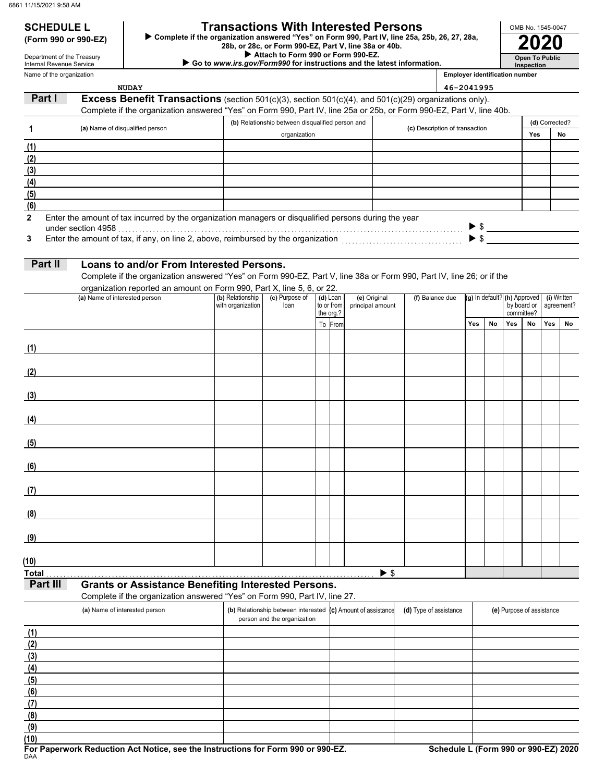## **SCHEDULE L Transactions With Interested Persons**

**(Form 990 or 990-EZ) ►** Complete if the organization answered "Yes" on Form 990, Part IV, line 25a, 25b, 26, 27, 28a,<br>28b, or 28c, or Form 990-EZ, Part V, line 38a or 40b.<br>2020

 **Attach to Form 990 or Form 990-EZ.**

 **Go to** *www.irs.gov/Form990* **for instructions and the latest information.**

Name of the organization Department of the Treasury Internal Revenue Service

**Inspection Employer identification number**

**Open To Public**

OMB No. 1545-0047

|              | <b>NUDAY</b>                                                                                                          |                                       |                                                                                             |                        |                                  |                                | 46-2041995                                      |           |                           |                                          |                |                     |
|--------------|-----------------------------------------------------------------------------------------------------------------------|---------------------------------------|---------------------------------------------------------------------------------------------|------------------------|----------------------------------|--------------------------------|-------------------------------------------------|-----------|---------------------------|------------------------------------------|----------------|---------------------|
| Part I       | Excess Benefit Transactions (section 501(c)(3), section 501(c)(4), and 501(c)(29) organizations only).                |                                       |                                                                                             |                        |                                  |                                |                                                 |           |                           |                                          |                |                     |
|              | Complete if the organization answered "Yes" on Form 990, Part IV, line 25a or 25b, or Form 990-EZ, Part V, line 40b.  |                                       |                                                                                             |                        |                                  |                                |                                                 |           |                           |                                          |                |                     |
|              |                                                                                                                       |                                       | (b) Relationship between disqualified person and                                            |                        |                                  |                                |                                                 |           |                           |                                          | (d) Corrected? |                     |
| 1            | (a) Name of disqualified person                                                                                       |                                       | organization                                                                                |                        |                                  | (c) Description of transaction |                                                 |           |                           | Yes                                      |                | No                  |
| (1)          |                                                                                                                       |                                       |                                                                                             |                        |                                  |                                |                                                 |           |                           |                                          |                |                     |
| (2)          |                                                                                                                       |                                       |                                                                                             |                        |                                  |                                |                                                 |           |                           |                                          |                |                     |
| (3)          |                                                                                                                       |                                       |                                                                                             |                        |                                  |                                |                                                 |           |                           |                                          |                |                     |
|              |                                                                                                                       |                                       |                                                                                             |                        |                                  |                                |                                                 |           |                           |                                          |                |                     |
| (4)          |                                                                                                                       |                                       |                                                                                             |                        |                                  |                                |                                                 |           |                           |                                          |                |                     |
| (5)          |                                                                                                                       |                                       |                                                                                             |                        |                                  |                                |                                                 |           |                           |                                          |                |                     |
| (6)          |                                                                                                                       |                                       |                                                                                             |                        |                                  |                                |                                                 |           |                           |                                          |                |                     |
| $\mathbf{2}$ | Enter the amount of tax incurred by the organization managers or disqualified persons during the year                 |                                       |                                                                                             |                        |                                  |                                |                                                 |           |                           |                                          |                |                     |
|              |                                                                                                                       |                                       |                                                                                             |                        |                                  |                                |                                                 |           |                           |                                          |                | $\triangleright$ \$ |
| 3            |                                                                                                                       |                                       |                                                                                             |                        |                                  |                                |                                                 |           |                           |                                          |                |                     |
|              |                                                                                                                       |                                       |                                                                                             |                        |                                  |                                |                                                 |           |                           |                                          |                |                     |
| Part II      | Loans to and/or From Interested Persons.                                                                              |                                       |                                                                                             |                        |                                  |                                |                                                 |           |                           |                                          |                |                     |
|              | Complete if the organization answered "Yes" on Form 990-EZ, Part V, line 38a or Form 990, Part IV, line 26; or if the |                                       |                                                                                             |                        |                                  |                                |                                                 |           |                           |                                          |                |                     |
|              | organization reported an amount on Form 990, Part X, line 5, 6, or 22.                                                |                                       |                                                                                             |                        |                                  |                                |                                                 |           |                           |                                          |                |                     |
|              | (a) Name of interested person                                                                                         | (b) Relationship<br>with organization | (c) Purpose of<br>loan                                                                      | (d) Loan<br>to or from | (e) Original<br>principal amount |                                | (f) Balance due<br>(g) In default? (h) Approved |           |                           | (i) Written<br>by board or<br>agreement? |                |                     |
|              |                                                                                                                       |                                       |                                                                                             | the org.?              |                                  |                                |                                                 |           |                           | committee?                               |                |                     |
|              |                                                                                                                       |                                       |                                                                                             | To From                |                                  |                                | Yes                                             | <b>No</b> | Yes                       | No                                       | Yes            | No                  |
|              |                                                                                                                       |                                       |                                                                                             |                        |                                  |                                |                                                 |           |                           |                                          |                |                     |
| (1)          |                                                                                                                       |                                       |                                                                                             |                        |                                  |                                |                                                 |           |                           |                                          |                |                     |
|              |                                                                                                                       |                                       |                                                                                             |                        |                                  |                                |                                                 |           |                           |                                          |                |                     |
| (2)          |                                                                                                                       |                                       |                                                                                             |                        |                                  |                                |                                                 |           |                           |                                          |                |                     |
|              |                                                                                                                       |                                       |                                                                                             |                        |                                  |                                |                                                 |           |                           |                                          |                |                     |
| (3)          |                                                                                                                       |                                       |                                                                                             |                        |                                  |                                |                                                 |           |                           |                                          |                |                     |
|              |                                                                                                                       |                                       |                                                                                             |                        |                                  |                                |                                                 |           |                           |                                          |                |                     |
|              |                                                                                                                       |                                       |                                                                                             |                        |                                  |                                |                                                 |           |                           |                                          |                |                     |
| (4)          |                                                                                                                       |                                       |                                                                                             |                        |                                  |                                |                                                 |           |                           |                                          |                |                     |
|              |                                                                                                                       |                                       |                                                                                             |                        |                                  |                                |                                                 |           |                           |                                          |                |                     |
| (5)          |                                                                                                                       |                                       |                                                                                             |                        |                                  |                                |                                                 |           |                           |                                          |                |                     |
|              |                                                                                                                       |                                       |                                                                                             |                        |                                  |                                |                                                 |           |                           |                                          |                |                     |
| (6)          |                                                                                                                       |                                       |                                                                                             |                        |                                  |                                |                                                 |           |                           |                                          |                |                     |
|              |                                                                                                                       |                                       |                                                                                             |                        |                                  |                                |                                                 |           |                           |                                          |                |                     |
| (7)          |                                                                                                                       |                                       |                                                                                             |                        |                                  |                                |                                                 |           |                           |                                          |                |                     |
|              |                                                                                                                       |                                       |                                                                                             |                        |                                  |                                |                                                 |           |                           |                                          |                |                     |
| (8)          |                                                                                                                       |                                       |                                                                                             |                        |                                  |                                |                                                 |           |                           |                                          |                |                     |
|              |                                                                                                                       |                                       |                                                                                             |                        |                                  |                                |                                                 |           |                           |                                          |                |                     |
| (9)          |                                                                                                                       |                                       |                                                                                             |                        |                                  |                                |                                                 |           |                           |                                          |                |                     |
|              |                                                                                                                       |                                       |                                                                                             |                        |                                  |                                |                                                 |           |                           |                                          |                |                     |
| (10)         |                                                                                                                       |                                       |                                                                                             |                        |                                  |                                |                                                 |           |                           |                                          |                |                     |
| <b>Total</b> |                                                                                                                       |                                       |                                                                                             |                        | $\blacktriangleright$ \$         |                                |                                                 |           |                           |                                          |                |                     |
| Part III     | <b>Grants or Assistance Benefiting Interested Persons.</b>                                                            |                                       |                                                                                             |                        |                                  |                                |                                                 |           |                           |                                          |                |                     |
|              | Complete if the organization answered "Yes" on Form 990, Part IV, line 27.                                            |                                       |                                                                                             |                        |                                  |                                |                                                 |           |                           |                                          |                |                     |
|              |                                                                                                                       |                                       |                                                                                             |                        |                                  |                                |                                                 |           |                           |                                          |                |                     |
|              | (a) Name of interested person                                                                                         |                                       | (b) Relationship between interested (c) Amount of assistance<br>person and the organization |                        |                                  | (d) Type of assistance         |                                                 |           | (e) Purpose of assistance |                                          |                |                     |
|              |                                                                                                                       |                                       |                                                                                             |                        |                                  |                                |                                                 |           |                           |                                          |                |                     |
| (1)          |                                                                                                                       |                                       |                                                                                             |                        |                                  |                                |                                                 |           |                           |                                          |                |                     |
| (2)          |                                                                                                                       |                                       |                                                                                             |                        |                                  |                                |                                                 |           |                           |                                          |                |                     |
| (3)          |                                                                                                                       |                                       |                                                                                             |                        |                                  |                                |                                                 |           |                           |                                          |                |                     |
| (4)          |                                                                                                                       |                                       |                                                                                             |                        |                                  |                                |                                                 |           |                           |                                          |                |                     |
| (5)          |                                                                                                                       |                                       |                                                                                             |                        |                                  |                                |                                                 |           |                           |                                          |                |                     |
| (6)          |                                                                                                                       |                                       |                                                                                             |                        |                                  |                                |                                                 |           |                           |                                          |                |                     |
| (7)          |                                                                                                                       |                                       |                                                                                             |                        |                                  |                                |                                                 |           |                           |                                          |                |                     |
| (8)          |                                                                                                                       |                                       |                                                                                             |                        |                                  |                                |                                                 |           |                           |                                          |                |                     |
| (9)          |                                                                                                                       |                                       |                                                                                             |                        |                                  |                                |                                                 |           |                           |                                          |                |                     |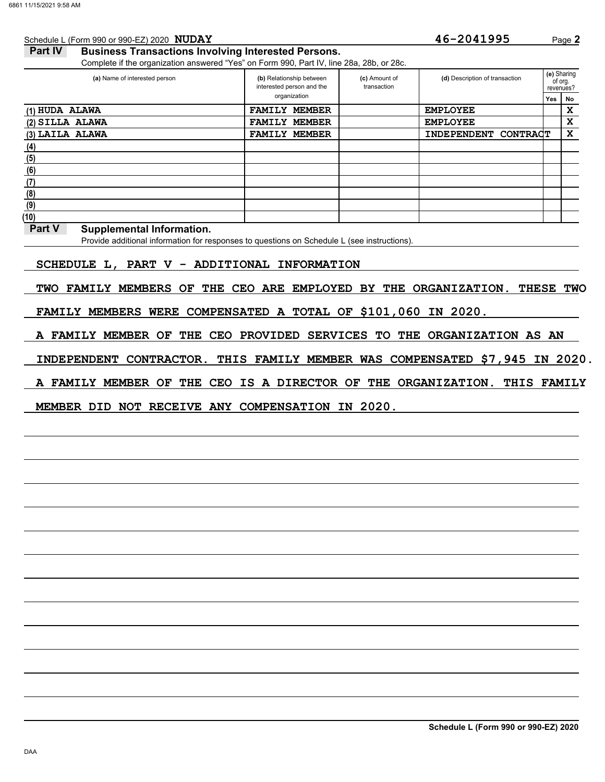| Schedule L (Form 990 or 990-EZ) 2020 NUDAY                                               |                                                       |               |                              | 46-2041995                     |                 |     | Page 2                              |
|------------------------------------------------------------------------------------------|-------------------------------------------------------|---------------|------------------------------|--------------------------------|-----------------|-----|-------------------------------------|
| Part IV<br><b>Business Transactions Involving Interested Persons.</b>                    |                                                       |               |                              |                                |                 |     |                                     |
| Complete if the organization answered "Yes" on Form 990, Part IV, line 28a, 28b, or 28c. |                                                       |               |                              |                                |                 |     |                                     |
| (a) Name of interested person                                                            | (b) Relationship between<br>interested person and the |               | (c) Amount of<br>transaction | (d) Description of transaction |                 |     | (e) Sharing<br>of org.<br>revenues? |
|                                                                                          | organization                                          |               |                              |                                |                 | Yes | No                                  |
| (1) HUDA ALAWA                                                                           | <b>FAMILY</b>                                         | <b>MEMBER</b> |                              | <b>EMPLOYEE</b>                |                 |     | x                                   |
| $(2)$ SILLA ALAWA                                                                        | <b>FAMILY</b>                                         | <b>MEMBER</b> |                              | <b>EMPLOYEE</b>                |                 |     | x                                   |
| (3) LAILA ALAWA                                                                          | <b>FAMILY</b>                                         | <b>MEMBER</b> |                              | <b>INDEPENDENT</b>             | <b>CONTRACT</b> |     | x                                   |
| (4)                                                                                      |                                                       |               |                              |                                |                 |     |                                     |
| (5)                                                                                      |                                                       |               |                              |                                |                 |     |                                     |
| (6)                                                                                      |                                                       |               |                              |                                |                 |     |                                     |
| (7)                                                                                      |                                                       |               |                              |                                |                 |     |                                     |
| (8)                                                                                      |                                                       |               |                              |                                |                 |     |                                     |
| (9)                                                                                      |                                                       |               |                              |                                |                 |     |                                     |
| (10)                                                                                     |                                                       |               |                              |                                |                 |     |                                     |

### **Part V** Supplemental Information.

Provide additional information for responses to questions on Schedule L (see instructions).

## **SCHEDULE L, PART V - ADDITIONAL INFORMATION**

**TWO FAMILY MEMBERS OF THE CEO ARE EMPLOYED BY THE ORGANIZATION. THESE TWO**

**FAMILY MEMBERS WERE COMPENSATED A TOTAL OF \$101,060 IN 2020.**

**A FAMILY MEMBER OF THE CEO PROVIDED SERVICES TO THE ORGANIZATION AS AN**

**INDEPENDENT CONTRACTOR. THIS FAMILY MEMBER WAS COMPENSATED \$7,945 IN 2020.**

**A FAMILY MEMBER OF THE CEO IS A DIRECTOR OF THE ORGANIZATION. THIS FAMILY**

## **MEMBER DID NOT RECEIVE ANY COMPENSATION IN 2020.**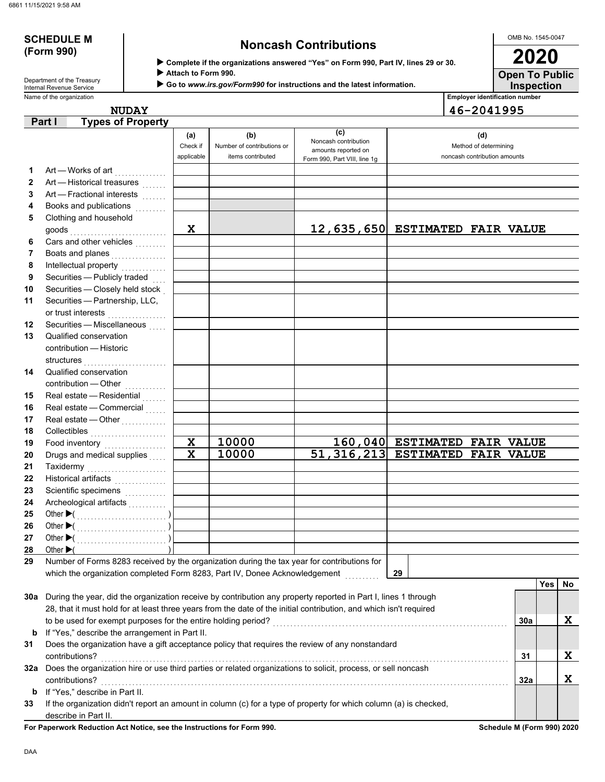# **(Form 990)**

# **SCHEDULE M Noncash Contributions**

OMB No. 1545-0047

| Department of the Treasury |
|----------------------------|
| Internal Revenue Service   |

| (Form 990)                                             | ► Complete if the organizations answered "Yes" on Form 990, Part IV, lines 29 or 30.    | 2020                                  |
|--------------------------------------------------------|-----------------------------------------------------------------------------------------|---------------------------------------|
|                                                        | Attach to Form 990.                                                                     | <b>Open To Public</b>                 |
| Department of the Treasury<br>Internal Revenue Service | $\triangleright$ Go to www.irs.gov/Form990 for instructions and the latest information. | <b>Inspection</b>                     |
| Name of the organization                               |                                                                                         | <b>Employer identification number</b> |

NUDAY 46-2041995

|              | Part I<br><b>Types of Property</b>                                                                                                  |                                        |                            |                              |                                   |     |     |    |  |  |  |
|--------------|-------------------------------------------------------------------------------------------------------------------------------------|----------------------------------------|----------------------------|------------------------------|-----------------------------------|-----|-----|----|--|--|--|
|              |                                                                                                                                     | (a)                                    | (b)                        | (c)<br>Noncash contribution  | (d)                               |     |     |    |  |  |  |
|              |                                                                                                                                     |                                        | Number of contributions or | amounts reported on          | Method of determining             |     |     |    |  |  |  |
|              |                                                                                                                                     | applicable                             | items contributed          | Form 990, Part VIII, line 1g | noncash contribution amounts      |     |     |    |  |  |  |
| 1            | Art — Works of art <b>Market</b>                                                                                                    |                                        |                            |                              |                                   |     |     |    |  |  |  |
| $\mathbf{2}$ | Art - Historical treasures                                                                                                          |                                        |                            |                              |                                   |     |     |    |  |  |  |
| 3            |                                                                                                                                     |                                        |                            |                              |                                   |     |     |    |  |  |  |
| 4            |                                                                                                                                     |                                        |                            |                              |                                   |     |     |    |  |  |  |
| 5            | Clothing and household                                                                                                              |                                        |                            |                              |                                   |     |     |    |  |  |  |
|              |                                                                                                                                     | X                                      |                            |                              | 12,635,650 ESTIMATED FAIR VALUE   |     |     |    |  |  |  |
| 6            | Cars and other vehicles                                                                                                             |                                        |                            |                              |                                   |     |     |    |  |  |  |
| 7            | Boats and planes                                                                                                                    |                                        |                            |                              |                                   |     |     |    |  |  |  |
| 8            | Intellectual property                                                                                                               |                                        |                            |                              |                                   |     |     |    |  |  |  |
| 9            | Securities - Publicly traded                                                                                                        |                                        |                            |                              |                                   |     |     |    |  |  |  |
| 10           | Securities - Closely held stock                                                                                                     |                                        |                            |                              |                                   |     |     |    |  |  |  |
| 11           | Securities - Partnership, LLC,                                                                                                      |                                        |                            |                              |                                   |     |     |    |  |  |  |
|              | or trust interests                                                                                                                  |                                        |                            |                              |                                   |     |     |    |  |  |  |
| 12           | Securities - Miscellaneous                                                                                                          |                                        |                            |                              |                                   |     |     |    |  |  |  |
| 13           | Qualified conservation                                                                                                              |                                        |                            |                              |                                   |     |     |    |  |  |  |
|              | contribution - Historic                                                                                                             |                                        |                            |                              |                                   |     |     |    |  |  |  |
|              | structures                                                                                                                          |                                        |                            |                              |                                   |     |     |    |  |  |  |
| 14           | Qualified conservation                                                                                                              |                                        |                            |                              |                                   |     |     |    |  |  |  |
|              | contribution - Other [1] [1] [1] contribution - Other                                                                               |                                        |                            |                              |                                   |     |     |    |  |  |  |
| 15           | Real estate - Residential                                                                                                           |                                        |                            |                              |                                   |     |     |    |  |  |  |
| 16           | Real estate - Commercial                                                                                                            |                                        |                            |                              |                                   |     |     |    |  |  |  |
| 17           | Real estate - Other<br>                                                                                                             |                                        |                            |                              |                                   |     |     |    |  |  |  |
| 18           | Collectibles                                                                                                                        |                                        |                            |                              |                                   |     |     |    |  |  |  |
| 19           | Food inventory                                                                                                                      | $\mathbf x$<br>$\overline{\mathbf{x}}$ | 10000                      |                              | 160,040 ESTIMATED FAIR VALUE      |     |     |    |  |  |  |
| 20           | Drugs and medical supplies                                                                                                          |                                        | 10000                      |                              | 51, 316, 213 ESTIMATED FAIR VALUE |     |     |    |  |  |  |
| 21           | Taxidermy                                                                                                                           |                                        |                            |                              |                                   |     |     |    |  |  |  |
| 22           | Historical artifacts                                                                                                                |                                        |                            |                              |                                   |     |     |    |  |  |  |
| 23           | Scientific specimens                                                                                                                |                                        |                            |                              |                                   |     |     |    |  |  |  |
| 24           | Archeological artifacts                                                                                                             |                                        |                            |                              |                                   |     |     |    |  |  |  |
| 25           |                                                                                                                                     |                                        |                            |                              |                                   |     |     |    |  |  |  |
| 26           |                                                                                                                                     |                                        |                            |                              |                                   |     |     |    |  |  |  |
| 27           |                                                                                                                                     |                                        |                            |                              |                                   |     |     |    |  |  |  |
| 28           | Other $\blacktriangleright$ (<br>Number of Forms 8283 received by the organization during the tax year for contributions for        |                                        |                            |                              |                                   |     |     |    |  |  |  |
| 29           | which the organization completed Form 8283, Part IV, Donee Acknowledgement                                                          |                                        |                            |                              | 29                                |     |     |    |  |  |  |
|              |                                                                                                                                     |                                        |                            |                              |                                   |     | Yes | No |  |  |  |
|              | 30a During the year, did the organization receive by contribution any property reported in Part I, lines 1 through                  |                                        |                            |                              |                                   |     |     |    |  |  |  |
|              | 28, that it must hold for at least three years from the date of the initial contribution, and which isn't required                  |                                        |                            |                              |                                   |     |     |    |  |  |  |
|              |                                                                                                                                     |                                        |                            |                              |                                   |     |     | X  |  |  |  |
|              |                                                                                                                                     |                                        |                            |                              |                                   | 30a |     |    |  |  |  |
| b            | If "Yes," describe the arrangement in Part II.                                                                                      |                                        |                            |                              |                                   |     |     |    |  |  |  |
| 31           | Does the organization have a gift acceptance policy that requires the review of any nonstandard                                     |                                        |                            |                              |                                   |     |     |    |  |  |  |
|              | contributions?<br>32a Does the organization hire or use third parties or related organizations to solicit, process, or sell noncash |                                        |                            |                              |                                   | 31  |     | X  |  |  |  |
|              |                                                                                                                                     |                                        |                            |                              |                                   |     |     |    |  |  |  |
|              | contributions?                                                                                                                      |                                        |                            |                              |                                   | 32a |     | X  |  |  |  |
| b            | If "Yes," describe in Part II.                                                                                                      |                                        |                            |                              |                                   |     |     |    |  |  |  |
| 33           | If the organization didn't report an amount in column (c) for a type of property for which column (a) is checked,                   |                                        |                            |                              |                                   |     |     |    |  |  |  |
|              | describe in Part II.                                                                                                                |                                        |                            |                              |                                   |     |     |    |  |  |  |

**For Paperwork Reduction Act Notice, see the Instructions for Form 990. Schedule M (Form 990) 2020**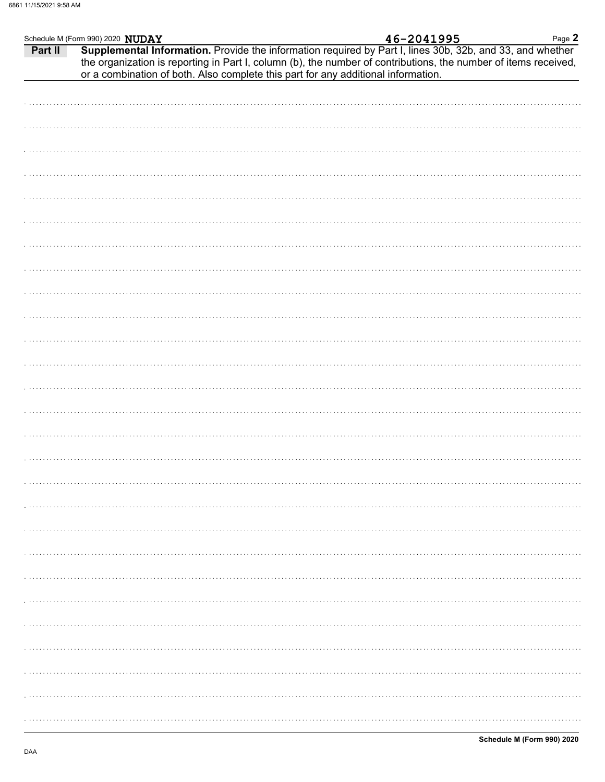|         | Schedule M (Form 990) 2020 NUDAY | 46-2041995                                                                                                                                                                                                                                                                                                        | Page 2 |
|---------|----------------------------------|-------------------------------------------------------------------------------------------------------------------------------------------------------------------------------------------------------------------------------------------------------------------------------------------------------------------|--------|
| Part II |                                  | Supplemental Information. Provide the information required by Part I, lines 30b, 32b, and 33, and whether<br>the organization is reporting in Part I, column (b), the number of contributions, the number of items received,<br>or a combination of both. Also complete this part for any additional information. |        |
|         |                                  |                                                                                                                                                                                                                                                                                                                   |        |
|         |                                  |                                                                                                                                                                                                                                                                                                                   |        |
|         |                                  |                                                                                                                                                                                                                                                                                                                   |        |
|         |                                  |                                                                                                                                                                                                                                                                                                                   |        |
|         |                                  |                                                                                                                                                                                                                                                                                                                   |        |
|         |                                  |                                                                                                                                                                                                                                                                                                                   |        |
|         |                                  |                                                                                                                                                                                                                                                                                                                   |        |
|         |                                  |                                                                                                                                                                                                                                                                                                                   |        |
|         |                                  |                                                                                                                                                                                                                                                                                                                   |        |
|         |                                  |                                                                                                                                                                                                                                                                                                                   |        |
|         |                                  |                                                                                                                                                                                                                                                                                                                   |        |
|         |                                  |                                                                                                                                                                                                                                                                                                                   |        |
|         |                                  |                                                                                                                                                                                                                                                                                                                   |        |
|         |                                  |                                                                                                                                                                                                                                                                                                                   |        |
|         |                                  |                                                                                                                                                                                                                                                                                                                   |        |
|         |                                  |                                                                                                                                                                                                                                                                                                                   |        |
|         |                                  |                                                                                                                                                                                                                                                                                                                   |        |
|         |                                  |                                                                                                                                                                                                                                                                                                                   |        |
|         |                                  |                                                                                                                                                                                                                                                                                                                   |        |
|         |                                  |                                                                                                                                                                                                                                                                                                                   |        |
|         |                                  |                                                                                                                                                                                                                                                                                                                   |        |
|         |                                  |                                                                                                                                                                                                                                                                                                                   |        |
|         |                                  |                                                                                                                                                                                                                                                                                                                   |        |
|         |                                  |                                                                                                                                                                                                                                                                                                                   |        |
|         |                                  |                                                                                                                                                                                                                                                                                                                   |        |
|         |                                  |                                                                                                                                                                                                                                                                                                                   |        |
|         |                                  |                                                                                                                                                                                                                                                                                                                   |        |
|         |                                  |                                                                                                                                                                                                                                                                                                                   |        |
|         |                                  |                                                                                                                                                                                                                                                                                                                   |        |
|         |                                  |                                                                                                                                                                                                                                                                                                                   |        |
|         |                                  |                                                                                                                                                                                                                                                                                                                   |        |
|         |                                  |                                                                                                                                                                                                                                                                                                                   |        |
|         |                                  |                                                                                                                                                                                                                                                                                                                   |        |
|         |                                  |                                                                                                                                                                                                                                                                                                                   |        |
|         |                                  |                                                                                                                                                                                                                                                                                                                   |        |
|         |                                  |                                                                                                                                                                                                                                                                                                                   |        |
|         |                                  |                                                                                                                                                                                                                                                                                                                   |        |
|         |                                  |                                                                                                                                                                                                                                                                                                                   |        |
|         |                                  |                                                                                                                                                                                                                                                                                                                   |        |
|         |                                  |                                                                                                                                                                                                                                                                                                                   |        |
|         |                                  |                                                                                                                                                                                                                                                                                                                   |        |
|         |                                  |                                                                                                                                                                                                                                                                                                                   |        |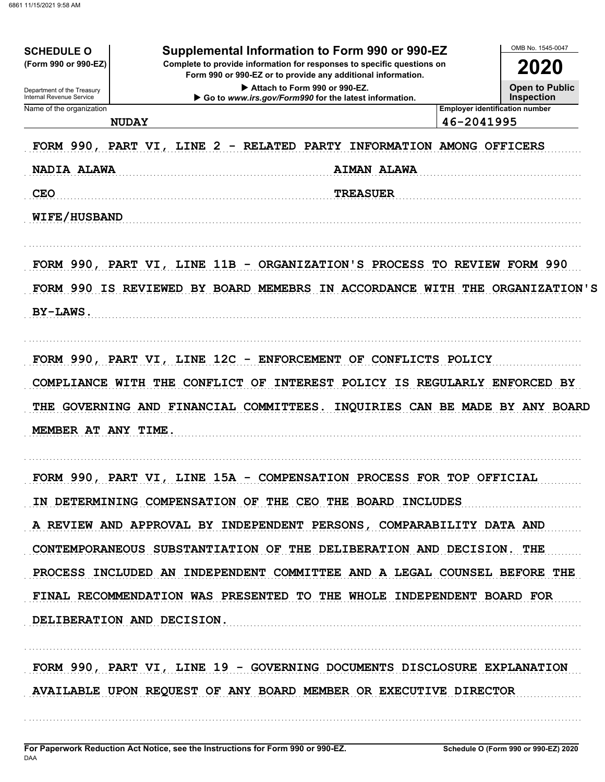| <b>SCHEDULE O</b>                                      | Supplemental Information to Form 990 or 990-EZ                                                                                            | OMB No. 1545-0047                                   |
|--------------------------------------------------------|-------------------------------------------------------------------------------------------------------------------------------------------|-----------------------------------------------------|
| (Form 990 or 990-EZ)                                   | Complete to provide information for responses to specific questions on<br>2020                                                            |                                                     |
|                                                        | Form 990 or 990-EZ or to provide any additional information.<br>Attach to Form 990 or 990-EZ.                                             | <b>Open to Public</b>                               |
| Department of the Treasury<br>Internal Revenue Service | Go to www.irs.gov/Form990 for the latest information.                                                                                     | <b>Inspection</b>                                   |
| Name of the organization                               | <b>NUDAY</b>                                                                                                                              | <b>Employer identification number</b><br>46-2041995 |
|                                                        |                                                                                                                                           |                                                     |
|                                                        | FORM 990, PART VI, LINE 2 - RELATED PARTY INFORMATION AMONG OFFICERS                                                                      |                                                     |
| NADIA ALAWA                                            | <b>AIMAN ALAWA</b>                                                                                                                        |                                                     |
| <b>CEO</b>                                             | <b>TREASUER</b>                                                                                                                           |                                                     |
| WIFE/HUSBAND                                           |                                                                                                                                           |                                                     |
|                                                        | FORM 990, PART VI, LINE 11B - ORGANIZATION'S PROCESS TO REVIEW FORM 990                                                                   |                                                     |
|                                                        | FORM 990 IS REVIEWED BY BOARD MEMEBRS IN ACCORDANCE WITH THE ORGANIZATION'S                                                               |                                                     |
| <b>BY-LAWS.</b>                                        |                                                                                                                                           |                                                     |
|                                                        | FORM 990, PART VI, LINE 12C - ENFORCEMENT OF CONFLICTS POLICY<br>COMPLIANCE WITH THE CONFLICT OF INTEREST POLICY IS REGULARLY ENFORCED BY |                                                     |
|                                                        | THE GOVERNING AND FINANCIAL COMMITTEES. INQUIRIES CAN BE MADE BY ANY BOARD                                                                |                                                     |
| MEMBER AT ANY TIME.                                    |                                                                                                                                           |                                                     |
|                                                        | FORM 990, PART VI, LINE 15A - COMPENSATION PROCESS FOR TOP OFFICIAL                                                                       |                                                     |
|                                                        | IN DETERMINING COMPENSATION OF THE CEO THE BOARD INCLUDES                                                                                 |                                                     |
|                                                        | A REVIEW AND APPROVAL BY INDEPENDENT PERSONS, COMPARABILITY DATA AND                                                                      |                                                     |
|                                                        | CONTEMPORANEOUS SUBSTANTIATION OF THE DELIBERATION AND DECISION. THE                                                                      |                                                     |
|                                                        | PROCESS INCLUDED AN INDEPENDENT COMMITTEE AND A LEGAL COUNSEL BEFORE THE                                                                  |                                                     |
|                                                        |                                                                                                                                           |                                                     |
|                                                        | FINAL RECOMMENDATION WAS PRESENTED TO THE WHOLE INDEPENDENT BOARD FOR<br>DELIBERATION AND DECISION.                                       |                                                     |
|                                                        |                                                                                                                                           |                                                     |
|                                                        | FORM 990, PART VI, LINE 19 - GOVERNING DOCUMENTS DISCLOSURE EXPLANATION                                                                   |                                                     |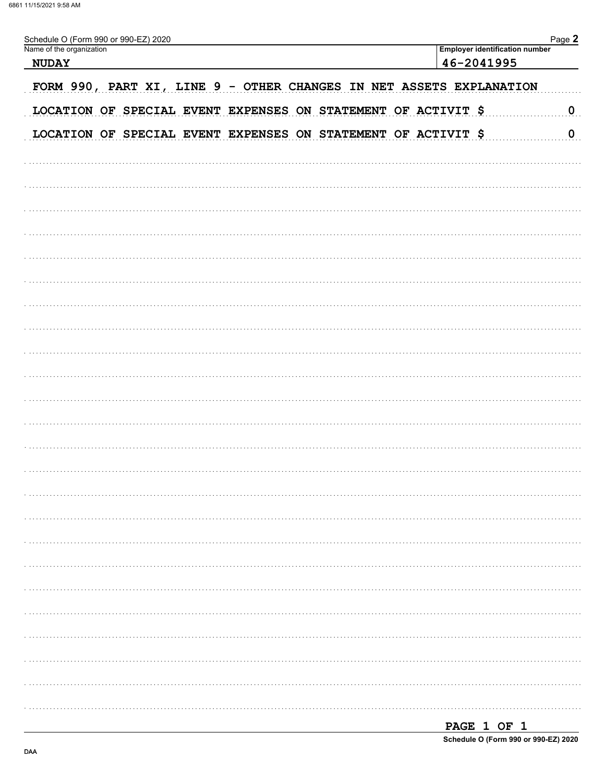| Schedule O (Form 990 or 990-EZ) 2020<br>Name of the organization    | Page 2                                              |
|---------------------------------------------------------------------|-----------------------------------------------------|
| <b>NUDAY</b>                                                        | <b>Employer identification number</b><br>46-2041995 |
|                                                                     |                                                     |
| FORM 990, PART XI, LINE 9 - OTHER CHANGES IN NET ASSETS EXPLANATION |                                                     |
| LOCATION OF SPECIAL EVENT EXPENSES ON STATEMENT OF ACTIVIT \$       | $\overline{0}$                                      |
| LOCATION OF SPECIAL EVENT EXPENSES ON STATEMENT OF ACTIVIT \$       | $\overline{0}$                                      |
|                                                                     |                                                     |
|                                                                     |                                                     |
|                                                                     |                                                     |
|                                                                     |                                                     |
|                                                                     |                                                     |
|                                                                     |                                                     |
|                                                                     |                                                     |
|                                                                     |                                                     |
|                                                                     |                                                     |
|                                                                     |                                                     |
|                                                                     |                                                     |
|                                                                     |                                                     |
|                                                                     |                                                     |
|                                                                     |                                                     |
|                                                                     |                                                     |
|                                                                     |                                                     |
|                                                                     |                                                     |
|                                                                     |                                                     |
|                                                                     |                                                     |
|                                                                     |                                                     |
|                                                                     |                                                     |
|                                                                     |                                                     |
|                                                                     |                                                     |
|                                                                     |                                                     |
|                                                                     |                                                     |
|                                                                     |                                                     |
|                                                                     |                                                     |

| PAGE 1 OF 1 |  |                                      |
|-------------|--|--------------------------------------|
|             |  | Schedule O (Form 990 or 990-EZ) 2020 |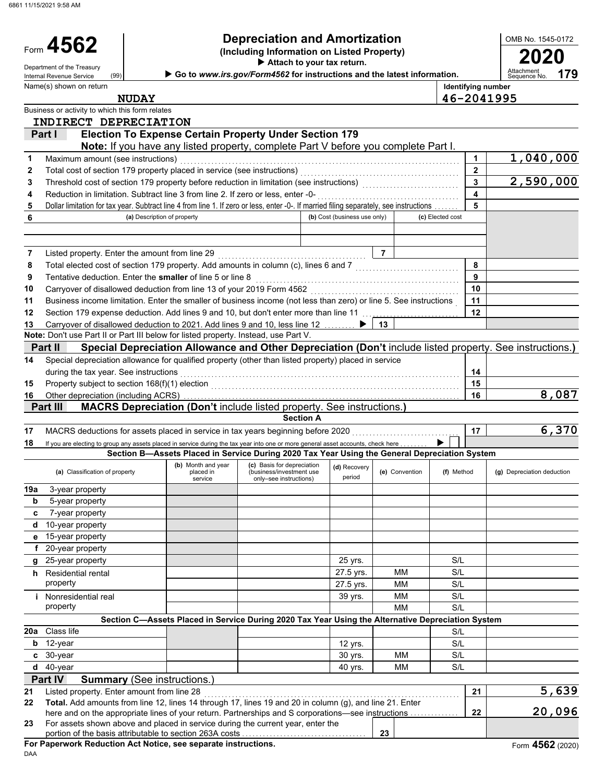6861 11/15/2021 9:58 AM

## **Depreciation and Amortization**

**(a)** Classification of property **(b)** Month and year **(c)** Basis for depreciation **(d)** Recovery **(e)** Convention **(f)** Method **(g)** Depreciation deduction **(a) (b)** Convention **(f)** Method **(g)** Depreciation deduction during the tax year. See instructions **(Including Information on Listed Property) Identifying number Attach to your tax return.** Department of the Treasury (99) **Department of the Treasury Properties of the Section Conduct Conduct Conduct Conductions and the latest information.** Aonth and year (c) Basis for depreciation<br>
placed in (business/investment use<br>
service only–see instructions) period Special depreciation allowance for qualified property (other than listed property) placed in service **(a)** Description of property **(b)** Cost (business use only) **(c)** Elected cost 5 Dollar limitation for tax year. Subtract line 4 from line 1. If zero or less, enter -0-. If married filing separately, see instructions . . . . . . . | 5 Business or activity to which this form relates Name(s) shown on return OMB No. 1545-0172 property MM S/L Nonresidential real **1988** and 1999 **Nonresidential real 1999** yrs. Nonresidential real 1999 **S/L** property **27.5 yrs.** MM S/L NM S/L Residential rental The Residential Property and the Contract of the Solution of the Solution of the Solution of the Solution of the Solution of the Solution of the Solution of the Solution of the Solution of the Solution o 25-year property and the same state of the state of the state of the state of the state of the state of the state of the state of the state of the state of the state of the state of the state of the state of the state of t 20-year property 15-year property 10-year property 7-year property 5-year property 3-year property If you are electing to group any assets placed in service during the tax year into one or more general asset accounts, check here MACRS deductions for assets placed in service in tax years beginning before 2020 . . . . . . . . . . . . . . . . . . . . . . . . . . . . . . . **17 17** Other depreciation (including ACRS) . . . . . . . . . . . . . . . . . . . . . . . . . . . . . . . . . . . . . . . . . . . . . . . . . . . . . . . . . . . . . . . . . . . . . . . . . . . . . . . . **16 16** Property subject to section 168(f)(1) election . . . . . . . . . . . . . . . . . . . . . . . . . . . . . . . . . . . . . . . . . . . . . . . . . . . . . . . . . . . . . . . . . . . . . . . . **15 15** Carryover of disallowed deduction to 2021. Add lines 9 and 10, less line 12 . . . . . . . . . **13 13** Section 179 expense deduction. Add lines 9 and 10, but don't enter more than line 11 . . . . . . . . . . . . . . . . . . . . . . . . . . . . **12 12** Business income limitation. Enter the smaller of business income (not less than zero) or line 5. See instructions . **11 11** Carryover of disallowed deduction from line 13 of your 2019 Form 4562 . . . . . . . . . . . . . . . . . . . . . . . . . . . . . . . . . . . . . . . . . . . **10 10** Tentative deduction. Enter the **smaller** of line 5 or line 8 . . . . . . . . . . . . . . . . . . . . . . . . . . . . . . . . . . . . . . . . . . . . . . . . . . . . . . . . . . . **9 9** Total elected cost of section 179 property. Add amounts in column (c), lines 6 and 7 . . . . . . . . . . . . . . . . . . . . . . . . . . . . . . **8 8** Listed property. Enter the amount from line 29 . . . . . . . . . . . . . . . . . . . . . . . . . . . . . . . . . . . . . . . . . . . **7 7** Reduction in limitation. Subtract line 3 from line 2. If zero or less, enter -0- . . . . . . . . . . . . . . . . . . . . . . . . . . . . . . . . . . . . . . . . . **4 4** Threshold cost of section 179 property before reduction in limitation (see instructions) . . . . . . . . . . . . . . . . . . . . . . . . . . . . **3 3** Total cost of section 179 property placed in service (see instructions) . . . . . . . . . . . . . . . . . . . . . . . . . . . . . . . . . . . . . . . . . . . . . . **2 2** Maximum amount (see instructions) . . . . . . . . . . . . . . . . . . . . . . . . . . . . . . . . . . . . . . . . . . . . . . . . . . . . . . . . . . . . . . . . . . . . . . . . . . . . . . . . . **1 1** Form 4562 **i h g f e d c b 19a 18 Section A 14 14 Note:** Don't use Part II or Part III below for listed property. Instead, use Part V. **6 Part III MACRS Depreciation (Don't** include listed property. See instructions.**) Part II Special Depreciation Allowance and Other Depreciation (Don't** include listed property. See instructions.**) Note:** If you have any listed property, complete Part V before you complete Part I. **Part I Election To Expense Certain Property Under Section 179 179 <sup>2020</sup> <sup>4562</sup> Section B—Assets Placed in Service During 2020 Tax Year Using the General Depreciation System** (99) ▶ **NUDAY 46-2041995 INDIRECT DEPRECIATION 1,040,000 2,590,000 8,087 6,370**

## **Section C—Assets Placed in Service During 2020 Tax Year Using the Alternative Depreciation System**

|     | 20a Class life                                                                                                                                                                                                        |  |    |         |    | S/L |  |       |
|-----|-----------------------------------------------------------------------------------------------------------------------------------------------------------------------------------------------------------------------|--|----|---------|----|-----|--|-------|
| b   | 12-vear                                                                                                                                                                                                               |  |    | 12 vrs. |    | S/L |  |       |
|     | $c30-year$                                                                                                                                                                                                            |  |    | 30 vrs. | MМ | S/L |  |       |
|     | $d$ 40-year                                                                                                                                                                                                           |  |    | 40 vrs. | мм | S/L |  |       |
|     | <b>Part IV</b><br><b>Summary</b> (See instructions.)                                                                                                                                                                  |  |    |         |    |     |  |       |
| 21  | Listed property. Enter amount from line 28                                                                                                                                                                            |  |    |         |    |     |  | 5,639 |
| 22. | <b>Total.</b> Add amounts from line 12, lines 14 through 17, lines 19 and 20 in column (g), and line 21. Enter<br>here and on the appropriate lines of your return. Partnerships and S corporations—see instructions. |  | 22 | 20,096  |    |     |  |       |

**23**

here and on the appropriate lines of your return. Partnerships and S corporations—see instructions . . . . . . . . . . . . . . **22**

| 23 For assets shown above and placed in service during the current year, enter the |
|------------------------------------------------------------------------------------|
|                                                                                    |